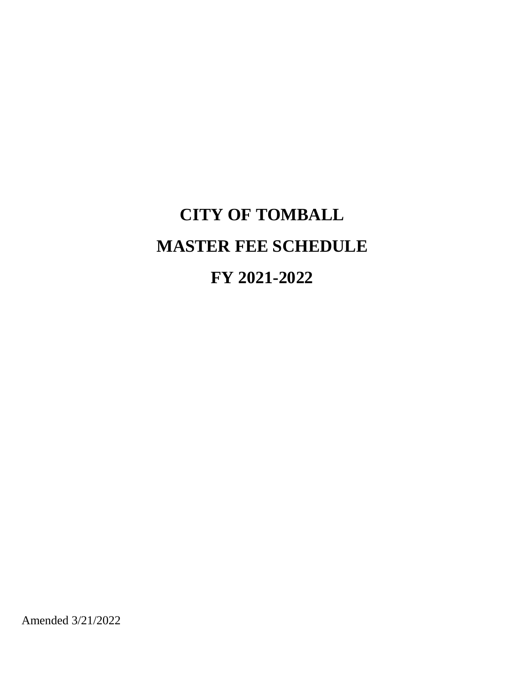# **CITY OF TOMBALL MASTER FEE SCHEDULE FY 2021-2022**

Amended 3/21/2022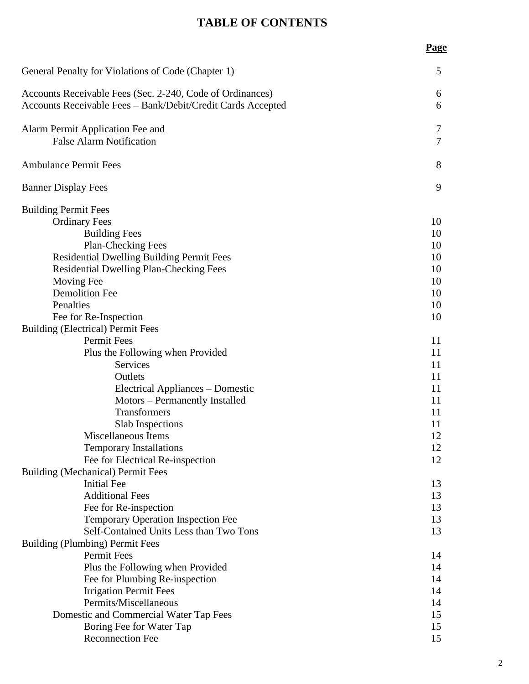## **TABLE OF CONTENTS**

### **Page**

| General Penalty for Violations of Code (Chapter 1)                                                                       | 5                   |
|--------------------------------------------------------------------------------------------------------------------------|---------------------|
| Accounts Receivable Fees (Sec. 2-240, Code of Ordinances)<br>Accounts Receivable Fees - Bank/Debit/Credit Cards Accepted | 6<br>6              |
| Alarm Permit Application Fee and<br><b>False Alarm Notification</b>                                                      | 7<br>$\overline{7}$ |
| <b>Ambulance Permit Fees</b>                                                                                             | 8                   |
| <b>Banner Display Fees</b>                                                                                               | 9                   |
| <b>Building Permit Fees</b>                                                                                              |                     |
| <b>Ordinary Fees</b>                                                                                                     | 10                  |
| <b>Building Fees</b>                                                                                                     | 10                  |
| <b>Plan-Checking Fees</b>                                                                                                | 10                  |
| <b>Residential Dwelling Building Permit Fees</b>                                                                         | 10                  |
| <b>Residential Dwelling Plan-Checking Fees</b>                                                                           | 10                  |
| Moving Fee                                                                                                               | 10                  |
| <b>Demolition Fee</b>                                                                                                    | 10                  |
| Penalties                                                                                                                | 10                  |
| Fee for Re-Inspection                                                                                                    | 10                  |
| <b>Building (Electrical) Permit Fees</b>                                                                                 |                     |
| Permit Fees                                                                                                              | 11                  |
| Plus the Following when Provided                                                                                         | 11                  |
| <b>Services</b>                                                                                                          | 11                  |
| Outlets                                                                                                                  | 11                  |
| <b>Electrical Appliances - Domestic</b>                                                                                  | 11                  |
| Motors - Permanently Installed                                                                                           | 11                  |
| Transformers                                                                                                             | 11                  |
| Slab Inspections                                                                                                         | 11                  |
| Miscellaneous Items                                                                                                      | 12                  |
| <b>Temporary Installations</b>                                                                                           | 12                  |
| Fee for Electrical Re-inspection                                                                                         | 12                  |
| <b>Building (Mechanical) Permit Fees</b>                                                                                 |                     |
| <b>Initial Fee</b>                                                                                                       | 13                  |
| <b>Additional Fees</b>                                                                                                   | 13                  |
| Fee for Re-inspection                                                                                                    | 13                  |
| <b>Temporary Operation Inspection Fee</b>                                                                                | 13                  |
| Self-Contained Units Less than Two Tons                                                                                  | 13                  |
| <b>Building (Plumbing) Permit Fees</b>                                                                                   |                     |
| Permit Fees                                                                                                              | 14                  |
| Plus the Following when Provided                                                                                         | 14                  |
| Fee for Plumbing Re-inspection                                                                                           | 14                  |
| <b>Irrigation Permit Fees</b>                                                                                            | 14                  |
| Permits/Miscellaneous                                                                                                    | 14                  |
| Domestic and Commercial Water Tap Fees                                                                                   | 15                  |
| Boring Fee for Water Tap                                                                                                 | 15                  |
| <b>Reconnection Fee</b>                                                                                                  | 15                  |
|                                                                                                                          |                     |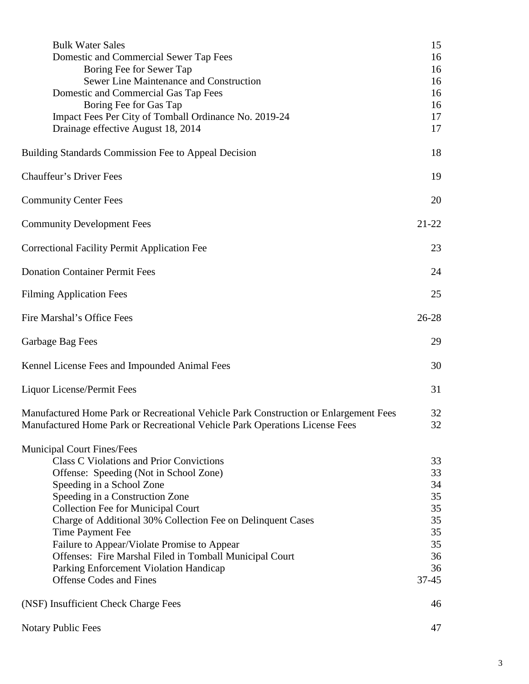| <b>Bulk Water Sales</b>                                                                                                                                             | 15        |
|---------------------------------------------------------------------------------------------------------------------------------------------------------------------|-----------|
| Domestic and Commercial Sewer Tap Fees                                                                                                                              | 16        |
| Boring Fee for Sewer Tap                                                                                                                                            | 16        |
| Sewer Line Maintenance and Construction                                                                                                                             | 16        |
| Domestic and Commercial Gas Tap Fees                                                                                                                                | 16        |
| Boring Fee for Gas Tap                                                                                                                                              | 16        |
| Impact Fees Per City of Tomball Ordinance No. 2019-24                                                                                                               | 17        |
| Drainage effective August 18, 2014                                                                                                                                  | 17        |
| <b>Building Standards Commission Fee to Appeal Decision</b>                                                                                                         | 18        |
| <b>Chauffeur's Driver Fees</b>                                                                                                                                      | 19        |
| <b>Community Center Fees</b>                                                                                                                                        | 20        |
| <b>Community Development Fees</b>                                                                                                                                   | $21 - 22$ |
| <b>Correctional Facility Permit Application Fee</b>                                                                                                                 | 23        |
| <b>Donation Container Permit Fees</b>                                                                                                                               | 24        |
| <b>Filming Application Fees</b>                                                                                                                                     | 25        |
| Fire Marshal's Office Fees                                                                                                                                          | 26-28     |
| Garbage Bag Fees                                                                                                                                                    | 29        |
| Kennel License Fees and Impounded Animal Fees                                                                                                                       | 30        |
| Liquor License/Permit Fees                                                                                                                                          | 31        |
| Manufactured Home Park or Recreational Vehicle Park Construction or Enlargement Fees<br>Manufactured Home Park or Recreational Vehicle Park Operations License Fees | 32<br>32  |
| <b>Municipal Court Fines/Fees</b>                                                                                                                                   |           |
| <b>Class C Violations and Prior Convictions</b>                                                                                                                     | 33        |
| Offense: Speeding (Not in School Zone)                                                                                                                              | 33        |
| Speeding in a School Zone                                                                                                                                           | 34        |
| Speeding in a Construction Zone                                                                                                                                     | 35        |
| <b>Collection Fee for Municipal Court</b>                                                                                                                           | 35        |
| Charge of Additional 30% Collection Fee on Delinquent Cases                                                                                                         | 35        |
| Time Payment Fee                                                                                                                                                    | 35        |
| Failure to Appear/Violate Promise to Appear                                                                                                                         | 35        |
| Offenses: Fire Marshal Filed in Tomball Municipal Court                                                                                                             | 36        |
| Parking Enforcement Violation Handicap                                                                                                                              | 36        |
| <b>Offense Codes and Fines</b>                                                                                                                                      | 37-45     |
| (NSF) Insufficient Check Charge Fees                                                                                                                                | 46        |
| <b>Notary Public Fees</b>                                                                                                                                           | 47        |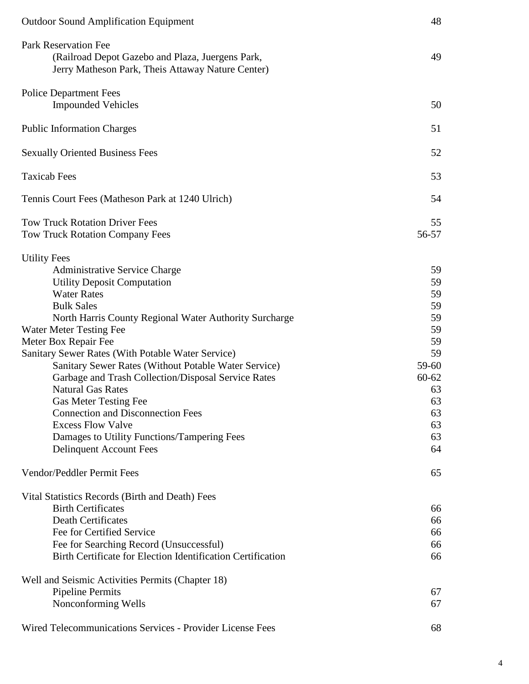| <b>Outdoor Sound Amplification Equipment</b>                                                                                                                                                                                                                                                                                                                                                                                                                                                                                                                                                                                                              | 48                                                                                                     |
|-----------------------------------------------------------------------------------------------------------------------------------------------------------------------------------------------------------------------------------------------------------------------------------------------------------------------------------------------------------------------------------------------------------------------------------------------------------------------------------------------------------------------------------------------------------------------------------------------------------------------------------------------------------|--------------------------------------------------------------------------------------------------------|
| Park Reservation Fee<br>(Railroad Depot Gazebo and Plaza, Juergens Park,<br>Jerry Matheson Park, Theis Attaway Nature Center)                                                                                                                                                                                                                                                                                                                                                                                                                                                                                                                             | 49                                                                                                     |
| <b>Police Department Fees</b><br><b>Impounded Vehicles</b>                                                                                                                                                                                                                                                                                                                                                                                                                                                                                                                                                                                                | 50                                                                                                     |
| <b>Public Information Charges</b>                                                                                                                                                                                                                                                                                                                                                                                                                                                                                                                                                                                                                         | 51                                                                                                     |
| <b>Sexually Oriented Business Fees</b>                                                                                                                                                                                                                                                                                                                                                                                                                                                                                                                                                                                                                    | 52                                                                                                     |
| <b>Taxicab Fees</b>                                                                                                                                                                                                                                                                                                                                                                                                                                                                                                                                                                                                                                       | 53                                                                                                     |
| Tennis Court Fees (Matheson Park at 1240 Ulrich)                                                                                                                                                                                                                                                                                                                                                                                                                                                                                                                                                                                                          | 54                                                                                                     |
| <b>Tow Truck Rotation Driver Fees</b><br><b>Tow Truck Rotation Company Fees</b>                                                                                                                                                                                                                                                                                                                                                                                                                                                                                                                                                                           | 55<br>56-57                                                                                            |
| <b>Utility Fees</b><br><b>Administrative Service Charge</b><br><b>Utility Deposit Computation</b><br><b>Water Rates</b><br><b>Bulk Sales</b><br>North Harris County Regional Water Authority Surcharge<br><b>Water Meter Testing Fee</b><br>Meter Box Repair Fee<br>Sanitary Sewer Rates (With Potable Water Service)<br>Sanitary Sewer Rates (Without Potable Water Service)<br>Garbage and Trash Collection/Disposal Service Rates<br><b>Natural Gas Rates</b><br><b>Gas Meter Testing Fee</b><br><b>Connection and Disconnection Fees</b><br><b>Excess Flow Valve</b><br>Damages to Utility Functions/Tampering Fees<br><b>Delinquent Account Fees</b> | 59<br>59<br>59<br>59<br>59<br>59<br>59<br>59<br>59-60<br>$60 - 62$<br>63<br>63<br>63<br>63<br>63<br>64 |
| Vendor/Peddler Permit Fees                                                                                                                                                                                                                                                                                                                                                                                                                                                                                                                                                                                                                                | 65                                                                                                     |
| Vital Statistics Records (Birth and Death) Fees<br><b>Birth Certificates</b><br><b>Death Certificates</b><br>Fee for Certified Service<br>Fee for Searching Record (Unsuccessful)<br>Birth Certificate for Election Identification Certification                                                                                                                                                                                                                                                                                                                                                                                                          | 66<br>66<br>66<br>66<br>66                                                                             |
| Well and Seismic Activities Permits (Chapter 18)<br><b>Pipeline Permits</b><br>Nonconforming Wells                                                                                                                                                                                                                                                                                                                                                                                                                                                                                                                                                        | 67<br>67                                                                                               |
| Wired Telecommunications Services - Provider License Fees                                                                                                                                                                                                                                                                                                                                                                                                                                                                                                                                                                                                 | 68                                                                                                     |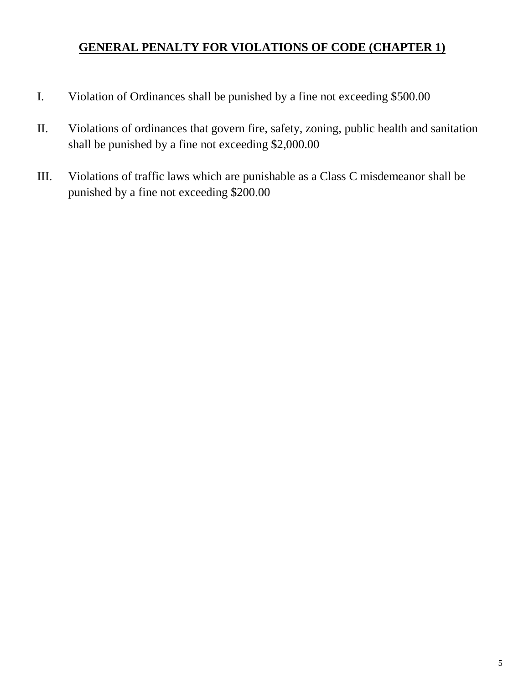## **GENERAL PENALTY FOR VIOLATIONS OF CODE (CHAPTER 1)**

- I. Violation of Ordinances shall be punished by a fine not exceeding \$500.00
- II. Violations of ordinances that govern fire, safety, zoning, public health and sanitation shall be punished by a fine not exceeding \$2,000.00
- III. Violations of traffic laws which are punishable as a Class C misdemeanor shall be punished by a fine not exceeding \$200.00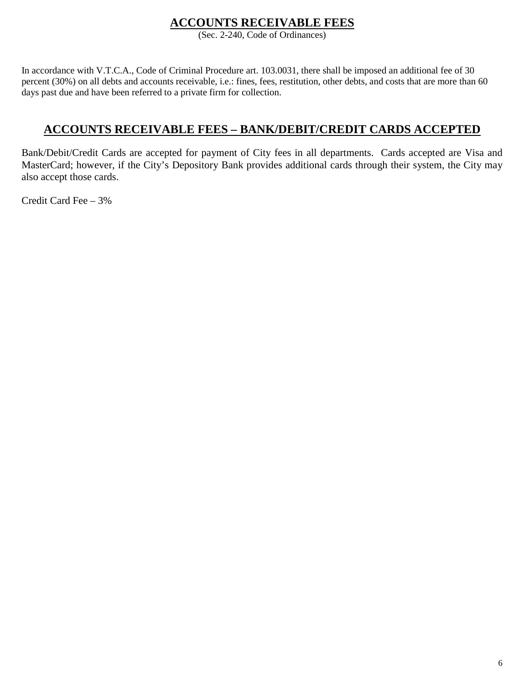## **ACCOUNTS RECEIVABLE FEES**

(Sec. 2-240, Code of Ordinances)

In accordance with V.T.C.A., Code of Criminal Procedure art. 103.0031, there shall be imposed an additional fee of 30 percent (30%) on all debts and accounts receivable, i.e.: fines, fees, restitution, other debts, and costs that are more than 60 days past due and have been referred to a private firm for collection.

## **ACCOUNTS RECEIVABLE FEES – BANK/DEBIT/CREDIT CARDS ACCEPTED**

Bank/Debit/Credit Cards are accepted for payment of City fees in all departments. Cards accepted are Visa and MasterCard; however, if the City's Depository Bank provides additional cards through their system, the City may also accept those cards.

Credit Card Fee – 3%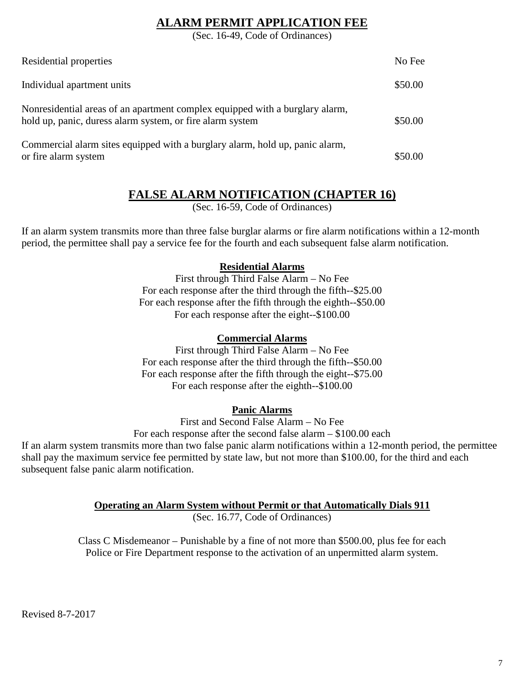## **ALARM PERMIT APPLICATION FEE**

(Sec. 16-49, Code of Ordinances)

| Residential properties                                                                                                                    | No Fee  |
|-------------------------------------------------------------------------------------------------------------------------------------------|---------|
| Individual apartment units                                                                                                                | \$50.00 |
| Nonresidential areas of an apartment complex equipped with a burglary alarm,<br>hold up, panic, duress alarm system, or fire alarm system | \$50.00 |
| Commercial alarm sites equipped with a burglary alarm, hold up, panic alarm,<br>or fire alarm system                                      | \$50.00 |

## **FALSE ALARM NOTIFICATION (CHAPTER 16)**

(Sec. 16-59, Code of Ordinances)

If an alarm system transmits more than three false burglar alarms or fire alarm notifications within a 12-month period, the permittee shall pay a service fee for the fourth and each subsequent false alarm notification.

### **Residential Alarms**

First through Third False Alarm – No Fee For each response after the third through the fifth--\$25.00 For each response after the fifth through the eighth--\$50.00 For each response after the eight--\$100.00

### **Commercial Alarms**

First through Third False Alarm – No Fee For each response after the third through the fifth--\$50.00 For each response after the fifth through the eight--\$75.00 For each response after the eighth--\$100.00

### **Panic Alarms**

First and Second False Alarm – No Fee

For each response after the second false alarm – \$100.00 each

If an alarm system transmits more than two false panic alarm notifications within a 12-month period, the permittee shall pay the maximum service fee permitted by state law, but not more than \$100.00, for the third and each subsequent false panic alarm notification.

### **Operating an Alarm System without Permit or that Automatically Dials 911**

(Sec. 16.77, Code of Ordinances)

Class C Misdemeanor – Punishable by a fine of not more than \$500.00, plus fee for each Police or Fire Department response to the activation of an unpermitted alarm system.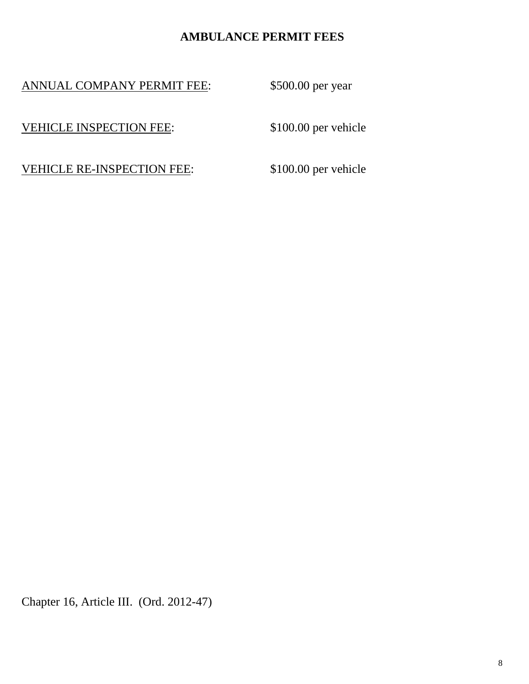## **AMBULANCE PERMIT FEES**

ANNUAL COMPANY PERMIT FEE: \$500.00 per year

VEHICLE INSPECTION FEE: \$100.00 per vehicle

VEHICLE RE-INSPECTION FEE: \$100.00 per vehicle

Chapter 16, Article III. (Ord. 2012-47)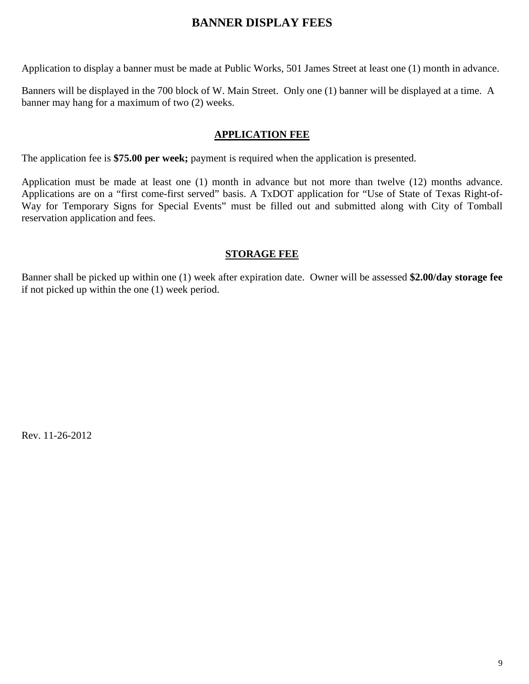## **BANNER DISPLAY FEES**

Application to display a banner must be made at Public Works, 501 James Street at least one (1) month in advance.

Banners will be displayed in the 700 block of W. Main Street. Only one (1) banner will be displayed at a time. A banner may hang for a maximum of two (2) weeks.

### **APPLICATION FEE**

The application fee is **\$75.00 per week;** payment is required when the application is presented.

Application must be made at least one (1) month in advance but not more than twelve (12) months advance. Applications are on a "first come-first served" basis. A TxDOT application for "Use of State of Texas Right-of-Way for Temporary Signs for Special Events" must be filled out and submitted along with City of Tomball reservation application and fees.

### **STORAGE FEE**

Banner shall be picked up within one (1) week after expiration date. Owner will be assessed **\$2.00/day storage fee** if not picked up within the one (1) week period.

Rev. 11-26-2012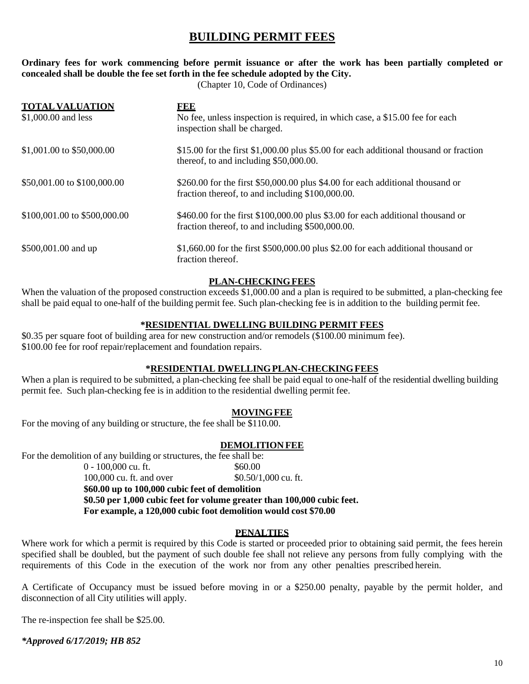## **BUILDING PERMIT FEES**

#### **Ordinary fees for work commencing before permit issuance or after the work has been partially completed or concealed shall be double the fee set forth in the fee schedule adopted by the City.**

(Chapter 10, Code of Ordinances)

| <b>TOTAL VALUATION</b><br>\$1,000.00 and less | EEE<br>No fee, unless inspection is required, in which case, a \$15.00 fee for each<br>inspection shall be charged.                 |
|-----------------------------------------------|-------------------------------------------------------------------------------------------------------------------------------------|
| \$1,001.00 to \$50,000.00                     | \$15.00 for the first \$1,000.00 plus \$5.00 for each additional thousand or fraction<br>thereof, to and including \$50,000.00.     |
| \$50,001.00 to \$100,000.00                   | $$260.00$ for the first \$50,000.00 plus \$4.00 for each additional thousand or<br>fraction thereof, to and including \$100,000.00. |
| \$100,001.00 to \$500,000.00                  | \$460.00 for the first \$100,000.00 plus \$3.00 for each additional thousand or<br>fraction thereof, to and including \$500,000.00. |
| \$500,001.00 and up                           | $$1,660.00$ for the first \$500,000.00 plus \$2.00 for each additional thousand or<br>fraction thereof.                             |

#### **PLAN-CHECKINGFEES**

When the valuation of the proposed construction exceeds \$1,000.00 and a plan is required to be submitted, a plan-checking fee shall be paid equal to one-half of the building permit fee. Such plan-checking fee is in addition to the building permit fee.

#### **\*RESIDENTIAL DWELLING BUILDING PERMIT FEES**

\$0.35 per square foot of building area for new construction and/or remodels (\$100.00 minimum fee). \$100.00 fee for roof repair/replacement and foundation repairs.

#### **\*RESIDENTIAL DWELLINGPLAN-CHECKINGFEES**

When a plan is required to be submitted, a plan-checking fee shall be paid equal to one-half of the residential dwelling building permit fee. Such plan-checking fee is in addition to the residential dwelling permit fee.

#### **MOVINGFEE**

For the moving of any building or structure, the fee shall be \$110.00.

#### **DEMOLITION FEE**

For the demolition of any building or structures, the fee shall be:

 $0 - 100,000$  cu. ft.  $$60,00$ 100,000 cu. ft. and over \$0.50/1,000 cu. ft. **\$60.00 up to 100,000 cubic feet of demolition \$0.50 per 1,000 cubic feet for volume greater than 100,000 cubic feet. For example, a 120,000 cubic foot demolition would cost \$70.00**

#### **PENALTIES**

Where work for which a permit is required by this Code is started or proceeded prior to obtaining said permit, the fees herein specified shall be doubled, but the payment of such double fee shall not relieve any persons from fully complying with the requirements of this Code in the execution of the work nor from any other penalties prescribed herein.

A Certificate of Occupancy must be issued before moving in or a \$250.00 penalty, payable by the permit holder, and disconnection of all City utilities will apply.

The re-inspection fee shall be \$25.00.

*\*Approved 6/17/2019; HB 852*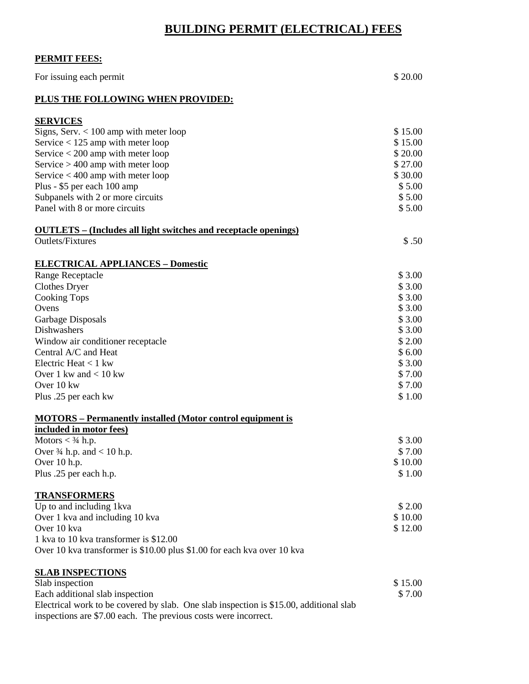## **BUILDING PERMIT (ELECTRICAL) FEES**

### **PERMIT FEES:**

| For issuing each permit                                                                                                                                   | \$20.00           |
|-----------------------------------------------------------------------------------------------------------------------------------------------------------|-------------------|
| PLUS THE FOLLOWING WHEN PROVIDED:                                                                                                                         |                   |
| <b>SERVICES</b>                                                                                                                                           |                   |
| Signs, Serv. $< 100$ amp with meter loop                                                                                                                  | \$15.00           |
| Service $<$ 125 amp with meter loop                                                                                                                       | \$15.00           |
| Service $<$ 200 amp with meter loop                                                                                                                       | \$20.00           |
| Service $> 400$ amp with meter loop                                                                                                                       | \$27.00           |
| Service $<$ 400 amp with meter loop                                                                                                                       | \$30.00           |
| Plus - \$5 per each 100 amp                                                                                                                               | \$5.00            |
| Subpanels with 2 or more circuits                                                                                                                         | \$5.00            |
| Panel with 8 or more circuits                                                                                                                             | \$5.00            |
| <b>OUTLETS</b> – (Includes all light switches and receptacle openings)                                                                                    |                   |
| Outlets/Fixtures                                                                                                                                          | \$.50             |
| <b>ELECTRICAL APPLIANCES - Domestic</b>                                                                                                                   |                   |
| Range Receptacle                                                                                                                                          | \$3.00            |
| <b>Clothes Dryer</b>                                                                                                                                      | \$3.00            |
| <b>Cooking Tops</b>                                                                                                                                       | \$3.00            |
| Ovens                                                                                                                                                     | \$3.00            |
| Garbage Disposals                                                                                                                                         | \$3.00            |
| Dishwashers                                                                                                                                               | \$3.00            |
| Window air conditioner receptacle                                                                                                                         | \$2.00            |
| Central A/C and Heat                                                                                                                                      | \$6.00            |
| Electric Heat $<$ 1 kw                                                                                                                                    | \$3.00            |
| Over 1 kw and $< 10$ kw                                                                                                                                   | \$7.00            |
| Over 10 kw                                                                                                                                                | \$7.00            |
| Plus .25 per each kw                                                                                                                                      | \$1.00            |
| <b>MOTORS</b> – Permanently installed (Motor control equipment is                                                                                         |                   |
| included in motor fees)                                                                                                                                   |                   |
| Motors $<$ 3/4 h.p.                                                                                                                                       | \$3.00            |
| Over $\frac{3}{4}$ h.p. and < 10 h.p.                                                                                                                     | \$7.00<br>\$10.00 |
| Over 10 h.p.                                                                                                                                              |                   |
| Plus .25 per each h.p.                                                                                                                                    | \$1.00            |
| <b>TRANSFORMERS</b>                                                                                                                                       |                   |
| Up to and including 1kva                                                                                                                                  | \$2.00            |
| Over 1 kva and including 10 kva                                                                                                                           | \$10.00           |
| Over 10 kva                                                                                                                                               | \$12.00           |
| 1 kva to 10 kva transformer is \$12.00                                                                                                                    |                   |
| Over 10 kva transformer is \$10.00 plus \$1.00 for each kva over 10 kva                                                                                   |                   |
| <b>SLAB INSPECTIONS</b>                                                                                                                                   |                   |
| Slab inspection                                                                                                                                           | \$15.00           |
| Each additional slab inspection                                                                                                                           | \$7.00            |
| Electrical work to be covered by slab. One slab inspection is \$15.00, additional slab<br>inspections are \$7.00 each. The previous costs were incorrect. |                   |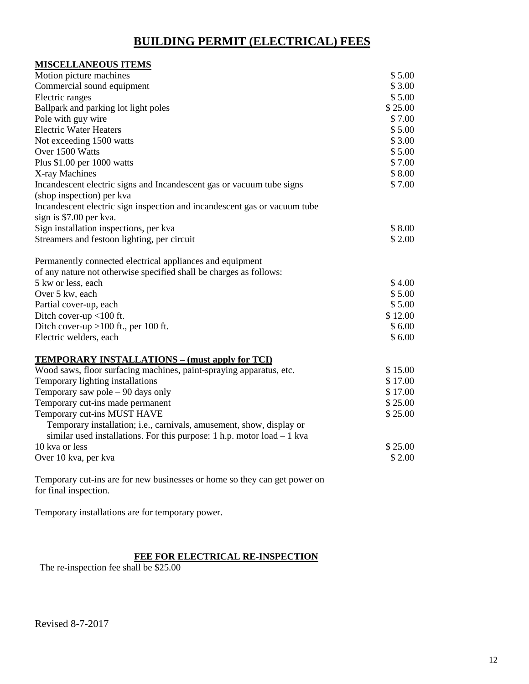## **BUILDING PERMIT (ELECTRICAL) FEES**

| <b>MISCELLANEOUS ITEMS</b>                                                  |         |
|-----------------------------------------------------------------------------|---------|
| Motion picture machines                                                     | \$5.00  |
| Commercial sound equipment                                                  | \$3.00  |
| Electric ranges                                                             | \$5.00  |
| Ballpark and parking lot light poles                                        | \$25.00 |
| Pole with guy wire                                                          | \$7.00  |
| <b>Electric Water Heaters</b>                                               | \$5.00  |
| Not exceeding 1500 watts                                                    | \$3.00  |
| Over 1500 Watts                                                             | \$5.00  |
| Plus \$1.00 per 1000 watts                                                  | \$7.00  |
| X-ray Machines                                                              | \$8.00  |
| Incandescent electric signs and Incandescent gas or vacuum tube signs       | \$7.00  |
| (shop inspection) per kva                                                   |         |
| Incandescent electric sign inspection and incandescent gas or vacuum tube   |         |
| sign is \$7.00 per kva.                                                     |         |
| Sign installation inspections, per kva                                      | \$8.00  |
| Streamers and festoon lighting, per circuit                                 | \$2.00  |
| Permanently connected electrical appliances and equipment                   |         |
| of any nature not otherwise specified shall be charges as follows:          |         |
| 5 kw or less, each                                                          | \$4.00  |
| Over 5 kw, each                                                             | \$5.00  |
| Partial cover-up, each                                                      | \$5.00  |
| Ditch cover-up <100 ft.                                                     | \$12.00 |
| Ditch cover-up $>100$ ft., per 100 ft.                                      | \$6.00  |
| Electric welders, each                                                      | \$6.00  |
| <b>TEMPORARY INSTALLATIONS – (must apply for TCI)</b>                       |         |
| Wood saws, floor surfacing machines, paint-spraying apparatus, etc.         | \$15.00 |
| Temporary lighting installations                                            | \$17.00 |
| Temporary saw pole - 90 days only                                           | \$17.00 |
| Temporary cut-ins made permanent                                            | \$25.00 |
| Temporary cut-ins MUST HAVE                                                 | \$25.00 |
| Temporary installation; i.e., carnivals, amusement, show, display or        |         |
| similar used installations. For this purpose: $1$ h.p. motor $load - 1$ kva |         |
| 10 kva or less                                                              | \$25.00 |
| Over 10 kva, per kva                                                        | \$2.00  |
|                                                                             |         |

Temporary cut-ins are for new businesses or home so they can get power on for final inspection.

Temporary installations are for temporary power.

#### **FEE FOR ELECTRICAL RE-INSPECTION**

The re-inspection fee shall be \$25.00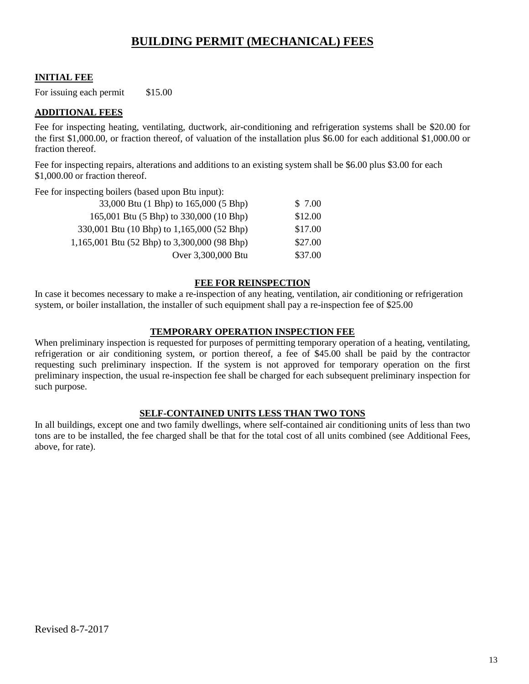## **BUILDING PERMIT (MECHANICAL) FEES**

#### **INITIAL FEE**

For issuing each permit \$15.00

#### **ADDITIONAL FEES**

Fee for inspecting heating, ventilating, ductwork, air-conditioning and refrigeration systems shall be \$20.00 for the first \$1,000.00, or fraction thereof, of valuation of the installation plus \$6.00 for each additional \$1,000.00 or fraction thereof.

Fee for inspecting repairs, alterations and additions to an existing system shall be \$6.00 plus \$3.00 for each \$1,000,00 or fraction thereof.

Fee for inspecting boilers (based upon Btu input):

| 33,000 Btu (1 Bhp) to 165,000 (5 Bhp)        | \$7.00  |
|----------------------------------------------|---------|
| 165,001 Btu (5 Bhp) to 330,000 (10 Bhp)      | \$12.00 |
| 330,001 Btu (10 Bhp) to 1,165,000 (52 Bhp)   | \$17.00 |
| 1,165,001 Btu (52 Bhp) to 3,300,000 (98 Bhp) | \$27.00 |
| Over 3,300,000 Btu                           | \$37.00 |

#### **FEE FOR REINSPECTION**

In case it becomes necessary to make a re-inspection of any heating, ventilation, air conditioning or refrigeration system, or boiler installation, the installer of such equipment shall pay a re-inspection fee of \$25.00

#### **TEMPORARY OPERATION INSPECTION FEE**

When preliminary inspection is requested for purposes of permitting temporary operation of a heating, ventilating, refrigeration or air conditioning system, or portion thereof, a fee of \$45.00 shall be paid by the contractor requesting such preliminary inspection. If the system is not approved for temporary operation on the first preliminary inspection, the usual re-inspection fee shall be charged for each subsequent preliminary inspection for such purpose.

#### **SELF-CONTAINED UNITS LESS THAN TWO TONS**

In all buildings, except one and two family dwellings, where self-contained air conditioning units of less than two tons are to be installed, the fee charged shall be that for the total cost of all units combined (see Additional Fees, above, for rate).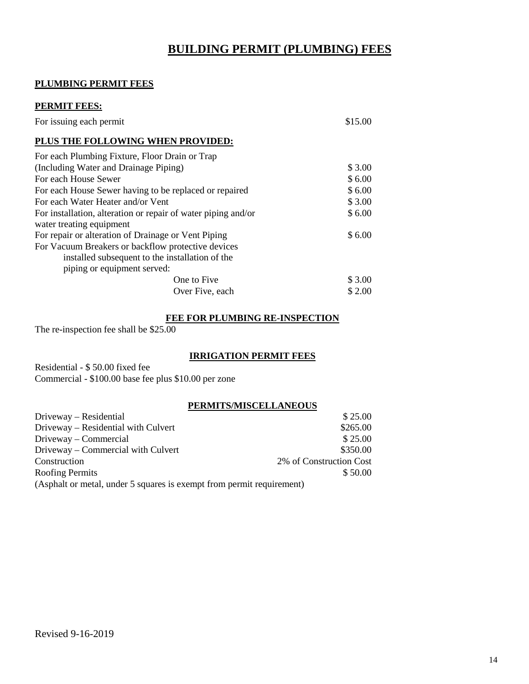## **BUILDING PERMIT (PLUMBING) FEES**

#### **PLUMBING PERMIT FEES**

| <b>PERMIT FEES:</b>                                                                       |         |
|-------------------------------------------------------------------------------------------|---------|
| For issuing each permit                                                                   | \$15.00 |
| PLUS THE FOLLOWING WHEN PROVIDED:                                                         |         |
| For each Plumbing Fixture, Floor Drain or Trap                                            |         |
| (Including Water and Drainage Piping)                                                     | \$3.00  |
| For each House Sewer                                                                      | \$6.00  |
| For each House Sewer having to be replaced or repaired                                    | \$6.00  |
| For each Water Heater and/or Vent                                                         | \$3.00  |
| For installation, alteration or repair of water piping and/or<br>water treating equipment | \$6.00  |
| For repair or alteration of Drainage or Vent Piping                                       | \$6.00  |
| For Vacuum Breakers or backflow protective devices                                        |         |
| installed subsequent to the installation of the                                           |         |
| piping or equipment served:                                                               |         |
| One to Five                                                                               | \$3.00  |
| Over Five, each                                                                           | \$2.00  |

#### **FEE FOR PLUMBING RE-INSPECTION**

The re-inspection fee shall be \$25.00

#### **IRRIGATION PERMIT FEES**

Residential - \$ 50.00 fixed fee Commercial - \$100.00 base fee plus \$10.00 per zone

#### **PERMITS/MISCELLANEOUS**

| Driveway – Residential                                                | \$25.00                 |
|-----------------------------------------------------------------------|-------------------------|
| Driveway – Residential with Culvert                                   | \$265.00                |
| Driveway – Commercial                                                 | \$25.00                 |
| Driveway – Commercial with Culvert                                    | \$350.00                |
| Construction                                                          | 2% of Construction Cost |
| <b>Roofing Permits</b>                                                | \$50.00                 |
| (Asphalt or metal, under 5 squares is exempt from permit requirement) |                         |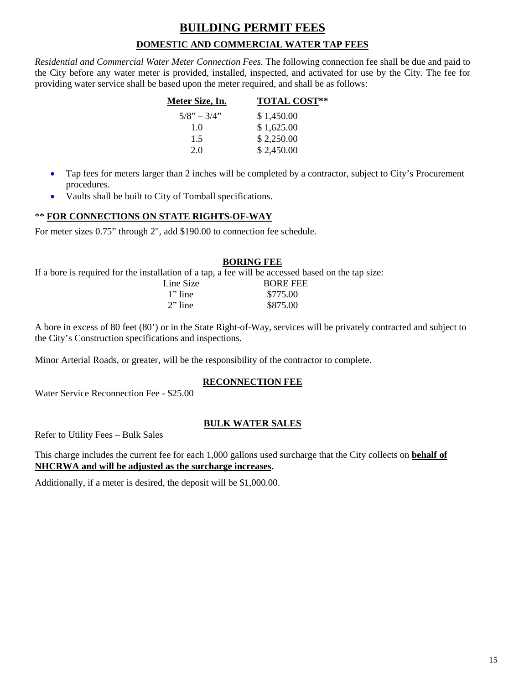## **BUILDING PERMIT FEES DOMESTIC AND COMMERCIAL WATER TAP FEES**

*Residential and Commercial Water Meter Connection Fees.* The following connection fee shall be due and paid to the City before any water meter is provided, installed, inspected, and activated for use by the City. The fee for providing water service shall be based upon the meter required, and shall be as follows:

| Meter Size, In. | <b>TOTAL COST**</b> |  |
|-----------------|---------------------|--|
| $5/8" - 3/4"$   | \$1,450.00          |  |
| 1.0             | \$1,625.00          |  |
| 1.5             | \$2,250.00          |  |
| 2.0             | \$2,450.00          |  |

- Tap fees for meters larger than 2 inches will be completed by a contractor, subject to City's Procurement procedures.
- Vaults shall be built to City of Tomball specifications.

#### \*\* **FOR CONNECTIONS ON STATE RIGHTS-OF-WAY**

For meter sizes 0.75" through 2", add \$190.00 to connection fee schedule.

#### **BORING FEE**

If a bore is required for the installation of a tap, a fee will be accessed based on the tap size:

| Line Size  | <b>BORE FEE</b> |
|------------|-----------------|
| $1$ " line | \$775.00        |
| $2$ " line | \$875.00        |

A bore in excess of 80 feet (80') or in the State Right-of-Way, services will be privately contracted and subject to the City's Construction specifications and inspections.

Minor Arterial Roads, or greater, will be the responsibility of the contractor to complete.

#### **RECONNECTION FEE**

Water Service Reconnection Fee - \$25.00

#### **BULK WATER SALES**

Refer to Utility Fees – Bulk Sales

This charge includes the current fee for each 1,000 gallons used surcharge that the City collects on **behalf of NHCRWA and will be adjusted as the surcharge increases.**

Additionally, if a meter is desired, the deposit will be \$1,000.00.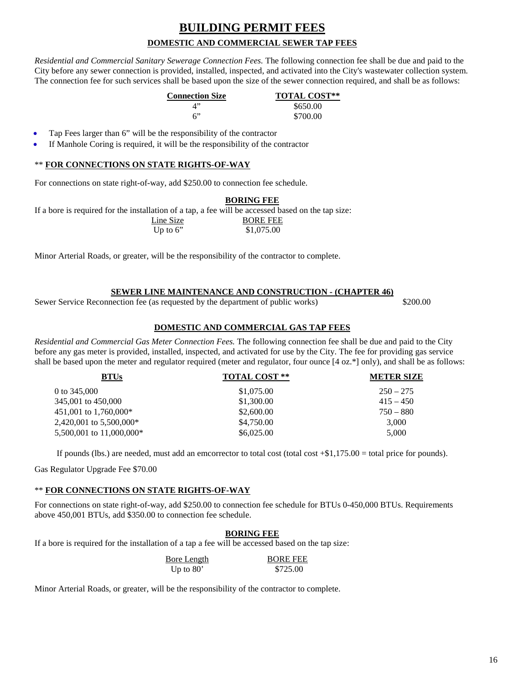## **BUILDING PERMIT FEES DOMESTIC AND COMMERCIAL SEWER TAP FEES**

*Residential and Commercial Sanitary Sewerage Connection Fees.* The following connection fee shall be due and paid to the City before any sewer connection is provided, installed, inspected, and activated into the City's wastewater collection system. The connection fee for such services shall be based upon the size of the sewer connection required, and shall be as follows:

| <b>Connection Size</b> | <b>TOTAL COST**</b> |
|------------------------|---------------------|
| $\mathcal{A}$          | \$650.00            |
| ና"                     | \$700.00            |

- Tap Fees larger than 6" will be the responsibility of the contractor
- If Manhole Coring is required, it will be the responsibility of the contractor

#### \*\* **FOR CONNECTIONS ON STATE RIGHTS-OF-WAY**

For connections on state right-of-way, add \$250.00 to connection fee schedule.

|                                                                                                    | <b>BORING FEE</b> |
|----------------------------------------------------------------------------------------------------|-------------------|
| If a bore is required for the installation of a tap, a fee will be accessed based on the tap size: |                   |
| Line Size                                                                                          | <b>BORE FEE</b>   |
| Up to $6$ "                                                                                        | \$1,075.00        |

Minor Arterial Roads, or greater, will be the responsibility of the contractor to complete.

#### **SEWER LINE MAINTENANCE AND CONSTRUCTION - (CHAPTER 46)**

Sewer Service Reconnection fee (as requested by the department of public works) \$200.00

#### **DOMESTIC AND COMMERCIAL GAS TAP FEES**

*Residential and Commercial Gas Meter Connection Fees.* The following connection fee shall be due and paid to the City before any gas meter is provided, installed, inspected, and activated for use by the City. The fee for providing gas service shall be based upon the meter and regulator required (meter and regulator, four ounce [4 oz.\*] only), and shall be as follows:

| <b>TOTAL COST **</b> | <b>METER SIZE</b> |
|----------------------|-------------------|
| \$1,075.00           | $250 - 275$       |
| \$1,300.00           | $415 - 450$       |
| \$2,600.00           | $750 - 880$       |
| \$4,750.00           | 3,000             |
| \$6,025,00           | 5.000             |
|                      |                   |

If pounds (lbs.) are needed, must add an emcorrector to total cost (total cost  $+\$1,175.00 =$  total price for pounds).

Gas Regulator Upgrade Fee \$70.00

#### \*\* **FOR CONNECTIONS ON STATE RIGHTS-OF-WAY**

For connections on state right-of-way, add \$250.00 to connection fee schedule for BTUs 0-450,000 BTUs. Requirements above 450,001 BTUs, add \$350.00 to connection fee schedule.

#### **BORING FEE**

If a bore is required for the installation of a tap a fee will be accessed based on the tap size:

| Bore Length | <b>BORE FEE</b> |
|-------------|-----------------|
| Up to $80'$ | \$725.00        |

Minor Arterial Roads, or greater, will be the responsibility of the contractor to complete.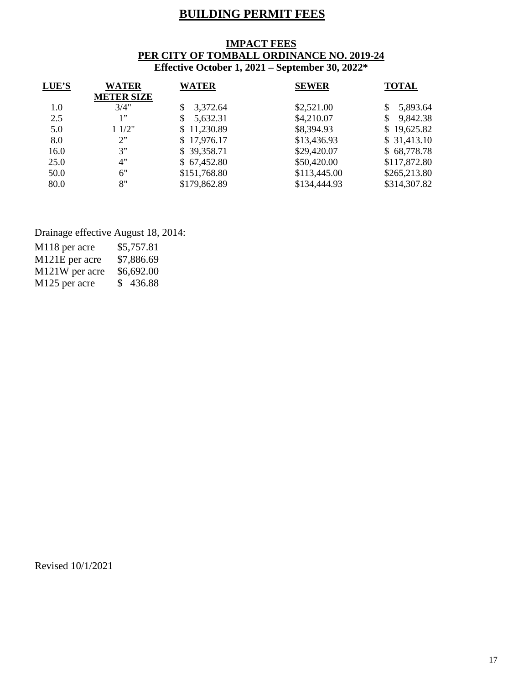## **BUILDING PERMIT FEES**

#### **IMPACT FEES PER CITY OF TOMBALL ORDINANCE NO. 2019-24 Effective October 1, 2021 – September 30, 2022\***

| LUE'S | <b>WATER</b><br><b>METER SIZE</b> | <b>WATER</b>   | <b>SEWER</b> | <b>TOTAL</b> |
|-------|-----------------------------------|----------------|--------------|--------------|
| 1.0   | 3/4"                              | 3,372.64<br>S. | \$2,521.00   | 5,893.64     |
| 2.5   | 1"                                | 5,632.31       | \$4,210.07   | 9,842.38     |
| 5.0   | 11/2"                             | \$11,230.89    | \$8,394.93   | \$19,625.82  |
| 8.0   | 2"                                | \$17,976.17    | \$13,436.93  | \$31,413.10  |
| 16.0  | 3"                                | \$39,358.71    | \$29,420.07  | \$68,778.78  |
| 25.0  | 4"                                | \$67,452.80    | \$50,420.00  | \$117,872.80 |
| 50.0  | 6"                                | \$151,768.80   | \$113,445.00 | \$265,213.80 |
| 80.0  | 8"                                | \$179,862.89   | \$134,444.93 | \$314,307.82 |
|       |                                   |                |              |              |

Drainage effective August 18, 2014:

| M118 per acre  | \$5,757.81 |
|----------------|------------|
| M121E per acre | \$7,886.69 |
| M121W per acre | \$6,692.00 |
| M125 per acre  | \$436.88   |

Revised 10/1/2021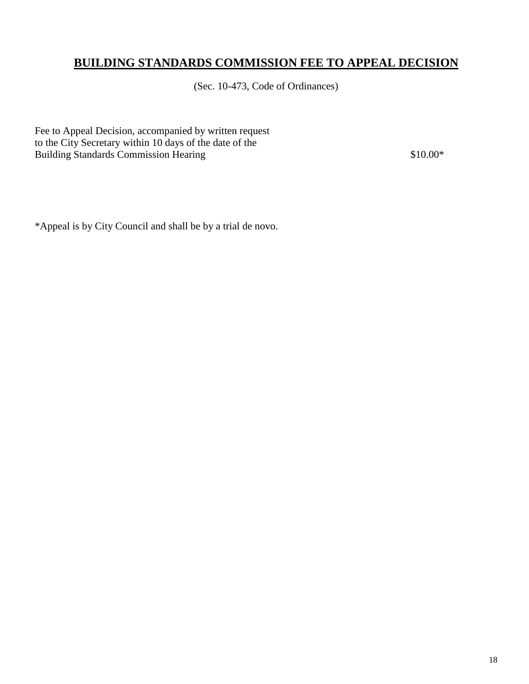## **BUILDING STANDARDS COMMISSION FEE TO APPEAL DECISION**

(Sec. 10-473, Code of Ordinances)

Fee to Appeal Decision, accompanied by written request to the City Secretary within 10 days of the date of the Building Standards Commission Hearing \$10.00\*

\*Appeal is by City Council and shall be by a trial de novo.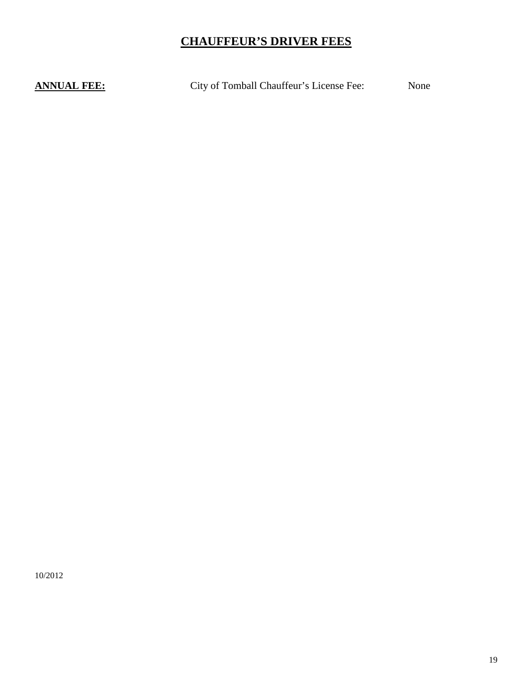## **CHAUFFEUR'S DRIVER FEES**

**ANNUAL FEE:** City of Tomball Chauffeur's License Fee: None

10/2012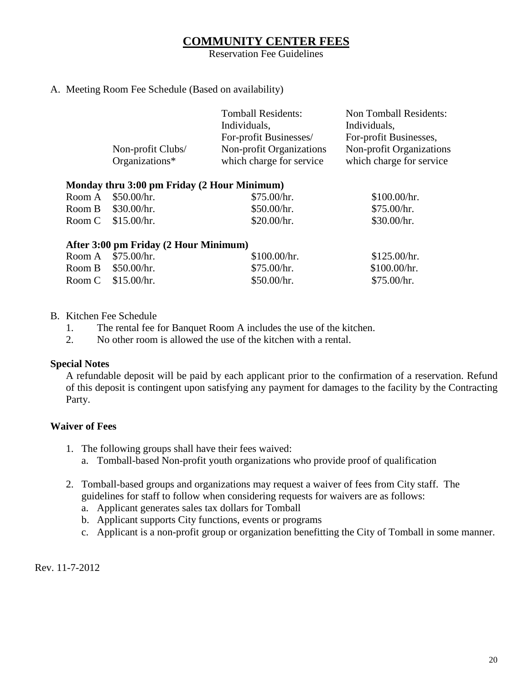### **COMMUNITY CENTER FEES**

Reservation Fee Guidelines

#### A. Meeting Room Fee Schedule (Based on availability)

|        | Non-profit Clubs/<br>Organizations*         | <b>Tomball Residents:</b><br>Individuals,<br>For-profit Businesses/<br>Non-profit Organizations<br>which charge for service | Non Tomball Residents:<br>Individuals,<br>For-profit Businesses,<br>Non-profit Organizations<br>which charge for service |
|--------|---------------------------------------------|-----------------------------------------------------------------------------------------------------------------------------|--------------------------------------------------------------------------------------------------------------------------|
|        | Monday thru 3:00 pm Friday (2 Hour Minimum) |                                                                                                                             |                                                                                                                          |
| Room A | \$50.00/hr.                                 | \$75.00/hr.                                                                                                                 | \$100.00/hr.                                                                                                             |
| Room B | \$30.00/hr.                                 | \$50.00/hr.                                                                                                                 | \$75.00/hr.                                                                                                              |
| Room C | \$15.00/hr.                                 | \$20.00/hr.                                                                                                                 | \$30.00/hr.                                                                                                              |
|        | After 3:00 pm Friday (2 Hour Minimum)       |                                                                                                                             |                                                                                                                          |
| Room A | \$75.00/hr.                                 | \$100.00/hr.                                                                                                                | \$125.00/hr.                                                                                                             |
| Room B | \$50.00/hr.                                 | \$75.00/hr.                                                                                                                 | \$100.00/hr.                                                                                                             |
| Room C | \$15.00/hr.                                 | \$50.00/hr.                                                                                                                 | \$75.00/hr.                                                                                                              |

#### B. Kitchen Fee Schedule

1. The rental fee for Banquet Room A includes the use of the kitchen.

2. No other room is allowed the use of the kitchen with a rental.

#### **Special Notes**

A refundable deposit will be paid by each applicant prior to the confirmation of a reservation. Refund of this deposit is contingent upon satisfying any payment for damages to the facility by the Contracting Party.

### **Waiver of Fees**

- 1. The following groups shall have their fees waived:
	- a. Tomball-based Non-profit youth organizations who provide proof of qualification
- 2. Tomball-based groups and organizations may request a waiver of fees from City staff. The guidelines for staff to follow when considering requests for waivers are as follows:
	- a. Applicant generates sales tax dollars for Tomball
	- b. Applicant supports City functions, events or programs
	- c. Applicant is a non-profit group or organization benefitting the City of Tomball in some manner.

Rev. 11-7-2012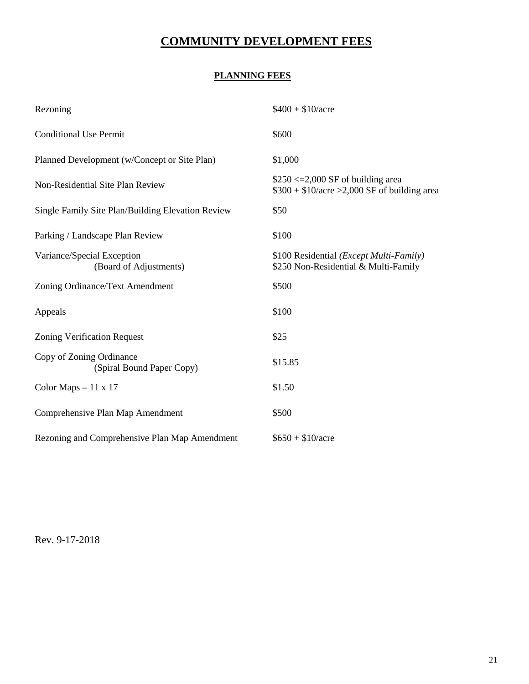## **COMMUNITY DEVELOPMENT FEES**

### **PLANNING FEES**

| Rezoning                                              | $$400 + $10/$ acre                                                                       |
|-------------------------------------------------------|------------------------------------------------------------------------------------------|
| <b>Conditional Use Permit</b>                         | \$600                                                                                    |
| Planned Development (w/Concept or Site Plan)          | \$1,000                                                                                  |
| Non-Residential Site Plan Review                      | $$250 \le 2,000$ SF of building area<br>$$300 + $10/$ acre >2,000 SF of building area    |
| Single Family Site Plan/Building Elevation Review     | \$50                                                                                     |
| Parking / Landscape Plan Review                       | \$100                                                                                    |
| Variance/Special Exception<br>(Board of Adjustments)  | \$100 Residential ( <i>Except Multi-Family</i> )<br>\$250 Non-Residential & Multi-Family |
| Zoning Ordinance/Text Amendment                       | \$500                                                                                    |
| Appeals                                               | \$100                                                                                    |
| <b>Zoning Verification Request</b>                    | \$25                                                                                     |
| Copy of Zoning Ordinance<br>(Spiral Bound Paper Copy) | \$15.85                                                                                  |
| Color Maps $-11 \times 17$                            | \$1.50                                                                                   |
| Comprehensive Plan Map Amendment                      | \$500                                                                                    |
| Rezoning and Comprehensive Plan Map Amendment         | $$650 + $10/$ acre                                                                       |

Rev. 9-17-2018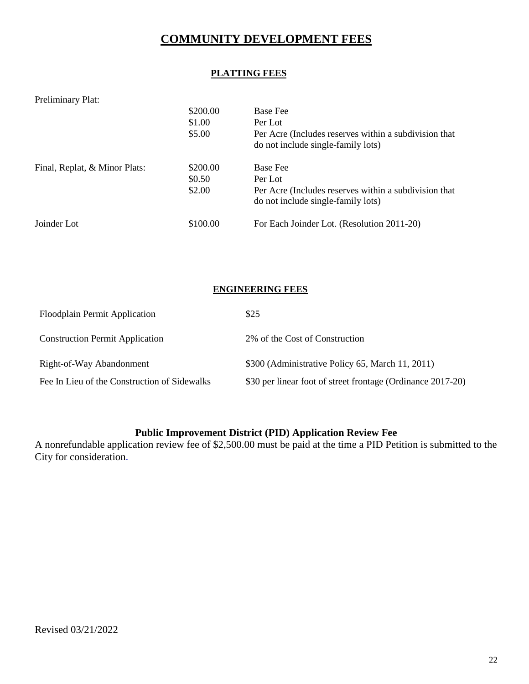## **COMMUNITY DEVELOPMENT FEES**

### **PLATTING FEES**

| Preliminary Plat:             |          |                                                       |
|-------------------------------|----------|-------------------------------------------------------|
|                               | \$200.00 | <b>Base Fee</b>                                       |
|                               | \$1.00   | Per Lot                                               |
|                               | \$5.00   | Per Acre (Includes reserves within a subdivision that |
|                               |          | do not include single-family lots)                    |
| Final, Replat, & Minor Plats: | \$200.00 | <b>Base Fee</b>                                       |
|                               | \$0.50   | Per Lot                                               |
|                               | \$2.00   | Per Acre (Includes reserves within a subdivision that |
|                               |          | do not include single-family lots)                    |
| Joinder Lot                   | \$100.00 | For Each Joinder Lot. (Resolution 2011-20)            |

#### **ENGINEERING FEES**

| <b>Floodplain Permit Application</b>         | \$25                                                        |
|----------------------------------------------|-------------------------------------------------------------|
| <b>Construction Permit Application</b>       | 2% of the Cost of Construction                              |
| Right-of-Way Abandonment                     | \$300 (Administrative Policy 65, March 11, 2011)            |
| Fee In Lieu of the Construction of Sidewalks | \$30 per linear foot of street frontage (Ordinance 2017-20) |

### **Public Improvement District (PID) Application Review Fee**

A nonrefundable application review fee of \$2,500.00 must be paid at the time a PID Petition is submitted to the City for consideration.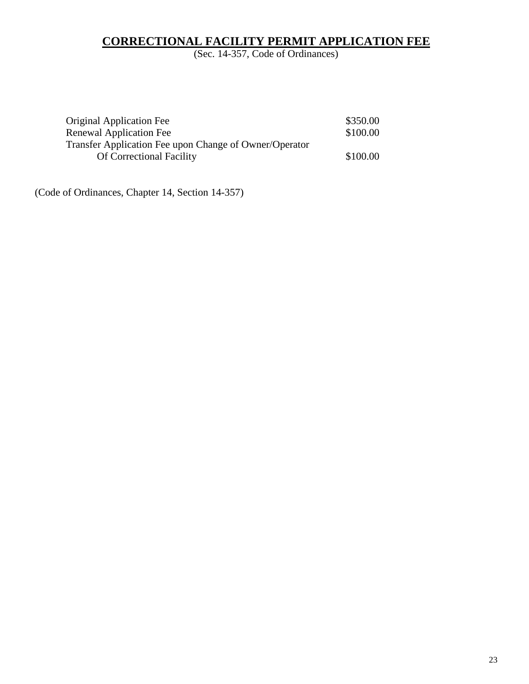### **CORRECTIONAL FACILITY PERMIT APPLICATION FEE**

(Sec. 14-357, Code of Ordinances)

| <b>Original Application Fee</b>                        | \$350.00 |
|--------------------------------------------------------|----------|
| Renewal Application Fee                                | \$100.00 |
| Transfer Application Fee upon Change of Owner/Operator |          |
| <b>Of Correctional Facility</b>                        | \$100.00 |

(Code of Ordinances, Chapter 14, Section 14-357)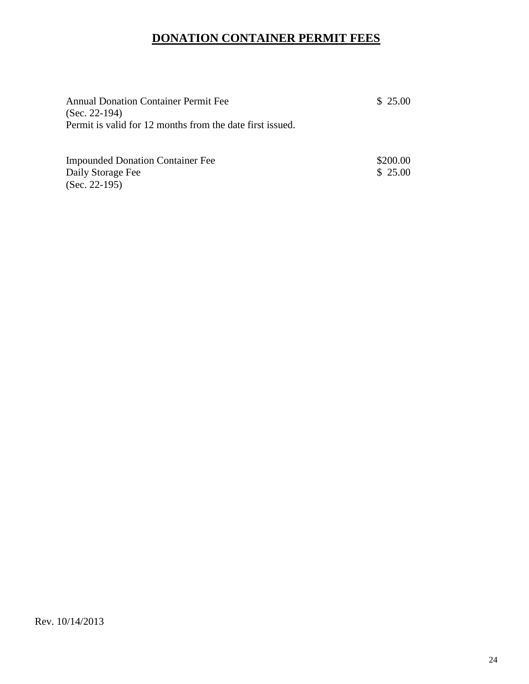## **DONATION CONTAINER PERMIT FEES**

| <b>Annual Donation Container Permit Fee</b><br>$(Sec. 22-194)$<br>Permit is valid for 12 months from the date first issued. |                     |
|-----------------------------------------------------------------------------------------------------------------------------|---------------------|
| <b>Impounded Donation Container Fee</b><br>Daily Storage Fee<br>$(Sec. 22-195)$                                             | \$200.00<br>\$25.00 |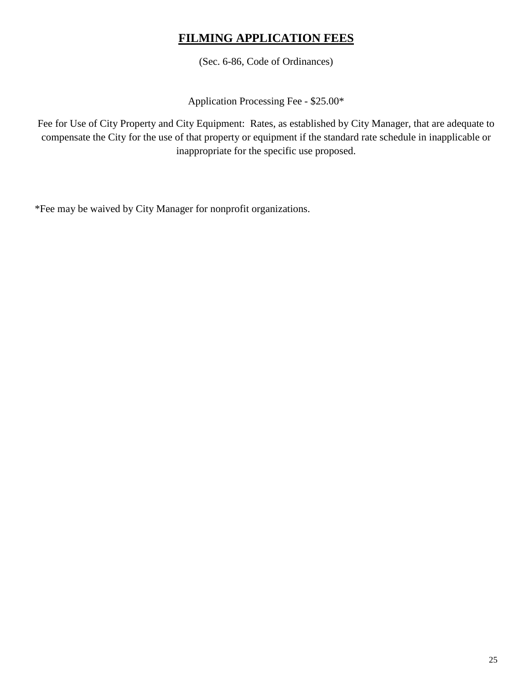## **FILMING APPLICATION FEES**

(Sec. 6-86, Code of Ordinances)

Application Processing Fee - \$25.00\*

Fee for Use of City Property and City Equipment: Rates, as established by City Manager, that are adequate to compensate the City for the use of that property or equipment if the standard rate schedule in inapplicable or inappropriate for the specific use proposed.

\*Fee may be waived by City Manager for nonprofit organizations.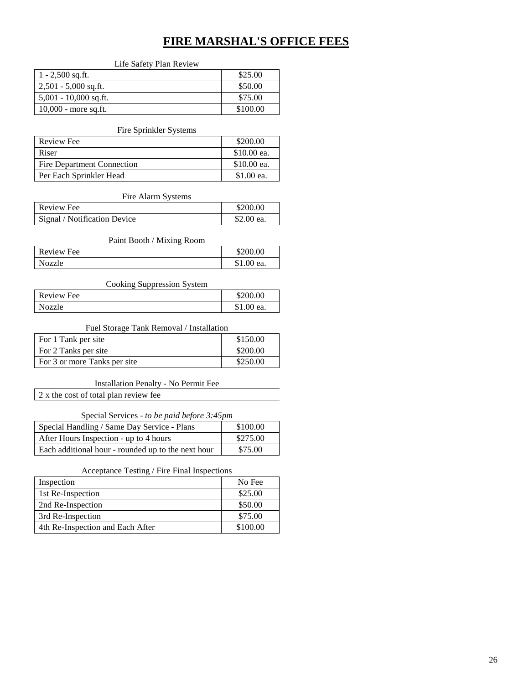## **FIRE MARSHAL'S OFFICE FEES**

#### Life Safety Plan Review

| $1 - 2,500$ sq.ft.      | \$25.00  |
|-------------------------|----------|
| $2,501 - 5,000$ sq.ft.  | \$50.00  |
| $5,001 - 10,000$ sq.ft. | \$75.00  |
| $10,000$ - more sq.ft.  | \$100.00 |

#### Fire Sprinkler Systems

| Review Fee                 | \$200.00    |
|----------------------------|-------------|
| Riser                      | \$10.00 ea. |
| Fire Department Connection | \$10.00 ea. |
| Per Each Sprinkler Head    | \$1.00 ea.  |

#### Fire Alarm Systems

| Review Fee                   | \$200.00   |
|------------------------------|------------|
| Signal / Notification Device | \$2.00 ea. |

#### Paint Booth / Mixing Room

| Review Fee | \$200.00   |
|------------|------------|
| Nozzle     | \$1.00 ea. |

#### Cooking Suppression System

| Review Fee | \$200.00   |
|------------|------------|
| Nozzle     | \$1.00 ea. |

#### Fuel Storage Tank Removal / Installation

| For 1 Tank per site          | \$150.00 |
|------------------------------|----------|
| For 2 Tanks per site         | \$200.00 |
| For 3 or more Tanks per site | \$250.00 |

#### Installation Penalty - No Permit Fee

2 x the cost of total plan review fee

#### Special Services - *to be paid before 3:45pm*

| Special Handling / Same Day Service - Plans        | \$100.00 |
|----------------------------------------------------|----------|
| After Hours Inspection - up to 4 hours             | \$275.00 |
| Each additional hour - rounded up to the next hour | \$75.00  |

#### Acceptance Testing / Fire Final Inspections

| Inspection                       | No Fee   |
|----------------------------------|----------|
| 1st Re-Inspection                | \$25.00  |
| 2nd Re-Inspection                | \$50.00  |
| 3rd Re-Inspection                | \$75.00  |
| 4th Re-Inspection and Each After | \$100.00 |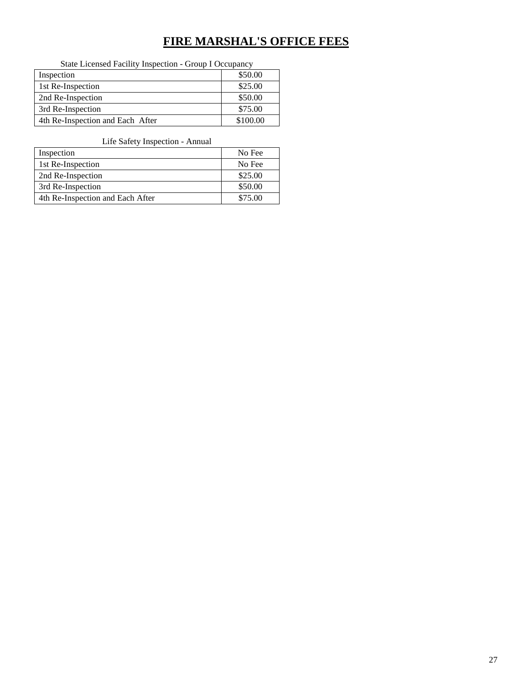## **FIRE MARSHAL'S OFFICE FEES**

State Licensed Facility Inspection - Group I Occupancy

| Inspection                       | \$50.00  |
|----------------------------------|----------|
| 1st Re-Inspection                | \$25.00  |
| 2nd Re-Inspection                | \$50.00  |
| 3rd Re-Inspection                | \$75.00  |
| 4th Re-Inspection and Each After | \$100.00 |

#### Life Safety Inspection - Annual

| Inspection                       | No Fee  |
|----------------------------------|---------|
| 1st Re-Inspection                | No Fee  |
| 2nd Re-Inspection                | \$25.00 |
| 3rd Re-Inspection                | \$50.00 |
| 4th Re-Inspection and Each After | \$75.00 |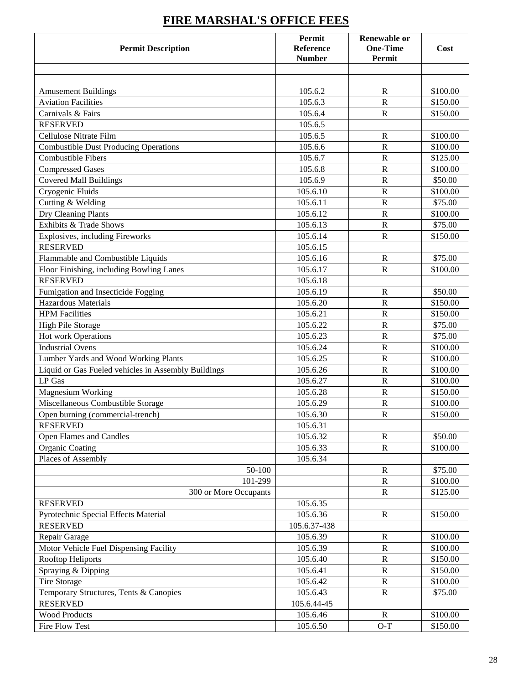| <b>Permit Description</b>                           | Permit<br>Reference<br><b>Number</b> | <b>Renewable or</b><br><b>One-Time</b><br>Permit | Cost     |
|-----------------------------------------------------|--------------------------------------|--------------------------------------------------|----------|
|                                                     |                                      |                                                  |          |
|                                                     |                                      |                                                  |          |
| <b>Amusement Buildings</b>                          | 105.6.2                              | $\mathbf R$                                      | \$100.00 |
| <b>Aviation Facilities</b>                          | 105.6.3                              | $\mathbf R$                                      | \$150.00 |
| Carnivals & Fairs                                   | 105.6.4                              | $\mathbf R$                                      | \$150.00 |
| <b>RESERVED</b>                                     | 105.6.5                              |                                                  |          |
| Cellulose Nitrate Film                              | 105.6.5                              | R                                                | \$100.00 |
| <b>Combustible Dust Producing Operations</b>        | 105.6.6                              | $\overline{\text{R}}$                            | \$100.00 |
| <b>Combustible Fibers</b>                           | 105.6.7                              | $\mathbf R$                                      | \$125.00 |
| <b>Compressed Gases</b>                             | 105.6.8                              | ${\bf R}$                                        | \$100.00 |
| <b>Covered Mall Buildings</b>                       | 105.6.9                              | $\mathbb{R}$                                     | \$50.00  |
| Cryogenic Fluids                                    | 105.6.10                             | $\mathbf R$                                      | \$100.00 |
| Cutting & Welding                                   | 105.6.11                             | $\mathbf R$                                      | \$75.00  |
| Dry Cleaning Plants                                 | 105.6.12                             | $\mathbf R$                                      | \$100.00 |
| Exhibits & Trade Shows                              | 105.6.13                             | $\mathbf R$                                      | \$75.00  |
| Explosives, including Fireworks                     | 105.6.14                             | $\mathbb{R}$                                     | \$150.00 |
| <b>RESERVED</b>                                     | 105.6.15                             |                                                  |          |
| Flammable and Combustible Liquids                   | 105.6.16                             | $\mathbb{R}$                                     | \$75.00  |
| Floor Finishing, including Bowling Lanes            | 105.6.17                             | $\mathbf R$                                      | \$100.00 |
| <b>RESERVED</b>                                     | 105.6.18                             |                                                  |          |
| Fumigation and Insecticide Fogging                  | 105.6.19                             | $\mathbb{R}$                                     | \$50.00  |
| <b>Hazardous Materials</b>                          | 105.6.20                             | ${\bf R}$                                        | \$150.00 |
| <b>HPM</b> Facilities                               | 105.6.21                             | $\mathbf R$                                      | \$150.00 |
| <b>High Pile Storage</b>                            | 105.6.22                             | $\mathbf R$                                      | \$75.00  |
| Hot work Operations                                 | 105.6.23                             | $\mathbf R$                                      | \$75.00  |
| <b>Industrial Ovens</b>                             | 105.6.24                             | $\mathbf R$                                      | \$100.00 |
| Lumber Yards and Wood Working Plants                | 105.6.25                             | $\mathbf R$                                      | \$100.00 |
| Liquid or Gas Fueled vehicles in Assembly Buildings | 105.6.26                             | $\overline{\text{R}}$                            | \$100.00 |
| LP Gas                                              | 105.6.27                             | $\overline{\text{R}}$                            | \$100.00 |
| Magnesium Working                                   | 105.6.28                             | ${\bf R}$                                        | \$150.00 |
| Miscellaneous Combustible Storage                   | 105.6.29                             | ${\bf R}$                                        | \$100.00 |
| Open burning (commercial-trench)                    | 105.6.30                             | $\mathbb{R}$                                     | \$150.00 |
| <b>RESERVED</b>                                     | 105.6.31                             |                                                  |          |
| <b>Open Flames and Candles</b>                      | 105.6.32                             | ${\bf R}$                                        | \$50.00  |
| <b>Organic Coating</b>                              | 105.6.33                             | $\mathbf R$                                      | \$100.00 |
| Places of Assembly                                  | 105.6.34                             |                                                  |          |
| 50-100                                              |                                      | $\mathbb{R}$                                     | \$75.00  |
| 101-299                                             |                                      | ${\bf R}$                                        | \$100.00 |
| 300 or More Occupants                               |                                      | ${\bf R}$                                        | \$125.00 |
| <b>RESERVED</b>                                     | 105.6.35                             |                                                  |          |
| Pyrotechnic Special Effects Material                | 105.6.36                             | $\mathbb{R}$                                     | \$150.00 |
| <b>RESERVED</b>                                     | 105.6.37-438                         |                                                  |          |
| Repair Garage                                       | 105.6.39                             | $\mathbb{R}$                                     | \$100.00 |
| Motor Vehicle Fuel Dispensing Facility              | 105.6.39                             | $\mathbb{R}$                                     | \$100.00 |
| Rooftop Heliports                                   | 105.6.40                             | ${\bf R}$                                        | \$150.00 |
| Spraying & Dipping                                  | 105.6.41                             | $\mathbb{R}$                                     | \$150.00 |
| <b>Tire Storage</b>                                 | 105.6.42                             | $\mathbb{R}$                                     | \$100.00 |
| Temporary Structures, Tents & Canopies              | 105.6.43                             | ${\bf R}$                                        | \$75.00  |
| <b>RESERVED</b>                                     | 105.6.44-45                          |                                                  |          |
| <b>Wood Products</b>                                | 105.6.46                             | $\mathbf R$                                      | \$100.00 |
| Fire Flow Test                                      | 105.6.50                             | $O-T$                                            | \$150.00 |

## **FIRE MARSHAL'S OFFICE FEES**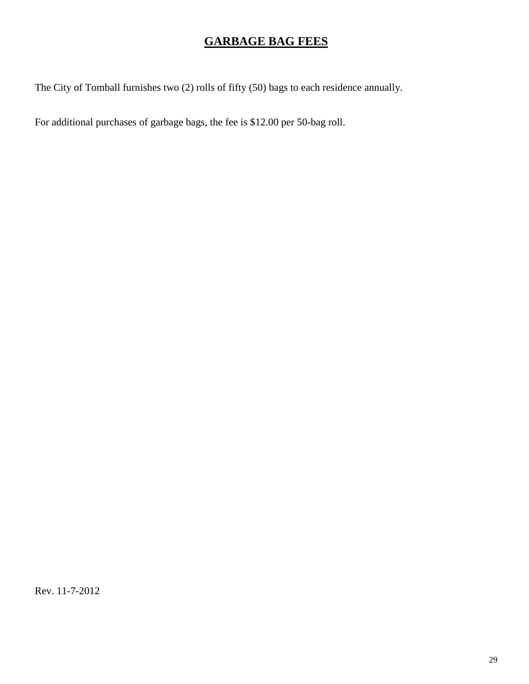## **GARBAGE BAG FEES**

The City of Tomball furnishes two (2) rolls of fifty (50) bags to each residence annually.

For additional purchases of garbage bags, the fee is \$12.00 per 50-bag roll.

Rev. 11-7-2012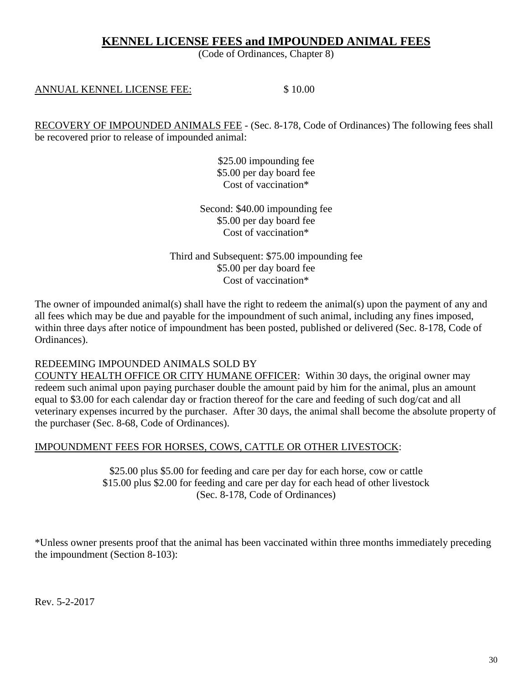### **KENNEL LICENSE FEES and IMPOUNDED ANIMAL FEES**

(Code of Ordinances, Chapter 8)

### ANNUAL KENNEL LICENSE FEE:  $$10.00$

RECOVERY OF IMPOUNDED ANIMALS FEE - (Sec. 8-178, Code of Ordinances) The following fees shall be recovered prior to release of impounded animal:

> \$25.00 impounding fee \$5.00 per day board fee Cost of vaccination\*

Second: \$40.00 impounding fee \$5.00 per day board fee Cost of vaccination\*

Third and Subsequent: \$75.00 impounding fee \$5.00 per day board fee Cost of vaccination\*

The owner of impounded animal(s) shall have the right to redeem the animal(s) upon the payment of any and all fees which may be due and payable for the impoundment of such animal, including any fines imposed, within three days after notice of impoundment has been posted, published or delivered (Sec. 8-178, Code of Ordinances).

### REDEEMING IMPOUNDED ANIMALS SOLD BY

COUNTY HEALTH OFFICE OR CITY HUMANE OFFICER: Within 30 days, the original owner may redeem such animal upon paying purchaser double the amount paid by him for the animal, plus an amount equal to \$3.00 for each calendar day or fraction thereof for the care and feeding of such dog/cat and all veterinary expenses incurred by the purchaser. After 30 days, the animal shall become the absolute property of the purchaser (Sec. 8-68, Code of Ordinances).

### IMPOUNDMENT FEES FOR HORSES, COWS, CATTLE OR OTHER LIVESTOCK:

\$25.00 plus \$5.00 for feeding and care per day for each horse, cow or cattle \$15.00 plus \$2.00 for feeding and care per day for each head of other livestock (Sec. 8-178, Code of Ordinances)

\*Unless owner presents proof that the animal has been vaccinated within three months immediately preceding the impoundment (Section 8-103):

Rev. 5-2-2017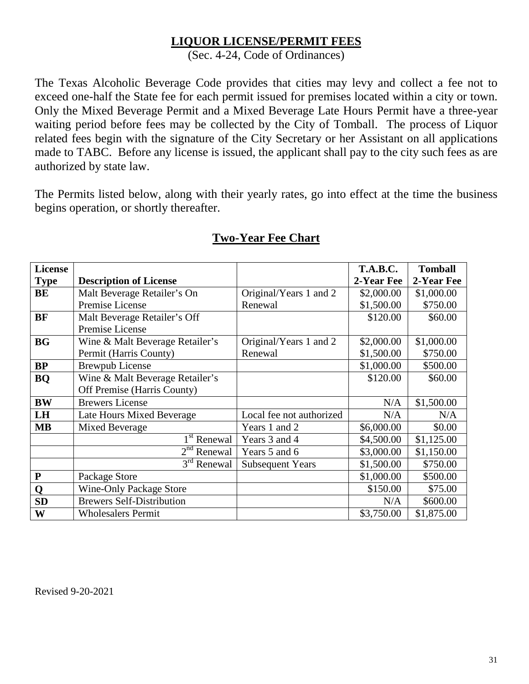## **LIQUOR LICENSE/PERMIT FEES**

(Sec. 4-24, Code of Ordinances)

The Texas Alcoholic Beverage Code provides that cities may levy and collect a fee not to exceed one-half the State fee for each permit issued for premises located within a city or town. Only the Mixed Beverage Permit and a Mixed Beverage Late Hours Permit have a three-year waiting period before fees may be collected by the City of Tomball. The process of Liquor related fees begin with the signature of the City Secretary or her Assistant on all applications made to TABC. Before any license is issued, the applicant shall pay to the city such fees as are authorized by state law.

The Permits listed below, along with their yearly rates, go into effect at the time the business begins operation, or shortly thereafter.

| License      |                                  |                          | <b>T.A.B.C.</b> | <b>Tomball</b> |
|--------------|----------------------------------|--------------------------|-----------------|----------------|
| <b>Type</b>  | <b>Description of License</b>    |                          | 2-Year Fee      | 2-Year Fee     |
| BE           | Malt Beverage Retailer's On      | Original/Years 1 and 2   | \$2,000.00      | \$1,000.00     |
|              | Premise License                  | Renewal                  | \$1,500.00      | \$750.00       |
| BF           | Malt Beverage Retailer's Off     |                          | \$120.00        | \$60.00        |
|              | Premise License                  |                          |                 |                |
| <b>BG</b>    | Wine & Malt Beverage Retailer's  | Original/Years 1 and 2   | \$2,000.00      | \$1,000.00     |
|              | Permit (Harris County)           | Renewal                  | \$1,500.00      | \$750.00       |
| BP           | <b>Brewpub License</b>           |                          | \$1,000.00      | \$500.00       |
| <b>BQ</b>    | Wine & Malt Beverage Retailer's  |                          | \$120.00        | \$60.00        |
|              | Off Premise (Harris County)      |                          |                 |                |
| <b>BW</b>    | <b>Brewers License</b>           |                          | N/A             | \$1,500.00     |
| LH           | Late Hours Mixed Beverage        | Local fee not authorized | N/A             | N/A            |
| <b>MB</b>    | Mixed Beverage                   | Years 1 and 2            | \$6,000.00      | \$0.00         |
|              | 1 <sup>st</sup> Renewal          | Years 3 and 4            | \$4,500.00      | \$1,125.00     |
|              | $2nd$ Renewal                    | Years 5 and 6            | \$3,000.00      | \$1,150.00     |
|              | $3rd$ Renewal                    | <b>Subsequent Years</b>  | \$1,500.00      | \$750.00       |
| $\mathbf{P}$ | Package Store                    |                          | \$1,000.00      | \$500.00       |
| Q            | <b>Wine-Only Package Store</b>   |                          | \$150.00        | \$75.00        |
| <b>SD</b>    | <b>Brewers Self-Distribution</b> |                          | N/A             | \$600.00       |
| W            | <b>Wholesalers Permit</b>        |                          | \$3,750.00      | \$1,875.00     |

## **Two-Year Fee Chart**

Revised 9-20-2021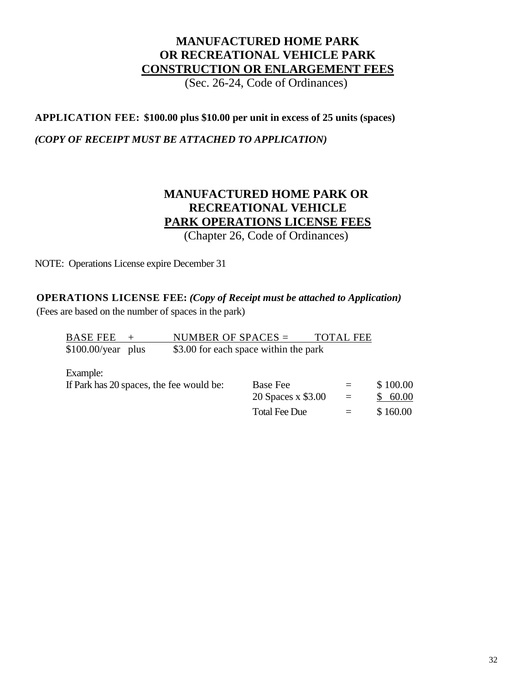## **MANUFACTURED HOME PARK OR RECREATIONAL VEHICLE PARK CONSTRUCTION OR ENLARGEMENT FEES**

(Sec. 26-24, Code of Ordinances)

### **APPLICATION FEE: \$100.00 plus \$10.00 per unit in excess of 25 units (spaces)**

### *(COPY OF RECEIPT MUST BE ATTACHED TO APPLICATION)*

## **MANUFACTURED HOME PARK OR RECREATIONAL VEHICLE PARK OPERATIONS LICENSE FEES**

(Chapter 26, Code of Ordinances)

20 Spaces x \$3.00 = \$ 60.00 Total Fee Due  $=$  \$ 160.00

NOTE: Operations License expire December 31

### **OPERATIONS LICENSE FEE:** *(Copy of Receipt must be attached to Application)*

(Fees are based on the number of spaces in the park)

| <b>BASE FEE</b>     | NUMBER OF SPACES $=$                     |          | <b>TOTAL FEE</b> |          |
|---------------------|------------------------------------------|----------|------------------|----------|
| $$100.00/year$ plus | \$3.00 for each space within the park    |          |                  |          |
| Example:            |                                          |          |                  |          |
|                     | If Park has 20 spaces, the fee would be: | Base Fee | $=$              | \$100.00 |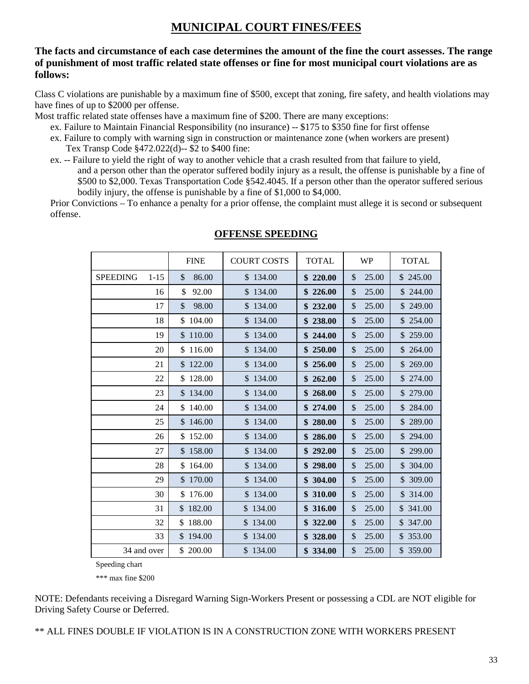#### **The facts and circumstance of each case determines the amount of the fine the court assesses. The range of punishment of most traffic related state offenses or fine for most municipal court violations are as follows:**

Class C violations are punishable by a maximum fine of \$500, except that zoning, fire safety, and health violations may have fines of up to \$2000 per offense.

Most traffic related state offenses have a maximum fine of \$200. There are many exceptions:

- ex. Failure to Maintain Financial Responsibility (no insurance) -- \$175 to \$350 fine for first offense
- ex. Failure to comply with warning sign in construction or maintenance zone (when workers are present) Tex Transp Code §472.022(d)-- \$2 to \$400 fine:
- ex. -- Failure to yield the right of way to another vehicle that a crash resulted from that failure to yield, and a person other than the operator suffered bodily injury as a result, the offense is punishable by a fine of \$500 to \$2,000. Texas Transportation Code §542.4045. If a person other than the operator suffered serious bodily injury, the offense is punishable by a fine of \$1,000 to \$4,000.

Prior Convictions – To enhance a penalty for a prior offense, the complaint must allege it is second or subsequent offense.

|                             | <b>FINE</b>  | <b>COURT COSTS</b> | <b>TOTAL</b> | <b>WP</b>   | <b>TOTAL</b> |
|-----------------------------|--------------|--------------------|--------------|-------------|--------------|
|                             |              |                    |              |             |              |
| <b>SPEEDING</b><br>$1 - 15$ | 86.00<br>\$  | \$134.00           | \$220.00     | 25.00<br>\$ | \$245.00     |
| 16                          | \$<br>92.00  | \$134.00           | \$226.00     | 25.00<br>\$ | \$244.00     |
| 17                          | \$<br>98.00  | \$134.00           | \$232.00     | \$<br>25.00 | \$249.00     |
| 18                          | 104.00<br>\$ | \$134.00           | \$238.00     | \$<br>25.00 | \$254.00     |
| 19                          | \$110.00     | \$134.00           | \$244.00     | \$<br>25.00 | \$259.00     |
| 20                          | \$116.00     | \$134.00           | \$250.00     | \$<br>25.00 | \$264.00     |
| 21                          | \$122.00     | \$134.00           | 256.00       | \$<br>25.00 | \$269.00     |
| 22                          | \$128.00     | \$134.00           | \$262.00     | \$<br>25.00 | \$274.00     |
| 23                          | \$134.00     | \$134.00           | 268.00       | \$<br>25.00 | \$279.00     |
| 24                          | \$140.00     | \$134.00           | \$274.00     | \$<br>25.00 | \$284.00     |
| 25                          | \$146.00     | \$134.00           | 280.00       | 25.00<br>\$ | \$289.00     |
| 26                          | \$152.00     | \$134.00           | 286.00<br>\$ | \$<br>25.00 | \$294.00     |
| 27                          | \$158.00     | \$134.00           | \$292.00     | 25.00<br>\$ | \$299.00     |
| 28                          | \$164.00     | \$134.00           | 298.00       | \$<br>25.00 | \$304.00     |
| 29                          | \$170.00     | \$134.00           | 304.00       | \$<br>25.00 | \$309.00     |
| 30                          | \$176.00     | \$134.00           | 310.00       | \$<br>25.00 | \$ 314.00    |
| 31                          | \$182.00     | 134.00<br>\$       | 316.00       | 25.00<br>\$ | \$341.00     |
| 32                          | \$<br>188.00 | \$134.00           | 322.00       | \$<br>25.00 | \$347.00     |
| 33                          | \$194.00     | \$134.00           | 328.00       | 25.00<br>\$ | \$353.00     |
| 34 and over                 | \$ 200.00    | \$134.00           | 334.00       | \$<br>25.00 | \$359.00     |

#### **OFFENSE SPEEDING**

Speeding chart

\*\*\* max fine \$200

NOTE: Defendants receiving a Disregard Warning Sign-Workers Present or possessing a CDL are NOT eligible for Driving Safety Course or Deferred.

\*\* ALL FINES DOUBLE IF VIOLATION IS IN A CONSTRUCTION ZONE WITH WORKERS PRESENT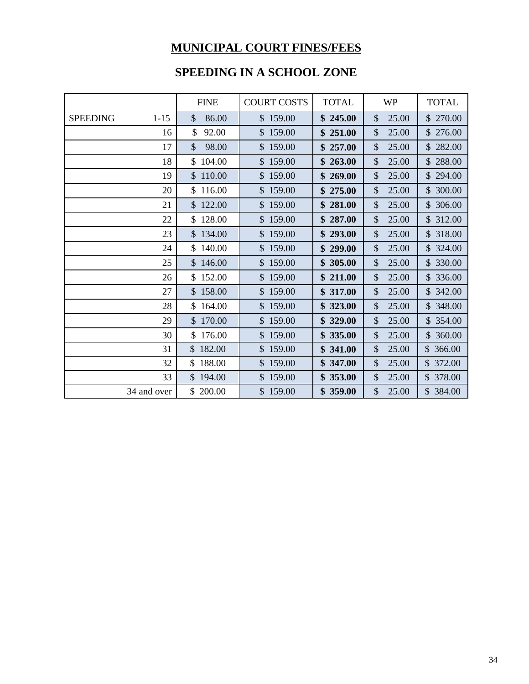## **SPEEDING IN A SCHOOL ZONE**

|                             | <b>FINE</b>  | <b>COURT COSTS</b> | <b>TOTAL</b> | <b>WP</b>              | <b>TOTAL</b> |
|-----------------------------|--------------|--------------------|--------------|------------------------|--------------|
| <b>SPEEDING</b><br>$1 - 15$ | 86.00<br>\$  | \$159.00           | \$245.00     | \$<br>25.00            | \$ 270.00    |
| 16                          | \$<br>92.00  | \$159.00           | \$251.00     | \$<br>25.00            | \$276.00     |
| 17                          | 98.00<br>\$  | \$159.00           | \$257.00     | \$<br>25.00            | \$282.00     |
| 18                          | \$104.00     | \$159.00           | \$263.00     | \$<br>25.00            | \$288.00     |
| 19                          | \$110.00     | \$159.00           | \$269.00     | 25.00<br>\$            | \$294.00     |
| 20                          | \$116.00     | \$159.00           | \$275.00     | $\mathcal{S}$<br>25.00 | \$300.00     |
| 21                          | \$122.00     | \$159.00           | \$281.00     | 25.00<br>\$            | \$306.00     |
| 22                          | \$128.00     | \$159.00           | \$287.00     | \$<br>25.00            | \$312.00     |
| 23                          | \$134.00     | \$159.00           | \$293.00     | \$<br>25.00            | \$318.00     |
| 24                          | \$140.00     | \$159.00           | \$299.00     | \$<br>25.00            | \$324.00     |
| 25                          | \$146.00     | \$159.00           | \$305.00     | 25.00<br>\$            | \$ 330.00    |
| 26                          | \$152.00     | \$159.00           | \$211.00     | \$<br>25.00            | \$336.00     |
| 27                          | \$158.00     | \$159.00           | \$317.00     | \$<br>25.00            | \$342.00     |
| 28                          | \$164.00     | \$159.00           | 323.00       | \$<br>25.00            | \$348.00     |
| 29                          | \$170.00     | \$159.00           | 329.00<br>\$ | \$<br>25.00            | \$354.00     |
| 30                          | \$176.00     | \$159.00           | 335.00<br>S. | \$<br>25.00            | \$360.00     |
| 31                          | \$182.00     | \$159.00           | 341.00<br>\$ | \$<br>25.00            | \$366.00     |
| 32                          | 188.00       | \$159.00           | 347.00       | \$<br>25.00            | \$372.00     |
| 33                          | 194.00<br>\$ | \$159.00           | 353.00<br>\$ | \$<br>25.00            | \$ 378.00    |
| 34 and over                 | \$<br>200.00 | \$159.00           | 359.00       | \$<br>25.00            | \$384.00     |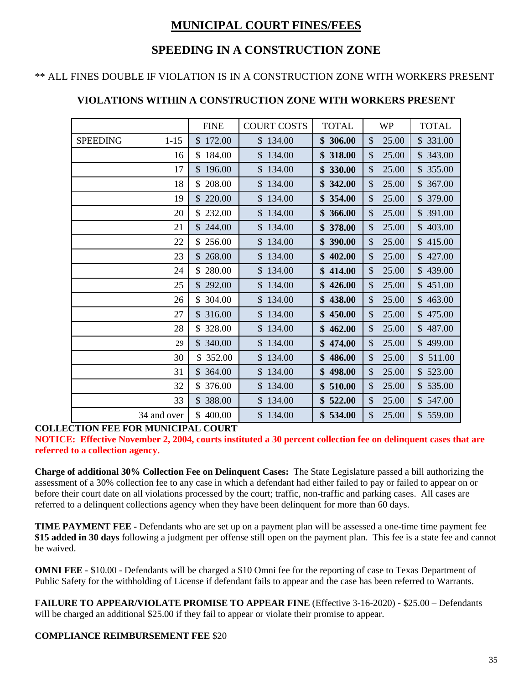## **SPEEDING IN A CONSTRUCTION ZONE**

### \*\* ALL FINES DOUBLE IF VIOLATION IS IN A CONSTRUCTION ZONE WITH WORKERS PRESENT

|                             | <b>FINE</b>  | <b>COURT COSTS</b> | <b>TOTAL</b> | WP                     | <b>TOTAL</b> |
|-----------------------------|--------------|--------------------|--------------|------------------------|--------------|
| <b>SPEEDING</b><br>$1 - 15$ | \$172.00     | \$134.00           | \$306.00     | $\mathcal{S}$<br>25.00 | \$331.00     |
| 16                          | \$184.00     | \$134.00           | \$318.00     | 25.00<br>$\mathcal{S}$ | \$343.00     |
| 17                          | \$196.00     | \$134.00           | \$330.00     | \$<br>25.00            | \$355.00     |
| 18                          | \$ 208.00    | \$134.00           | \$342.00     | 25.00<br>\$            | \$367.00     |
| 19                          | \$220.00     | \$134.00           | \$354.00     | 25.00<br>\$            | \$ 379.00    |
| 20                          | \$232.00     | \$134.00           | \$366.00     | 25.00<br>$\mathcal{S}$ | \$ 391.00    |
| 21                          | \$244.00     | \$134.00           | \$378.00     | \$<br>25.00            | \$403.00     |
| 22                          | \$256.00     | \$134.00           | \$390.00     | 25.00<br>\$            | \$415.00     |
| 23                          | \$268.00     | \$134.00           | \$402.00     | \$<br>25.00            | \$427.00     |
| 24                          | \$280.00     | \$134.00           | \$414.00     | \$<br>25.00            | \$439.00     |
| 25                          | \$292.00     | \$134.00           | \$426.00     | 25.00<br>$\mathcal{S}$ | \$451.00     |
| 26                          | \$304.00     | \$134.00           | \$438.00     | \$<br>25.00            | \$463.00     |
| 27                          | \$316.00     | \$134.00           | \$450.00     | \$<br>25.00            | \$475.00     |
| 28                          | \$ 328.00    | \$134.00           | \$462.00     | 25.00<br>\$            | \$487.00     |
| 29                          | \$340.00     | \$134.00           | \$474.00     | \$<br>25.00            | \$499.00     |
| 30                          | \$ 352.00    | \$134.00           | \$486.00     | \$<br>25.00            | \$511.00     |
| 31                          | \$364.00     | \$134.00           | \$498.00     | $\mathcal{S}$<br>25.00 | \$523.00     |
| 32                          | \$ 376.00    | \$134.00           | \$510.00     | \$<br>25.00            | \$535.00     |
| 33                          | 388.00<br>\$ | \$134.00           | \$522.00     | 25.00<br>$\mathcal{S}$ | \$547.00     |
| 34 and over                 | \$400.00     | \$134.00           | \$534.00     | \$<br>25.00            | \$559.00     |

### **VIOLATIONS WITHIN A CONSTRUCTION ZONE WITH WORKERS PRESENT**

### **COLLECTION FEE FOR MUNICIPAL COURT**

**NOTICE: Effective November 2, 2004, courts instituted a 30 percent collection fee on delinquent cases that are referred to a collection agency.**

**Charge of additional 30% Collection Fee on Delinquent Cases:** The State Legislature passed a bill authorizing the assessment of a 30% collection fee to any case in which a defendant had either failed to pay or failed to appear on or before their court date on all violations processed by the court; traffic, non-traffic and parking cases. All cases are referred to a delinquent collections agency when they have been delinquent for more than 60 days.

**TIME PAYMENT FEE -** Defendants who are set up on a payment plan will be assessed a one-time time payment fee **\$15 added in 30 days** following a judgment per offense still open on the payment plan. This fee is a state fee and cannot be waived.

**OMNI FEE -** \$10.00 - Defendants will be charged a \$10 Omni fee for the reporting of case to Texas Department of Public Safety for the withholding of License if defendant fails to appear and the case has been referred to Warrants.

**FAILURE TO APPEAR/VIOLATE PROMISE TO APPEAR FINE** (Effective 3-16-2020) **-** \$25.00 – Defendants will be charged an additional \$25.00 if they fail to appear or violate their promise to appear.

### **COMPLIANCE REIMBURSEMENT FEE** \$20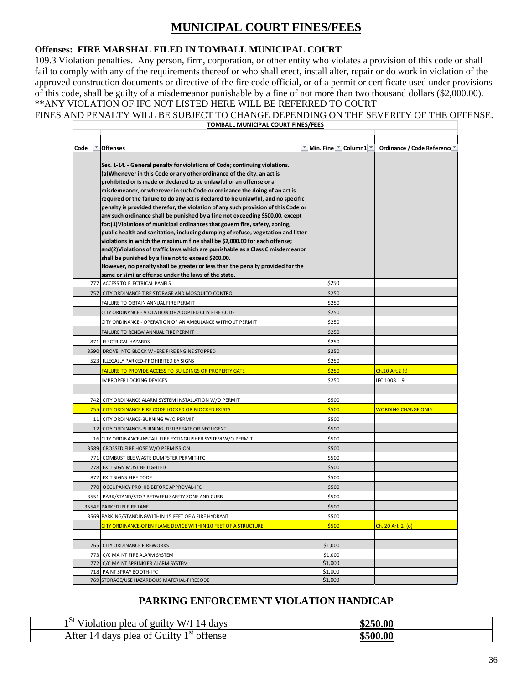#### **Offenses: FIRE MARSHAL FILED IN TOMBALL MUNICIPAL COURT**

109.3 Violation penalties. Any person, firm, corporation, or other entity who violates a provision of this code or shall fail to comply with any of the requirements thereof or who shall erect, install alter, repair or do work in violation of the approved construction documents or directive of the fire code official, or of a permit or certificate used under provisions of this code, shall be guilty of a misdemeanor punishable by a fine of not more than two thousand dollars (\$2,000.00). \*\*ANY VIOLATION OF IFC NOT LISTED HERE WILL BE REFERRED TO COURT

#### FINES AND PENALTY WILL BE SUBJECT TO CHANGE DEPENDING ON THE SEVERITY OF THE OFFENSE.

**TOMBALL MUNICIPAL COURT FINES/FEES**

| Code | <b>Offenses</b>                                                                                                                                                                                                                                                                                                                                                                                                                                                                                                                                                                                                                                                                                                                                                                                                                                                                                                                                                                                                                                                                                            | Min. Fine $\mathbb{Z}$ Column1 $\mathbb{Z}$ | Ordinance / Code Reference ▼ |
|------|------------------------------------------------------------------------------------------------------------------------------------------------------------------------------------------------------------------------------------------------------------------------------------------------------------------------------------------------------------------------------------------------------------------------------------------------------------------------------------------------------------------------------------------------------------------------------------------------------------------------------------------------------------------------------------------------------------------------------------------------------------------------------------------------------------------------------------------------------------------------------------------------------------------------------------------------------------------------------------------------------------------------------------------------------------------------------------------------------------|---------------------------------------------|------------------------------|
|      | Sec. 1-14. - General penalty for violations of Code; continuing violations.<br>(a) Whenever in this Code or any other ordinance of the city, an act is<br>prohibited or is made or declared to be unlawful or an offense or a<br>misdemeanor, or wherever in such Code or ordinance the doing of an act is<br>required or the failure to do any act is declared to be unlawful, and no specific<br>penalty is provided therefor, the violation of any such provision of this Code or<br>any such ordinance shall be punished by a fine not exceeding \$500.00, except<br>for:(1)Violations of municipal ordinances that govern fire, safety, zoning,<br>public health and sanitation, including dumping of refuse, vegetation and litter<br>violations in which the maximum fine shall be \$2,000.00 for each offense;<br>and(2) Violations of traffic laws which are punishable as a Class C misdemeanor<br>shall be punished by a fine not to exceed \$200.00.<br>However, no penalty shall be greater or less than the penalty provided for the<br>same or similar offense under the laws of the state. |                                             |                              |
|      | 777 ACCESS TO ELECTRICAL PANELS                                                                                                                                                                                                                                                                                                                                                                                                                                                                                                                                                                                                                                                                                                                                                                                                                                                                                                                                                                                                                                                                            | \$250                                       |                              |
|      | 757 CITY ORDINANCE TIRE STORAGE AND MOSQUITO CONTROL                                                                                                                                                                                                                                                                                                                                                                                                                                                                                                                                                                                                                                                                                                                                                                                                                                                                                                                                                                                                                                                       | \$250                                       |                              |
|      | FAILURE TO OBTAIN ANNUAL FIRE PERMIT                                                                                                                                                                                                                                                                                                                                                                                                                                                                                                                                                                                                                                                                                                                                                                                                                                                                                                                                                                                                                                                                       | \$250                                       |                              |
|      | CITY ORDINANCE - VIOLATION OF ADOPTED CITY FIRE CODE                                                                                                                                                                                                                                                                                                                                                                                                                                                                                                                                                                                                                                                                                                                                                                                                                                                                                                                                                                                                                                                       | \$250                                       |                              |
|      | CITY ORDINANCE - OPERATION OF AN AMBULANCE WITHOUT PERMIT                                                                                                                                                                                                                                                                                                                                                                                                                                                                                                                                                                                                                                                                                                                                                                                                                                                                                                                                                                                                                                                  | \$250                                       |                              |
|      | FAILURE TO RENEW ANNUAL FIRE PERMIT                                                                                                                                                                                                                                                                                                                                                                                                                                                                                                                                                                                                                                                                                                                                                                                                                                                                                                                                                                                                                                                                        | \$250                                       |                              |
|      | 871 ELECTRICAL HAZARDS                                                                                                                                                                                                                                                                                                                                                                                                                                                                                                                                                                                                                                                                                                                                                                                                                                                                                                                                                                                                                                                                                     | \$250                                       |                              |
|      | 3590 DROVE INTO BLOCK WHERE FIRE ENGINE STOPPED                                                                                                                                                                                                                                                                                                                                                                                                                                                                                                                                                                                                                                                                                                                                                                                                                                                                                                                                                                                                                                                            | \$250                                       |                              |
|      | 523 ILLEGALLY PARKED-PROHIBITED BY SIGNS                                                                                                                                                                                                                                                                                                                                                                                                                                                                                                                                                                                                                                                                                                                                                                                                                                                                                                                                                                                                                                                                   | \$250                                       |                              |
|      | <b>FAILURE TO PROVIDE ACCESS TO BUILDINGS OR PROPERTY GATE</b>                                                                                                                                                                                                                                                                                                                                                                                                                                                                                                                                                                                                                                                                                                                                                                                                                                                                                                                                                                                                                                             | \$250                                       | Ch.20 Art.2 (t)              |
|      | IMPROPER LOCKING DEVICES                                                                                                                                                                                                                                                                                                                                                                                                                                                                                                                                                                                                                                                                                                                                                                                                                                                                                                                                                                                                                                                                                   | \$250                                       | IFC 1008.1.9                 |
|      |                                                                                                                                                                                                                                                                                                                                                                                                                                                                                                                                                                                                                                                                                                                                                                                                                                                                                                                                                                                                                                                                                                            |                                             |                              |
|      | 742 CITY ORDINANCE ALARM SYSTEM INSTALLATION W/O PERMIT                                                                                                                                                                                                                                                                                                                                                                                                                                                                                                                                                                                                                                                                                                                                                                                                                                                                                                                                                                                                                                                    | \$500                                       |                              |
|      | 755 CITY ORDINANCE FIRE CODE LOCKED OR BLOCKED EXISTS                                                                                                                                                                                                                                                                                                                                                                                                                                                                                                                                                                                                                                                                                                                                                                                                                                                                                                                                                                                                                                                      | \$500                                       | <b>WORDING CHANGE ONLY</b>   |
|      | 11 CITY ORDINANCE-BURNING W/O PERMIT                                                                                                                                                                                                                                                                                                                                                                                                                                                                                                                                                                                                                                                                                                                                                                                                                                                                                                                                                                                                                                                                       | \$500                                       |                              |
|      | 12 CITY ORDINANCE-BURNING, DELIBERATE OR NEGLIGENT                                                                                                                                                                                                                                                                                                                                                                                                                                                                                                                                                                                                                                                                                                                                                                                                                                                                                                                                                                                                                                                         | \$500                                       |                              |
|      | 16 CITY ORDINANCE-INSTALL FIRE EXTINGUISHER SYSTEM W/O PERMIT                                                                                                                                                                                                                                                                                                                                                                                                                                                                                                                                                                                                                                                                                                                                                                                                                                                                                                                                                                                                                                              | \$500                                       |                              |
|      | 3589 CROSSED FIRE HOSE W/O PERMISSION                                                                                                                                                                                                                                                                                                                                                                                                                                                                                                                                                                                                                                                                                                                                                                                                                                                                                                                                                                                                                                                                      | \$500                                       |                              |
|      | 771 COMBUSTIBLE WASTE DUMPSTER PERMIT-IFC                                                                                                                                                                                                                                                                                                                                                                                                                                                                                                                                                                                                                                                                                                                                                                                                                                                                                                                                                                                                                                                                  | \$500                                       |                              |
|      | 778 EXIT SIGN MUST BE LIGHTED                                                                                                                                                                                                                                                                                                                                                                                                                                                                                                                                                                                                                                                                                                                                                                                                                                                                                                                                                                                                                                                                              | \$500                                       |                              |
|      | 872 EXIT SIGNS FIRE CODE                                                                                                                                                                                                                                                                                                                                                                                                                                                                                                                                                                                                                                                                                                                                                                                                                                                                                                                                                                                                                                                                                   | \$500                                       |                              |
|      | 770 OCCUPANCY PROHIB BEFORE APPROVAL-IFC                                                                                                                                                                                                                                                                                                                                                                                                                                                                                                                                                                                                                                                                                                                                                                                                                                                                                                                                                                                                                                                                   | \$500                                       |                              |
|      | 3551 PARK/STAND/STOP BETWEEN SAEFTY ZONE AND CURB                                                                                                                                                                                                                                                                                                                                                                                                                                                                                                                                                                                                                                                                                                                                                                                                                                                                                                                                                                                                                                                          | \$500                                       |                              |
|      | 3554F PARKED IN FIRE LANE                                                                                                                                                                                                                                                                                                                                                                                                                                                                                                                                                                                                                                                                                                                                                                                                                                                                                                                                                                                                                                                                                  | \$500                                       |                              |
|      | 3569 PARKING/STANDINGWITHIN 15 FEET OF A FIRE HYDRANT                                                                                                                                                                                                                                                                                                                                                                                                                                                                                                                                                                                                                                                                                                                                                                                                                                                                                                                                                                                                                                                      | \$500                                       |                              |
|      | CITY ORDINANCE-OPEN FLAME DEVICE WITHIN 10 FEET OF A STRUCTURE                                                                                                                                                                                                                                                                                                                                                                                                                                                                                                                                                                                                                                                                                                                                                                                                                                                                                                                                                                                                                                             | \$500                                       | Ch. 20 Art. 2 (o)            |
|      |                                                                                                                                                                                                                                                                                                                                                                                                                                                                                                                                                                                                                                                                                                                                                                                                                                                                                                                                                                                                                                                                                                            |                                             |                              |
|      | 765 CITY ORDINANCE FIREWORKS                                                                                                                                                                                                                                                                                                                                                                                                                                                                                                                                                                                                                                                                                                                                                                                                                                                                                                                                                                                                                                                                               | \$1,000                                     |                              |
| 773  | C/C MAINT FIRE ALARM SYSTEM                                                                                                                                                                                                                                                                                                                                                                                                                                                                                                                                                                                                                                                                                                                                                                                                                                                                                                                                                                                                                                                                                | \$1,000                                     |                              |
|      | 772 C/C MAINT SPRINKLER ALARM SYSTEM                                                                                                                                                                                                                                                                                                                                                                                                                                                                                                                                                                                                                                                                                                                                                                                                                                                                                                                                                                                                                                                                       | \$1,000                                     |                              |
|      | 718 PAINT SPRAY BOOTH-IFC                                                                                                                                                                                                                                                                                                                                                                                                                                                                                                                                                                                                                                                                                                                                                                                                                                                                                                                                                                                                                                                                                  | \$1,000                                     |                              |
|      | 769 STORAGE/USE HAZARDOUS MATERIAL-FIRECODE                                                                                                                                                                                                                                                                                                                                                                                                                                                                                                                                                                                                                                                                                                                                                                                                                                                                                                                                                                                                                                                                | \$1,000                                     |                              |
|      |                                                                                                                                                                                                                                                                                                                                                                                                                                                                                                                                                                                                                                                                                                                                                                                                                                                                                                                                                                                                                                                                                                            |                                             |                              |

### **PARKING ENFORCEMENT VIOLATION HANDICAP**

| 15L T<br>Violation plea of guilty W/I 14 days                                   | \$250.00 |
|---------------------------------------------------------------------------------|----------|
| $\overline{\phantom{a}}^{\text{st}}$ offense<br>14 days plea of Guilty<br>After | \$500.00 |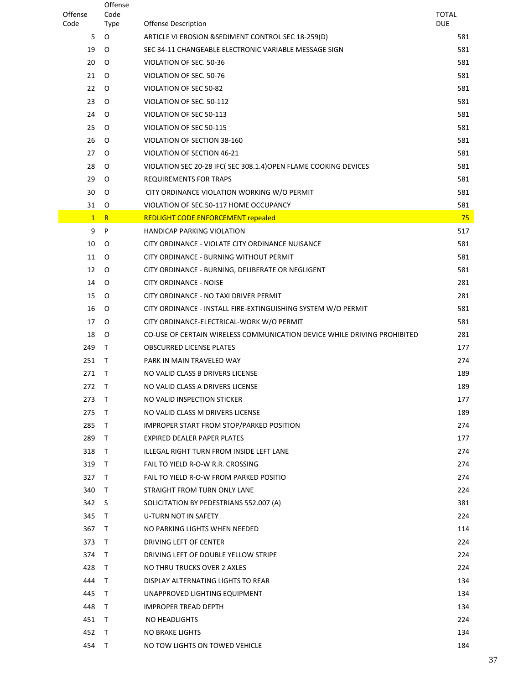| Offense      | Offense<br>Code  |                                                                          | <b>TOTAL</b> |
|--------------|------------------|--------------------------------------------------------------------------|--------------|
| Code         | <b>Type</b>      | <b>Offense Description</b>                                               | <b>DUE</b>   |
| 5            | O                | ARTICLE VI EROSION & SEDIMENT CONTROL SEC 18-259(D)                      | 581          |
| 19           | $\circ$          | SEC 34-11 CHANGEABLE ELECTRONIC VARIABLE MESSAGE SIGN                    | 581          |
| 20           | O                | VIOLATION OF SEC. 50-36                                                  | 581          |
| 21           | $\circ$          | VIOLATION OF SEC. 50-76                                                  | 581          |
| 22           | O                | VIOLATION OF SEC 50-82                                                   | 581          |
| 23           | $\Omega$         | VIOLATION OF SEC. 50-112                                                 | 581          |
| 24           | O                | VIOLATION OF SEC 50-113                                                  | 581          |
| 25           | O                | VIOLATION OF SEC 50-115                                                  | 581          |
| 26           | O                | VIOLATION OF SECTION 38-160                                              | 581          |
| 27           | $\circ$          | VIOLATION OF SECTION 46-21                                               | 581          |
| 28           | O                | VIOLATION SEC 20-28 IFC( SEC 308.1.4) OPEN FLAME COOKING DEVICES         | 581          |
| 29           | O                | REQUIREMENTS FOR TRAPS                                                   | 581          |
| 30           | O                | CITY ORDINANCE VIOLATION WORKING W/O PERMIT                              | 581          |
| 31           | 0                | VIOLATION OF SEC.50-117 HOME OCCUPANCY                                   | 581          |
| $\mathbf{1}$ | R                | <b>REDLIGHT CODE ENFORCEMENT repealed</b>                                | 75           |
| 9            | P                | <b>HANDICAP PARKING VIOLATION</b>                                        | 517          |
| 10           | O                | CITY ORDINANCE - VIOLATE CITY ORDINANCE NUISANCE                         | 581          |
| 11           | O                | CITY ORDINANCE - BURNING WITHOUT PERMIT                                  | 581          |
| 12           | O                | CITY ORDINANCE - BURNING, DELIBERATE OR NEGLIGENT                        | 581          |
| 14           | O                | <b>CITY ORDINANCE - NOISE</b>                                            | 281          |
| 15           | O                | CITY ORDINANCE - NO TAXI DRIVER PERMIT                                   | 281          |
| 16           | $\circ$          | CITY ORDINANCE - INSTALL FIRE-EXTINGUISHING SYSTEM W/O PERMIT            | 581          |
| 17           | 0                | CITY ORDINANCE-ELECTRICAL-WORK W/O PERMIT                                | 581          |
| 18           | O                | CO-USE OF CERTAIN WIRELESS COMMUNICATION DEVICE WHILE DRIVING PROHIBITED | 281          |
| 249          | T.               | <b>OBSCURRED LICENSE PLATES</b>                                          | 177          |
| 251          | $\top$           | PARK IN MAIN TRAVELED WAY                                                | 274          |
| 271          | $\top$           | NO VALID CLASS B DRIVERS LICENSE                                         | 189          |
| 272          | T                | NO VALID CLASS A DRIVERS LICENSE                                         | 189          |
| 273          | $\top$           | NO VALID INSPECTION STICKER                                              | 177          |
| 275          | $\top$           | NO VALID CLASS M DRIVERS LICENSE                                         | 189          |
| 285          | $\top$           | IMPROPER START FROM STOP/PARKED POSITION                                 | 274          |
| 289          | $\top$           | <b>EXPIRED DEALER PAPER PLATES</b>                                       | 177          |
| 318          | $\top$           | ILLEGAL RIGHT TURN FROM INSIDE LEFT LANE                                 | 274          |
| 319          | $\top$           | FAIL TO YIELD R-O-W R.R. CROSSING                                        | 274          |
| 327          | T.               | FAIL TO YIELD R-O-W FROM PARKED POSITIO                                  | 274          |
| 340          | $\top$           | STRAIGHT FROM TURN ONLY LANE                                             | 224          |
| 342          | S                | SOLICITATION BY PEDESTRIANS 552.007 (A)                                  | 381          |
| 345          | $\top$           | U-TURN NOT IN SAFETY                                                     | 224          |
| 367          | T.               | NO PARKING LIGHTS WHEN NEEDED                                            | 114          |
| 373          | $\top$           | DRIVING LEFT OF CENTER                                                   | 224          |
| 374<br>428   | $\top$<br>$\top$ | DRIVING LEFT OF DOUBLE YELLOW STRIPE                                     | 224<br>224   |
|              | $\top$           | NO THRU TRUCKS OVER 2 AXLES                                              |              |
| 444<br>445   | $\top$           | DISPLAY ALTERNATING LIGHTS TO REAR<br>UNAPPROVED LIGHTING EQUIPMENT      | 134<br>134   |
| 448          | $\top$           | <b>IMPROPER TREAD DEPTH</b>                                              | 134          |
| 451          | $\top$           | NO HEADLIGHTS                                                            | 224          |
| 452          | $\top$           | NO BRAKE LIGHTS                                                          | 134          |
| 454          | T.               | NO TOW LIGHTS ON TOWED VEHICLE                                           | 184          |
|              |                  |                                                                          |              |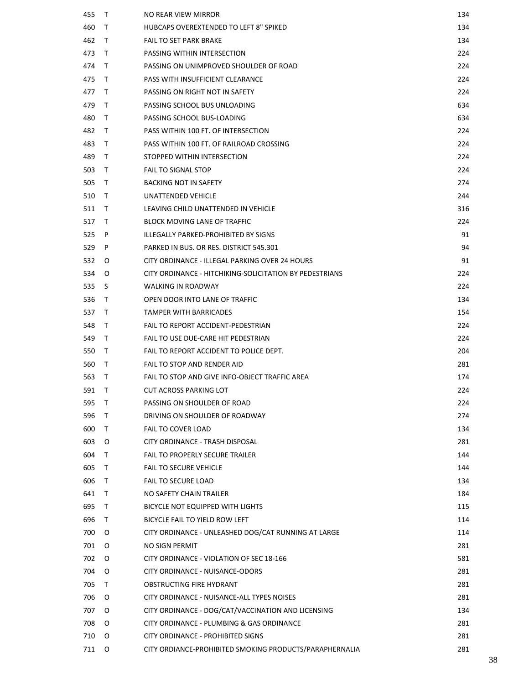| 455 | $\top$       | NO REAR VIEW MIRROR                                     | 134 |
|-----|--------------|---------------------------------------------------------|-----|
| 460 | T.           | HUBCAPS OVEREXTENDED TO LEFT 8" SPIKED                  | 134 |
| 462 | $\top$       | <b>FAIL TO SET PARK BRAKE</b>                           | 134 |
| 473 | $\top$       | PASSING WITHIN INTERSECTION                             | 224 |
| 474 | $\top$       | PASSING ON UNIMPROVED SHOULDER OF ROAD                  | 224 |
| 475 | $\top$       | PASS WITH INSUFFICIENT CLEARANCE                        | 224 |
| 477 | $\top$       | PASSING ON RIGHT NOT IN SAFETY                          | 224 |
| 479 | $\top$       | PASSING SCHOOL BUS UNLOADING                            | 634 |
| 480 | $\top$       | PASSING SCHOOL BUS-LOADING                              | 634 |
| 482 | $\top$       | PASS WITHIN 100 FT. OF INTERSECTION                     | 224 |
| 483 | $\top$       | PASS WITHIN 100 FT. OF RAILROAD CROSSING                | 224 |
| 489 | $\top$       | STOPPED WITHIN INTERSECTION                             | 224 |
| 503 | $\top$       | <b>FAIL TO SIGNAL STOP</b>                              | 224 |
| 505 | $\top$       | <b>BACKING NOT IN SAFETY</b>                            | 274 |
| 510 | $\top$       | UNATTENDED VEHICLE                                      | 244 |
| 511 | $\top$       | LEAVING CHILD UNATTENDED IN VEHICLE                     | 316 |
| 517 | $\top$       | BLOCK MOVING LANE OF TRAFFIC                            | 224 |
| 525 | P            | ILLEGALLY PARKED-PROHIBITED BY SIGNS                    | 91  |
| 529 | P            | PARKED IN BUS. OR RES. DISTRICT 545.301                 | 94  |
| 532 | O            | CITY ORDINANCE - ILLEGAL PARKING OVER 24 HOURS          | 91  |
| 534 | O            | CITY ORDINANCE - HITCHIKING-SOLICITATION BY PEDESTRIANS | 224 |
| 535 | S            | WALKING IN ROADWAY                                      | 224 |
| 536 | $\top$       | OPEN DOOR INTO LANE OF TRAFFIC                          | 134 |
| 537 | $\top$       | <b>TAMPER WITH BARRICADES</b>                           | 154 |
| 548 | $\top$       | FAIL TO REPORT ACCIDENT-PEDESTRIAN                      | 224 |
| 549 | $\top$       | FAIL TO USE DUE-CARE HIT PEDESTRIAN                     | 224 |
| 550 | $\top$       | FAIL TO REPORT ACCIDENT TO POLICE DEPT.                 | 204 |
| 560 | $\top$       | FAIL TO STOP AND RENDER AID                             | 281 |
| 563 | $\top$       | FAIL TO STOP AND GIVE INFO-OBJECT TRAFFIC AREA          | 174 |
| 591 | T            | <b>CUT ACROSS PARKING LOT</b>                           | 224 |
| 595 | $\top$       | PASSING ON SHOULDER OF ROAD                             | 224 |
| 596 | T.           | DRIVING ON SHOULDER OF ROADWAY                          | 274 |
| 600 | $\top$       | FAIL TO COVER LOAD                                      | 134 |
| 603 | O            | CITY ORDINANCE - TRASH DISPOSAL                         | 281 |
| 604 | $\top$       | <b>FAIL TO PROPERLY SECURE TRAILER</b>                  | 144 |
| 605 | $\top$       | <b>FAIL TO SECURE VEHICLE</b>                           | 144 |
| 606 | $\top$       | <b>FAIL TO SECURE LOAD</b>                              | 134 |
| 641 | $\top$       | NO SAFETY CHAIN TRAILER                                 | 184 |
| 695 | $\top$       | BICYCLE NOT EQUIPPED WITH LIGHTS                        | 115 |
| 696 | $\top$       | BICYCLE FAIL TO YIELD ROW LEFT                          | 114 |
| 700 | O            | CITY ORDINANCE - UNLEASHED DOG/CAT RUNNING AT LARGE     | 114 |
| 701 | O            | NO SIGN PERMIT                                          | 281 |
| 702 | O            | CITY ORDINANCE - VIOLATION OF SEC 18-166                | 581 |
| 704 | O            | CITY ORDINANCE - NUISANCE-ODORS                         | 281 |
| 705 | $\mathsf{T}$ | OBSTRUCTING FIRE HYDRANT                                | 281 |
| 706 | O            | CITY ORDINANCE - NUISANCE-ALL TYPES NOISES              | 281 |
| 707 | $\circ$      | CITY ORDINANCE - DOG/CAT/VACCINATION AND LICENSING      | 134 |
| 708 | O            | CITY ORDINANCE - PLUMBING & GAS ORDINANCE               | 281 |
| 710 | O            | CITY ORDINANCE - PROHIBITED SIGNS                       | 281 |
| 711 | O            | CITY ORDIANCE-PROHIBITED SMOKING PRODUCTS/PARAPHERNALIA | 281 |
|     |              |                                                         |     |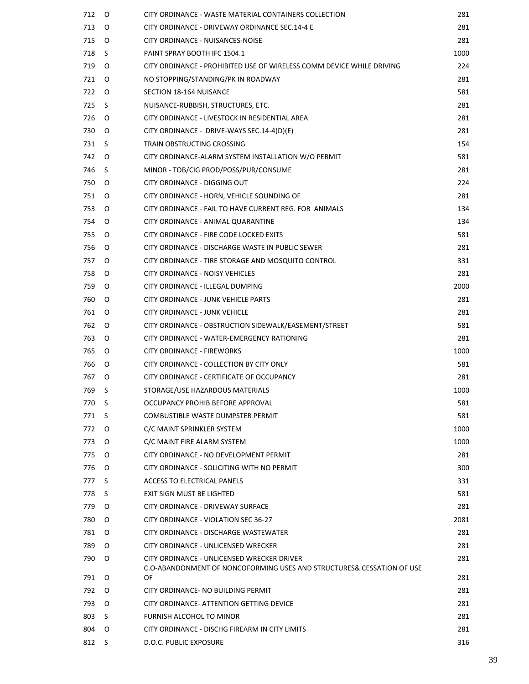| 712 | O   | CITY ORDINANCE - WASTE MATERIAL CONTAINERS COLLECTION                       | 281  |
|-----|-----|-----------------------------------------------------------------------------|------|
| 713 | O   | CITY ORDINANCE - DRIVEWAY ORDINANCE SEC.14-4 E                              | 281  |
| 715 | O   | CITY ORDINANCE - NUISANCES-NOISE                                            | 281  |
| 718 | S.  | PAINT SPRAY BOOTH IFC 1504.1                                                | 1000 |
| 719 | O   | CITY ORDINANCE - PROHIBITED USE OF WIRELESS COMM DEVICE WHILE DRIVING       | 224  |
| 721 | O   | NO STOPPING/STANDING/PK IN ROADWAY                                          | 281  |
| 722 | O   | SECTION 18-164 NUISANCE                                                     | 581  |
| 725 | S.  | NUISANCE-RUBBISH, STRUCTURES, ETC.                                          | 281  |
| 726 | O   | CITY ORDINANCE - LIVESTOCK IN RESIDENTIAL AREA                              | 281  |
| 730 | O   | CITY ORDINANCE - DRIVE-WAYS SEC.14-4(D)(E)                                  | 281  |
| 731 | S.  | TRAIN OBSTRUCTING CROSSING                                                  | 154  |
| 742 | O   | CITY ORDINANCE-ALARM SYSTEM INSTALLATION W/O PERMIT                         | 581  |
| 746 | S   | MINOR - TOB/CIG PROD/POSS/PUR/CONSUME                                       | 281  |
| 750 | O   | CITY ORDINANCE - DIGGING OUT                                                | 224  |
| 751 | O   | CITY ORDINANCE - HORN, VEHICLE SOUNDING OF                                  | 281  |
| 753 | O   | CITY ORDINANCE - FAIL TO HAVE CURRENT REG. FOR ANIMALS                      | 134  |
| 754 | O   | CITY ORDINANCE - ANIMAL QUARANTINE                                          | 134  |
| 755 | O   | CITY ORDINANCE - FIRE CODE LOCKED EXITS                                     | 581  |
| 756 | O   | CITY ORDINANCE - DISCHARGE WASTE IN PUBLIC SEWER                            | 281  |
| 757 | O   | CITY ORDINANCE - TIRE STORAGE AND MOSQUITO CONTROL                          | 331  |
| 758 | O   | CITY ORDINANCE - NOISY VEHICLES                                             | 281  |
| 759 | O   | CITY ORDINANCE - ILLEGAL DUMPING                                            | 2000 |
| 760 | O   | CITY ORDINANCE - JUNK VEHICLE PARTS                                         | 281  |
| 761 | O   | CITY ORDINANCE - JUNK VEHICLE                                               | 281  |
| 762 | O   | CITY ORDINANCE - OBSTRUCTION SIDEWALK/EASEMENT/STREET                       | 581  |
| 763 | O   | CITY ORDINANCE - WATER-EMERGENCY RATIONING                                  | 281  |
| 765 | O   | CITY ORDINANCE - FIREWORKS                                                  | 1000 |
| 766 | O   | CITY ORDINANCE - COLLECTION BY CITY ONLY                                    | 581  |
| 767 | O   | CITY ORDINANCE - CERTIFICATE OF OCCUPANCY                                   | 281  |
| 769 | S   | STORAGE/USE HAZARDOUS MATERIALS                                             | 1000 |
| 770 | - S | OCCUPANCY PROHIB BEFORE APPROVAL                                            | 581  |
| 771 | S   | COMBUSTIBLE WASTE DUMPSTER PERMIT                                           | 581  |
| 772 | O   | C/C MAINT SPRINKLER SYSTEM                                                  | 1000 |
| 773 | O   | C/C MAINT FIRE ALARM SYSTEM                                                 | 1000 |
| 775 | O   | CITY ORDINANCE - NO DEVELOPMENT PERMIT                                      | 281  |
| 776 | O   | CITY ORDINANCE - SOLICITING WITH NO PERMIT                                  | 300  |
| 777 | S   | ACCESS TO ELECTRICAL PANELS                                                 | 331  |
| 778 | S.  | EXIT SIGN MUST BE LIGHTED                                                   | 581  |
| 779 | O   | CITY ORDINANCE - DRIVEWAY SURFACE                                           | 281  |
| 780 | O   | CITY ORDINANCE - VIOLATION SEC 36-27                                        | 2081 |
| 781 | O   | CITY ORDINANCE - DISCHARGE WASTEWATER                                       | 281  |
| 789 | O   | CITY ORDINANCE - UNLICENSED WRECKER                                         | 281  |
| 790 | O   | CITY ORDINANCE - UNLICENSED WRECKER DRIVER                                  | 281  |
| 791 | O   | C.O-ABANDONMENT OF NONCOFORMING USES AND STRUCTURES& CESSATION OF USE<br>OF | 281  |
| 792 | O   | CITY ORDINANCE- NO BUILDING PERMIT                                          | 281  |
| 793 | O   | CITY ORDINANCE- ATTENTION GETTING DEVICE                                    | 281  |
| 803 | S   | FURNISH ALCOHOL TO MINOR                                                    | 281  |
| 804 | O   | CITY ORDINANCE - DISCHG FIREARM IN CITY LIMITS                              | 281  |
| 812 | S   | D.O.C. PUBLIC EXPOSURE                                                      | 316  |
|     |     |                                                                             |      |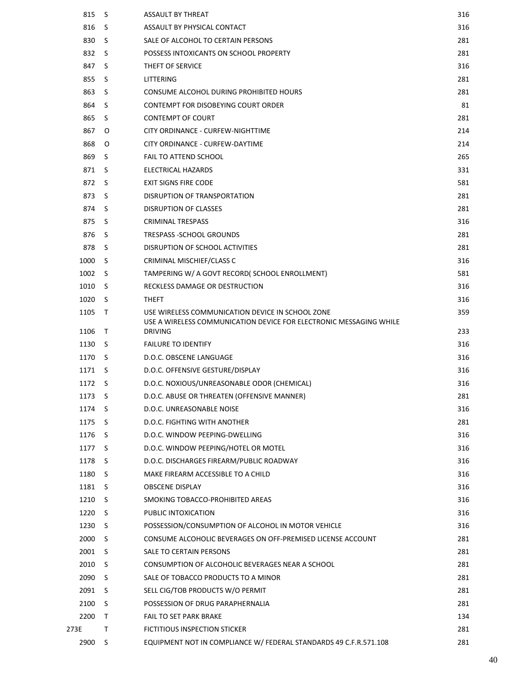| 815    | -S           | <b>ASSAULT BY THREAT</b>                                                             | 316 |
|--------|--------------|--------------------------------------------------------------------------------------|-----|
| 816    | S            | ASSAULT BY PHYSICAL CONTACT                                                          | 316 |
| 830    | -S           | SALE OF ALCOHOL TO CERTAIN PERSONS                                                   | 281 |
| 832    | -S           | POSSESS INTOXICANTS ON SCHOOL PROPERTY                                               | 281 |
| 847    | <sub>S</sub> | THEFT OF SERVICE                                                                     | 316 |
| 855    | <sub>S</sub> | LITTERING                                                                            | 281 |
| 863    | S            | CONSUME ALCOHOL DURING PROHIBITED HOURS                                              | 281 |
| 864    | S            | CONTEMPT FOR DISOBEYING COURT ORDER                                                  | 81  |
| 865    | S            | <b>CONTEMPT OF COURT</b>                                                             | 281 |
| 867    | O            | CITY ORDINANCE - CURFEW-NIGHTTIME                                                    | 214 |
| 868    | O            | CITY ORDINANCE - CURFEW-DAYTIME                                                      | 214 |
| 869    | S.           | <b>FAIL TO ATTEND SCHOOL</b>                                                         | 265 |
| 871    | -S           | ELECTRICAL HAZARDS                                                                   | 331 |
| 872    | -S           | <b>EXIT SIGNS FIRE CODE</b>                                                          | 581 |
| 873    | S            | DISRUPTION OF TRANSPORTATION                                                         | 281 |
| 874    | -S           | <b>DISRUPTION OF CLASSES</b>                                                         | 281 |
| 875    | -S           | <b>CRIMINAL TRESPASS</b>                                                             | 316 |
| 876    | -S           | TRESPASS - SCHOOL GROUNDS                                                            | 281 |
| 878    | -S           | DISRUPTION OF SCHOOL ACTIVITIES                                                      | 281 |
| 1000   | S            | CRIMINAL MISCHIEF/CLASS C                                                            | 316 |
| 1002   | -S           | TAMPERING W/ A GOVT RECORD( SCHOOL ENROLLMENT)                                       | 581 |
| 1010   | -S           | RECKLESS DAMAGE OR DESTRUCTION                                                       | 316 |
| 1020   | -S           | <b>THEFT</b>                                                                         | 316 |
| 1105   | $\top$       | USE WIRELESS COMMUNICATION DEVICE IN SCHOOL ZONE                                     | 359 |
| 1106   | $\top$       | USE A WIRELESS COMMUNICATION DEVICE FOR ELECTRONIC MESSAGING WHILE<br><b>DRIVING</b> | 233 |
| 1130   | -S           | <b>FAILURE TO IDENTIFY</b>                                                           | 316 |
| 1170   | -S           | D.O.C. OBSCENE LANGUAGE                                                              | 316 |
| 1171   | -S           | D.O.C. OFFENSIVE GESTURE/DISPLAY                                                     | 316 |
| 1172   | -S           | D.O.C. NOXIOUS/UNREASONABLE ODOR (CHEMICAL)                                          | 316 |
| 1173   | S            |                                                                                      | 281 |
| 1174   | -S           | D.O.C. ABUSE OR THREATEN (OFFENSIVE MANNER)<br>D.O.C. UNREASONABLE NOISE             | 316 |
|        | S.           | D.O.C. FIGHTING WITH ANOTHER                                                         |     |
| 1175   |              |                                                                                      | 281 |
| 1176   | S.           | D.O.C. WINDOW PEEPING-DWELLING                                                       | 316 |
| 1177 S |              | D.O.C. WINDOW PEEPING/HOTEL OR MOTEL                                                 | 316 |
| 1178   | -S           | D.O.C. DISCHARGES FIREARM/PUBLIC ROADWAY                                             | 316 |
| 1180   | S.           | MAKE FIREARM ACCESSIBLE TO A CHILD                                                   | 316 |
| 1181   | S S          | <b>OBSCENE DISPLAY</b>                                                               | 316 |
| 1210   | - S          | SMOKING TOBACCO-PROHIBITED AREAS                                                     | 316 |
| 1220   | S.           | PUBLIC INTOXICATION                                                                  | 316 |
| 1230   | S.           | POSSESSION/CONSUMPTION OF ALCOHOL IN MOTOR VEHICLE                                   | 316 |
| 2000   | S.           | CONSUME ALCOHOLIC BEVERAGES ON OFF-PREMISED LICENSE ACCOUNT                          | 281 |
| 2001   | S S          | SALE TO CERTAIN PERSONS                                                              | 281 |
| 2010   | S.           | CONSUMPTION OF ALCOHOLIC BEVERAGES NEAR A SCHOOL                                     | 281 |
| 2090   | S.           | SALE OF TOBACCO PRODUCTS TO A MINOR                                                  | 281 |
| 2091   | S S          | SELL CIG/TOB PRODUCTS W/O PERMIT                                                     | 281 |
| 2100   | S.           | POSSESSION OF DRUG PARAPHERNALIA                                                     | 281 |
| 2200   | $\top$       | <b>FAIL TO SET PARK BRAKE</b>                                                        | 134 |
| 273E   | Τ            | FICTITIOUS INSPECTION STICKER                                                        | 281 |
| 2900   | S.           | EQUIPMENT NOT IN COMPLIANCE W/ FEDERAL STANDARDS 49 C.F.R.571.108                    | 281 |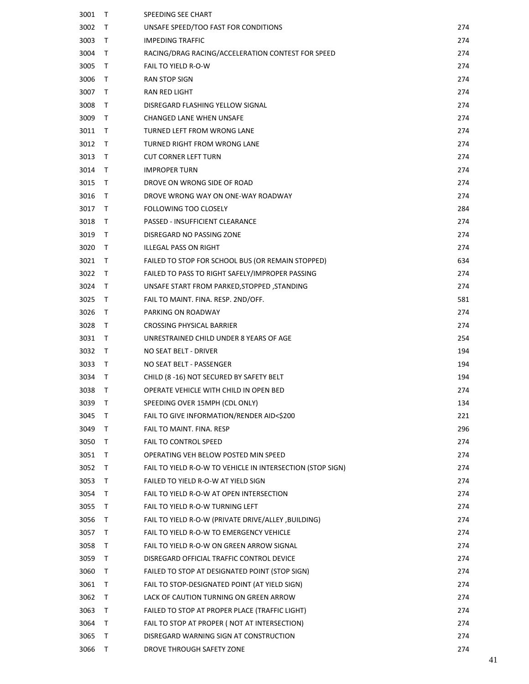| 3001 | T      | SPEEDING SEE CHART                                         |     |
|------|--------|------------------------------------------------------------|-----|
| 3002 | Τ      | UNSAFE SPEED/TOO FAST FOR CONDITIONS                       | 274 |
| 3003 | Τ      | <b>IMPEDING TRAFFIC</b>                                    | 274 |
| 3004 | Τ      | RACING/DRAG RACING/ACCELERATION CONTEST FOR SPEED          | 274 |
| 3005 | Τ      | FAIL TO YIELD R-O-W                                        | 274 |
| 3006 | Τ      | RAN STOP SIGN                                              | 274 |
| 3007 | Τ      | RAN RED LIGHT                                              | 274 |
| 3008 | Τ      | DISREGARD FLASHING YELLOW SIGNAL                           | 274 |
| 3009 | Τ      | <b>CHANGED LANE WHEN UNSAFE</b>                            | 274 |
| 3011 | Т      | TURNED LEFT FROM WRONG LANE                                | 274 |
| 3012 | Τ      | TURNED RIGHT FROM WRONG LANE                               | 274 |
| 3013 | Τ      | <b>CUT CORNER LEFT TURN</b>                                | 274 |
| 3014 | T      | <b>IMPROPER TURN</b>                                       | 274 |
| 3015 | Τ      | DROVE ON WRONG SIDE OF ROAD                                | 274 |
| 3016 | Τ      | DROVE WRONG WAY ON ONE-WAY ROADWAY                         | 274 |
| 3017 | Τ      | FOLLOWING TOO CLOSELY                                      | 284 |
| 3018 | T      | PASSED - INSUFFICIENT CLEARANCE                            | 274 |
| 3019 | T      | DISREGARD NO PASSING ZONE                                  | 274 |
| 3020 | Τ      | ILLEGAL PASS ON RIGHT                                      | 274 |
| 3021 | T      | FAILED TO STOP FOR SCHOOL BUS (OR REMAIN STOPPED)          | 634 |
| 3022 | T      | FAILED TO PASS TO RIGHT SAFELY/IMPROPER PASSING            | 274 |
| 3024 | T      | UNSAFE START FROM PARKED, STOPPED, STANDING                | 274 |
| 3025 | Τ      | FAIL TO MAINT. FINA. RESP. 2ND/OFF.                        | 581 |
| 3026 | Τ      | PARKING ON ROADWAY                                         | 274 |
| 3028 | T      | CROSSING PHYSICAL BARRIER                                  | 274 |
| 3031 | Т      | UNRESTRAINED CHILD UNDER 8 YEARS OF AGE                    | 254 |
| 3032 | Τ      | NO SEAT BELT - DRIVER                                      | 194 |
| 3033 | T      | NO SEAT BELT - PASSENGER                                   | 194 |
| 3034 | $\top$ | CHILD (8-16) NOT SECURED BY SAFETY BELT                    | 194 |
| 3038 | Т      | OPERATE VEHICLE WITH CHILD IN OPEN BED                     | 274 |
| 3039 | Τ      | SPEEDING OVER 15MPH (CDL ONLY)                             | 134 |
| 3045 | Τ      | FAIL TO GIVE INFORMATION/RENDER AID<\$200                  | 221 |
| 3049 | Τ      | FAIL TO MAINT. FINA. RESP                                  | 296 |
| 3050 | Τ      | <b>FAIL TO CONTROL SPEED</b>                               | 274 |
| 3051 | T      | OPERATING VEH BELOW POSTED MIN SPEED                       | 274 |
| 3052 | Т      | FAIL TO YIELD R-O-W TO VEHICLE IN INTERSECTION (STOP SIGN) | 274 |
| 3053 | Τ      | FAILED TO YIELD R-O-W AT YIELD SIGN                        | 274 |
| 3054 | Τ      | FAIL TO YIELD R-O-W AT OPEN INTERSECTION                   | 274 |
| 3055 | Τ      | FAIL TO YIELD R-O-W TURNING LEFT                           | 274 |
| 3056 | Τ      | FAIL TO YIELD R-O-W (PRIVATE DRIVE/ALLEY, BUILDING)        | 274 |
| 3057 | Τ      | FAIL TO YIELD R-O-W TO EMERGENCY VEHICLE                   | 274 |
| 3058 | Τ      | FAIL TO YIELD R-O-W ON GREEN ARROW SIGNAL                  | 274 |
| 3059 | Τ      | DISREGARD OFFICIAL TRAFFIC CONTROL DEVICE                  | 274 |
| 3060 | Τ      | FAILED TO STOP AT DESIGNATED POINT (STOP SIGN)             | 274 |
| 3061 | Τ      | FAIL TO STOP-DESIGNATED POINT (AT YIELD SIGN)              | 274 |
| 3062 | Τ      | LACK OF CAUTION TURNING ON GREEN ARROW                     | 274 |
| 3063 | Τ      | FAILED TO STOP AT PROPER PLACE (TRAFFIC LIGHT)             | 274 |
| 3064 | T      | FAIL TO STOP AT PROPER (NOT AT INTERSECTION)               | 274 |
| 3065 | Τ      | DISREGARD WARNING SIGN AT CONSTRUCTION                     | 274 |
| 3066 | Т      | DROVE THROUGH SAFETY ZONE                                  | 274 |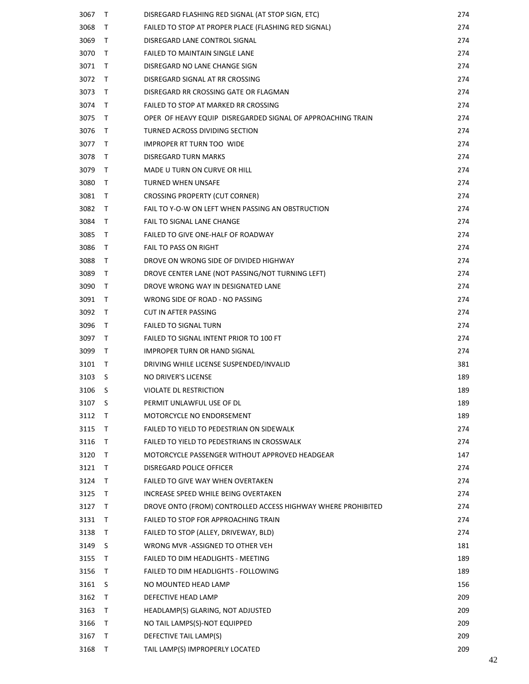| 3067 | Τ            | DISREGARD FLASHING RED SIGNAL (AT STOP SIGN, ETC)            | 274 |
|------|--------------|--------------------------------------------------------------|-----|
| 3068 | T            | FAILED TO STOP AT PROPER PLACE (FLASHING RED SIGNAL)         | 274 |
| 3069 | T.           | DISREGARD LANE CONTROL SIGNAL                                | 274 |
| 3070 | T            | <b>FAILED TO MAINTAIN SINGLE LANE</b>                        | 274 |
| 3071 | T.           | DISREGARD NO LANE CHANGE SIGN                                | 274 |
| 3072 | T            | DISREGARD SIGNAL AT RR CROSSING                              | 274 |
| 3073 | T.           | DISREGARD RR CROSSING GATE OR FLAGMAN                        | 274 |
| 3074 | T            | FAILED TO STOP AT MARKED RR CROSSING                         | 274 |
| 3075 | T.           | OPER OF HEAVY EQUIP DISREGARDED SIGNAL OF APPROACHING TRAIN  | 274 |
| 3076 | T            | TURNED ACROSS DIVIDING SECTION                               | 274 |
| 3077 | T.           | <b>IMPROPER RT TURN TOO WIDE</b>                             | 274 |
| 3078 | T            | DISREGARD TURN MARKS                                         | 274 |
| 3079 | T.           | MADE U TURN ON CURVE OR HILL                                 | 274 |
| 3080 | T.           | <b>TURNED WHEN UNSAFE</b>                                    | 274 |
| 3081 | T            | <b>CROSSING PROPERTY (CUT CORNER)</b>                        | 274 |
| 3082 | T.           | FAIL TO Y-O-W ON LEFT WHEN PASSING AN OBSTRUCTION            | 274 |
| 3084 | T.           | <b>FAIL TO SIGNAL LANE CHANGE</b>                            | 274 |
| 3085 | T            | FAILED TO GIVE ONE-HALF OF ROADWAY                           | 274 |
| 3086 | T.           | <b>FAIL TO PASS ON RIGHT</b>                                 | 274 |
| 3088 | T.           | DROVE ON WRONG SIDE OF DIVIDED HIGHWAY                       | 274 |
| 3089 | T.           | DROVE CENTER LANE (NOT PASSING/NOT TURNING LEFT)             | 274 |
| 3090 | T            | DROVE WRONG WAY IN DESIGNATED LANE                           | 274 |
| 3091 | T.           | WRONG SIDE OF ROAD - NO PASSING                              | 274 |
| 3092 | T            | CUT IN AFTER PASSING                                         | 274 |
| 3096 | T.           | <b>FAILED TO SIGNAL TURN</b>                                 | 274 |
| 3097 | T.           | FAILED TO SIGNAL INTENT PRIOR TO 100 FT                      | 274 |
| 3099 | T.           | <b>IMPROPER TURN OR HAND SIGNAL</b>                          | 274 |
| 3101 | T.           | DRIVING WHILE LICENSE SUSPENDED/INVALID                      | 381 |
| 3103 | S            | NO DRIVER'S LICENSE                                          | 189 |
| 3106 | S            | VIOLATE DL RESTRICTION                                       | 189 |
| 3107 | S            | PERMIT UNLAWFUL USE OF DL                                    | 189 |
| 3112 | T            | MOTORCYCLE NO ENDORSEMENT                                    | 189 |
| 3115 | T.           | FAILED TO YIELD TO PEDESTRIAN ON SIDEWALK                    | 274 |
| 3116 | T.           | FAILED TO YIELD TO PEDESTRIANS IN CROSSWALK                  | 274 |
| 3120 | T.           | MOTORCYCLE PASSENGER WITHOUT APPROVED HEADGEAR               | 147 |
| 3121 | $\mathsf{T}$ | DISREGARD POLICE OFFICER                                     | 274 |
| 3124 | T.           | <b>FAILED TO GIVE WAY WHEN OVERTAKEN</b>                     | 274 |
| 3125 | T.           | INCREASE SPEED WHILE BEING OVERTAKEN                         | 274 |
| 3127 | T.           | DROVE ONTO (FROM) CONTROLLED ACCESS HIGHWAY WHERE PROHIBITED | 274 |
| 3131 | $\mathsf{T}$ | FAILED TO STOP FOR APPROACHING TRAIN                         | 274 |
| 3138 | T.           | FAILED TO STOP (ALLEY, DRIVEWAY, BLD)                        | 274 |
| 3149 | S            | WRONG MVR - ASSIGNED TO OTHER VEH                            | 181 |
| 3155 | T.           | FAILED TO DIM HEADLIGHTS - MEETING                           | 189 |
| 3156 | T.           | FAILED TO DIM HEADLIGHTS - FOLLOWING                         | 189 |
| 3161 | S            | NO MOUNTED HEAD LAMP                                         | 156 |
| 3162 | T.           | DEFECTIVE HEAD LAMP                                          | 209 |
| 3163 | T.           | HEADLAMP(S) GLARING, NOT ADJUSTED                            | 209 |
| 3166 | $\mathsf{T}$ | NO TAIL LAMPS(S)-NOT EQUIPPED                                | 209 |
|      | T.           |                                                              | 209 |
| 3167 | T            | DEFECTIVE TAIL LAMP(S)                                       | 209 |
| 3168 |              | TAIL LAMP(S) IMPROPERLY LOCATED                              |     |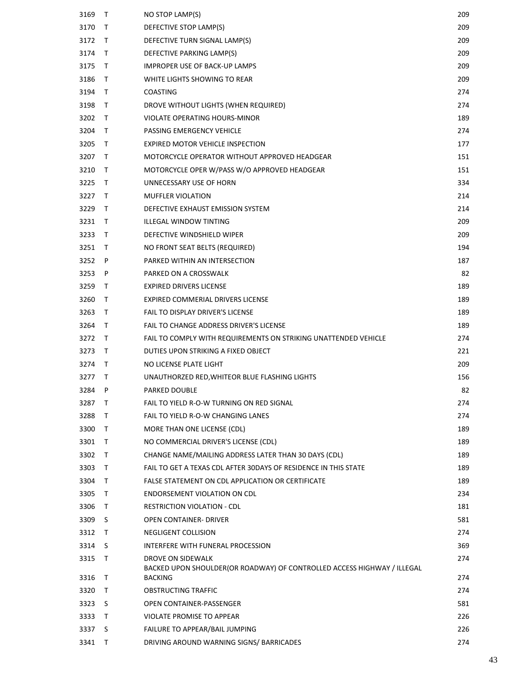| 3169 | T  | NO STOP LAMP(S)                                                                           | 209 |
|------|----|-------------------------------------------------------------------------------------------|-----|
| 3170 | Τ  | DEFECTIVE STOP LAMP(S)                                                                    | 209 |
| 3172 | T  | DEFECTIVE TURN SIGNAL LAMP(S)                                                             | 209 |
| 3174 | T  | DEFECTIVE PARKING LAMP(S)                                                                 | 209 |
| 3175 | T  | IMPROPER USE OF BACK-UP LAMPS                                                             | 209 |
| 3186 | T  | WHITE LIGHTS SHOWING TO REAR                                                              | 209 |
| 3194 | T  | <b>COASTING</b>                                                                           | 274 |
| 3198 | T  | DROVE WITHOUT LIGHTS (WHEN REQUIRED)                                                      | 274 |
| 3202 | T. | VIOLATE OPERATING HOURS-MINOR                                                             | 189 |
| 3204 | T  | PASSING EMERGENCY VEHICLE                                                                 | 274 |
| 3205 | T  | EXPIRED MOTOR VEHICLE INSPECTION                                                          | 177 |
| 3207 | T  | MOTORCYCLE OPERATOR WITHOUT APPROVED HEADGEAR                                             | 151 |
| 3210 | T  | MOTORCYCLE OPER W/PASS W/O APPROVED HEADGEAR                                              | 151 |
| 3225 | T  | UNNECESSARY USE OF HORN                                                                   | 334 |
| 3227 | T  | <b>MUFFLER VIOLATION</b>                                                                  | 214 |
| 3229 | T  | DEFECTIVE EXHAUST EMISSION SYSTEM                                                         | 214 |
| 3231 | T. | <b>ILLEGAL WINDOW TINTING</b>                                                             | 209 |
| 3233 | T  | DEFECTIVE WINDSHIELD WIPER                                                                | 209 |
| 3251 | Τ  | NO FRONT SEAT BELTS (REQUIRED)                                                            | 194 |
| 3252 | P  | PARKED WITHIN AN INTERSECTION                                                             | 187 |
| 3253 | P  | PARKED ON A CROSSWALK                                                                     | 82  |
| 3259 | T  | <b>EXPIRED DRIVERS LICENSE</b>                                                            | 189 |
| 3260 | T  | EXPIRED COMMERIAL DRIVERS LICENSE                                                         | 189 |
| 3263 | T  | FAIL TO DISPLAY DRIVER'S LICENSE                                                          | 189 |
| 3264 | T  | FAIL TO CHANGE ADDRESS DRIVER'S LICENSE                                                   | 189 |
| 3272 | T  | FAIL TO COMPLY WITH REQUIREMENTS ON STRIKING UNATTENDED VEHICLE                           | 274 |
| 3273 | T  | DUTIES UPON STRIKING A FIXED OBJECT                                                       | 221 |
| 3274 | T  | NO LICENSE PLATE LIGHT                                                                    | 209 |
| 3277 | T  | UNAUTHORZED RED, WHITEOR BLUE FLASHING LIGHTS                                             | 156 |
| 3284 | P  | PARKED DOUBLE                                                                             | 82  |
| 3287 | T  | FAIL TO YIELD R-O-W TURNING ON RED SIGNAL                                                 | 274 |
| 3288 | T  | FAIL TO YIELD R-O-W CHANGING LANES                                                        | 274 |
| 3300 | T  | MORE THAN ONE LICENSE (CDL)                                                               | 189 |
| 3301 | T  | NO COMMERCIAL DRIVER'S LICENSE (CDL)                                                      | 189 |
| 3302 | T  | CHANGE NAME/MAILING ADDRESS LATER THAN 30 DAYS (CDL)                                      | 189 |
| 3303 | T  | FAIL TO GET A TEXAS CDL AFTER 30DAYS OF RESIDENCE IN THIS STATE                           | 189 |
| 3304 | T  | FALSE STATEMENT ON CDL APPLICATION OR CERTIFICATE                                         | 189 |
| 3305 | T  | ENDORSEMENT VIOLATION ON CDL                                                              | 234 |
| 3306 | T  | RESTRICTION VIOLATION - CDL                                                               | 181 |
| 3309 | S  | <b>OPEN CONTAINER- DRIVER</b>                                                             | 581 |
| 3312 | T  | NEGLIGENT COLLISION                                                                       | 274 |
| 3314 | S  | INTERFERE WITH FUNERAL PROCESSION                                                         | 369 |
| 3315 | Τ  | DROVE ON SIDEWALK                                                                         | 274 |
| 3316 | T  | BACKED UPON SHOULDER(OR ROADWAY) OF CONTROLLED ACCESS HIGHWAY / ILLEGAL<br><b>BACKING</b> | 274 |
| 3320 | T  | OBSTRUCTING TRAFFIC                                                                       | 274 |
| 3323 | S  | OPEN CONTAINER-PASSENGER                                                                  | 581 |
| 3333 | T  | VIOLATE PROMISE TO APPEAR                                                                 | 226 |
| 3337 | S  | FAILURE TO APPEAR/BAIL JUMPING                                                            | 226 |
| 3341 | Т  | DRIVING AROUND WARNING SIGNS/ BARRICADES                                                  | 274 |
|      |    |                                                                                           |     |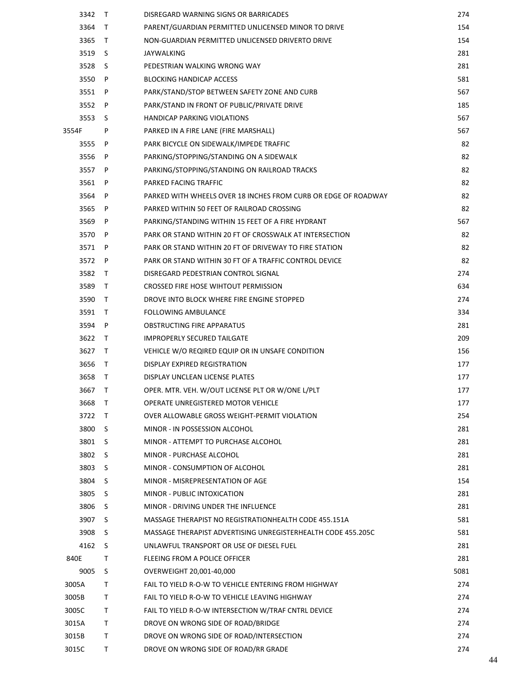| 3342  | $\top$ | DISREGARD WARNING SIGNS OR BARRICADES                          | 274  |
|-------|--------|----------------------------------------------------------------|------|
| 3364  | $\top$ | PARENT/GUARDIAN PERMITTED UNLICENSED MINOR TO DRIVE            | 154  |
| 3365  | $\top$ | NON-GUARDIAN PERMITTED UNLICENSED DRIVERTO DRIVE               | 154  |
| 3519  | -S     | JAYWALKING                                                     | 281  |
| 3528  | -S     | PEDESTRIAN WALKING WRONG WAY                                   | 281  |
| 3550  | P      | <b>BLOCKING HANDICAP ACCESS</b>                                | 581  |
| 3551  | P      | PARK/STAND/STOP BETWEEN SAFETY ZONE AND CURB                   | 567  |
| 3552  | P      | PARK/STAND IN FRONT OF PUBLIC/PRIVATE DRIVE                    | 185  |
| 3553  | S      | HANDICAP PARKING VIOLATIONS                                    | 567  |
| 3554F | P      | PARKED IN A FIRE LANE (FIRE MARSHALL)                          | 567  |
| 3555  | P      | PARK BICYCLE ON SIDEWALK/IMPEDE TRAFFIC                        | 82   |
| 3556  | P      | PARKING/STOPPING/STANDING ON A SIDEWALK                        | 82   |
| 3557  | P      | PARKING/STOPPING/STANDING ON RAILROAD TRACKS                   | 82   |
| 3561  | P      | PARKED FACING TRAFFIC                                          | 82   |
| 3564  | P      | PARKED WITH WHEELS OVER 18 INCHES FROM CURB OR EDGE OF ROADWAY | 82   |
| 3565  | P      | PARKED WITHIN 50 FEET OF RAILROAD CROSSING                     | 82   |
| 3569  | P      | PARKING/STANDING WITHIN 15 FEET OF A FIRE HYDRANT              | 567  |
| 3570  | P      | PARK OR STAND WITHIN 20 FT OF CROSSWALK AT INTERSECTION        | 82   |
| 3571  | P      | PARK OR STAND WITHIN 20 FT OF DRIVEWAY TO FIRE STATION         | 82   |
| 3572  | P      | PARK OR STAND WITHIN 30 FT OF A TRAFFIC CONTROL DEVICE         | 82   |
| 3582  | $\top$ | DISREGARD PEDESTRIAN CONTROL SIGNAL                            | 274  |
| 3589  | $\top$ | CROSSED FIRE HOSE WIHTOUT PERMISSION                           | 634  |
| 3590  | $\top$ | DROVE INTO BLOCK WHERE FIRE ENGINE STOPPED                     | 274  |
| 3591  | $\top$ | <b>FOLLOWING AMBULANCE</b>                                     | 334  |
| 3594  | P      | OBSTRUCTING FIRE APPARATUS                                     | 281  |
| 3622  | $\top$ | <b>IMPROPERLY SECURED TAILGATE</b>                             | 209  |
| 3627  | $\top$ | VEHICLE W/O REQIRED EQUIP OR IN UNSAFE CONDITION               | 156  |
| 3656  | $\top$ | DISPLAY EXPIRED REGISTRATION                                   | 177  |
| 3658  | $\top$ | DISPLAY UNCLEAN LICENSE PLATES                                 | 177  |
| 3667  | T      | OPER. MTR. VEH. W/OUT LICENSE PLT OR W/ONE L/PLT               | 177  |
| 3668  | $\top$ | OPERATE UNREGISTERED MOTOR VEHICLE                             | 177  |
| 3722  | T      | OVER ALLOWABLE GROSS WEIGHT-PERMIT VIOLATION                   | 254  |
| 3800  | S      | MINOR - IN POSSESSION ALCOHOL                                  | 281  |
| 3801  | S.     | MINOR - ATTEMPT TO PURCHASE ALCOHOL                            | 281  |
| 3802  | S      | MINOR - PURCHASE ALCOHOL                                       | 281  |
| 3803  | S      | MINOR - CONSUMPTION OF ALCOHOL                                 | 281  |
| 3804  | S      | MINOR - MISREPRESENTATION OF AGE                               | 154  |
| 3805  | S.     | MINOR - PUBLIC INTOXICATION                                    | 281  |
| 3806  | S      | MINOR - DRIVING UNDER THE INFLUENCE                            | 281  |
| 3907  | S      | MASSAGE THERAPIST NO REGISTRATIONHEALTH CODE 455.151A          | 581  |
| 3908  | S      | MASSAGE THERAPIST ADVERTISING UNREGISTERHEALTH CODE 455.205C   | 581  |
| 4162  | S      | UNLAWFUL TRANSPORT OR USE OF DIESEL FUEL                       | 281  |
| 840E  | T      | FLEEING FROM A POLICE OFFICER                                  | 281  |
| 9005  | S      | OVERWEIGHT 20,001-40,000                                       | 5081 |
| 3005A | T      | FAIL TO YIELD R-O-W TO VEHICLE ENTERING FROM HIGHWAY           | 274  |
| 3005B | Τ      | FAIL TO YIELD R-O-W TO VEHICLE LEAVING HIGHWAY                 | 274  |
| 3005C | T.     | FAIL TO YIELD R-O-W INTERSECTION W/TRAF CNTRL DEVICE           | 274  |
| 3015A | T      | DROVE ON WRONG SIDE OF ROAD/BRIDGE                             | 274  |
| 3015B | Τ      | DROVE ON WRONG SIDE OF ROAD/INTERSECTION                       | 274  |
| 3015C | Τ      | DROVE ON WRONG SIDE OF ROAD/RR GRADE                           | 274  |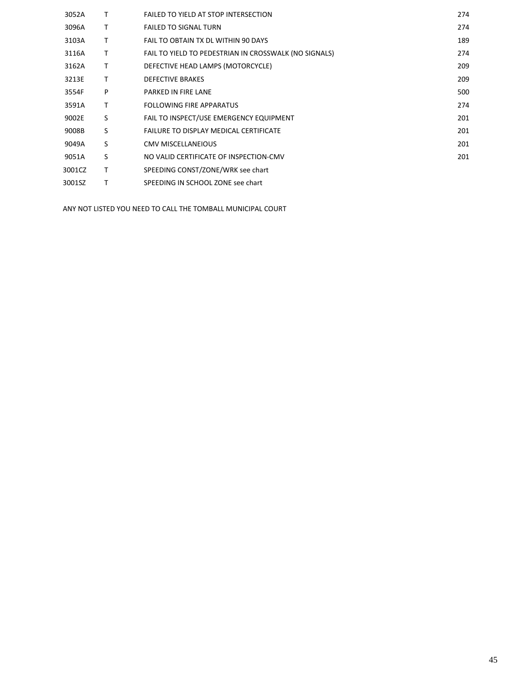| 3052A  | т | FAILED TO YIELD AT STOP INTERSECTION                  | 274 |
|--------|---|-------------------------------------------------------|-----|
| 3096A  | т | <b>FAILED TO SIGNAL TURN</b>                          | 274 |
| 3103A  | т | FAIL TO OBTAIN TX DL WITHIN 90 DAYS                   | 189 |
| 3116A  | т | FAIL TO YIELD TO PEDESTRIAN IN CROSSWALK (NO SIGNALS) | 274 |
| 3162A  | т | DEFECTIVE HEAD LAMPS (MOTORCYCLE)                     | 209 |
| 3213E  | т | <b>DEFECTIVE BRAKES</b>                               | 209 |
| 3554F  | P | PARKED IN FIRE LANE                                   | 500 |
| 3591A  | т | FOLLOWING FIRE APPARATUS                              | 274 |
| 9002E  | S | FAIL TO INSPECT/USE EMERGENCY EQUIPMENT               | 201 |
| 9008B  | S | <b>FAILURE TO DISPLAY MEDICAL CERTIFICATE</b>         | 201 |
| 9049A  | S | <b>CMV MISCELLANEIOUS</b>                             | 201 |
| 9051A  | S | NO VALID CERTIFICATE OF INSPECTION-CMV                | 201 |
| 3001CZ | т | SPEEDING CONST/ZONE/WRK see chart                     |     |
| 3001SZ |   | SPEEDING IN SCHOOL ZONE see chart                     |     |
|        |   |                                                       |     |

ANY NOT LISTED YOU NEED TO CALL THE TOMBALL MUNICIPAL COURT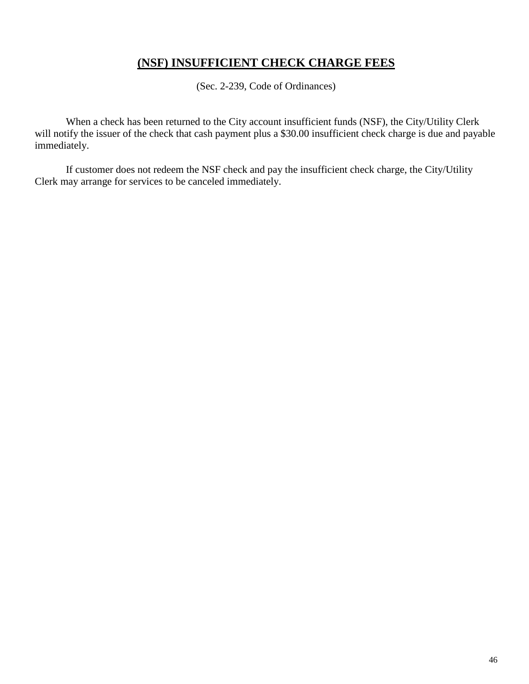## **(NSF) INSUFFICIENT CHECK CHARGE FEES**

(Sec. 2-239, Code of Ordinances)

When a check has been returned to the City account insufficient funds (NSF), the City/Utility Clerk will notify the issuer of the check that cash payment plus a \$30.00 insufficient check charge is due and payable immediately.

If customer does not redeem the NSF check and pay the insufficient check charge, the City/Utility Clerk may arrange for services to be canceled immediately.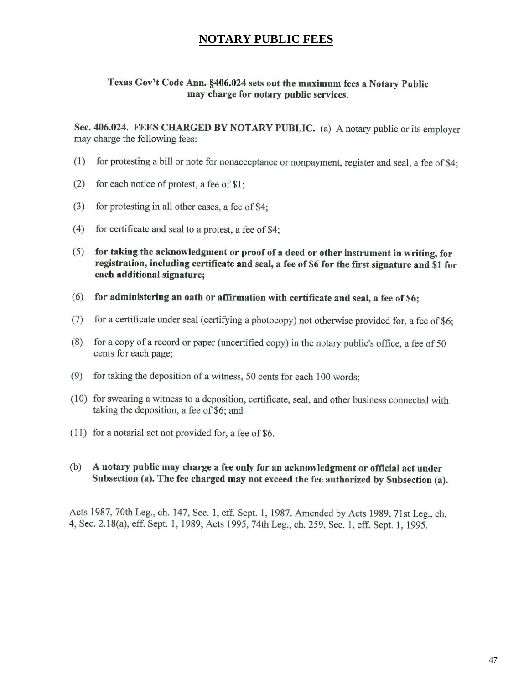### **NOTARY PUBLIC FEES**

#### Texas Gov't Code Ann. §406.024 sets out the maximum fees a Notary Public may charge for notary public services.

Sec. 406.024. FEES CHARGED BY NOTARY PUBLIC. (a) A notary public or its employer may charge the following fees:

- $(1)$ for protesting a bill or note for nonacceptance or nonpayment, register and seal, a fee of \$4;
- $(2)$ for each notice of protest, a fee of \$1;
- $(3)$ for protesting in all other cases, a fee of \$4;
- $(4)$ for certificate and seal to a protest, a fee of \$4;
- for taking the acknowledgment or proof of a deed or other instrument in writing, for  $(5)$ registration, including certificate and seal, a fee of \$6 for the first signature and \$1 for each additional signature;
- for administering an oath or affirmation with certificate and seal, a fee of \$6;  $(6)$
- for a certificate under seal (certifying a photocopy) not otherwise provided for, a fee of \$6;  $(7)$
- $(8)$ for a copy of a record or paper (uncertified copy) in the notary public's office, a fee of 50 cents for each page;
- $(9)$ for taking the deposition of a witness, 50 cents for each 100 words:
- (10) for swearing a witness to a deposition, certificate, seal, and other business connected with taking the deposition, a fee of \$6; and
- (11) for a notarial act not provided for, a fee of \$6.
- $(b)$ A notary public may charge a fee only for an acknowledgment or official act under Subsection (a). The fee charged may not exceed the fee authorized by Subsection (a).

Acts 1987, 70th Leg., ch. 147, Sec. 1, eff. Sept. 1, 1987. Amended by Acts 1989, 71st Leg., ch. 4, Sec. 2.18(a), eff. Sept. 1, 1989; Acts 1995, 74th Leg., ch. 259, Sec. 1, eff. Sept. 1, 1995.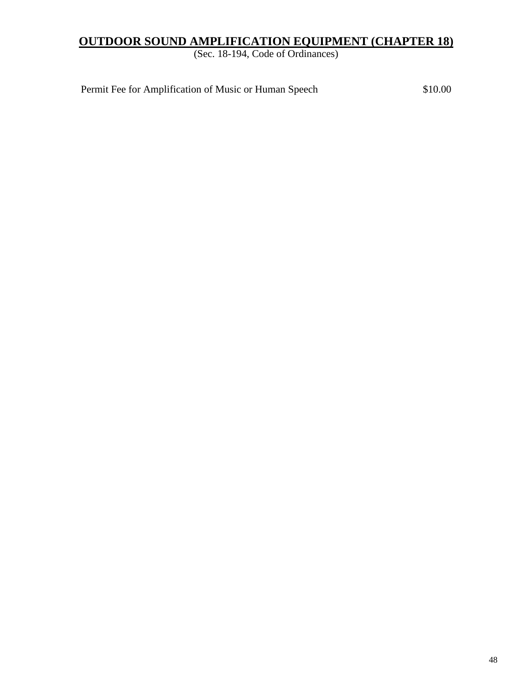## **OUTDOOR SOUND AMPLIFICATION EQUIPMENT (CHAPTER 18)**

(Sec. 18-194, Code of Ordinances)

Permit Fee for Amplification of Music or Human Speech \$10.00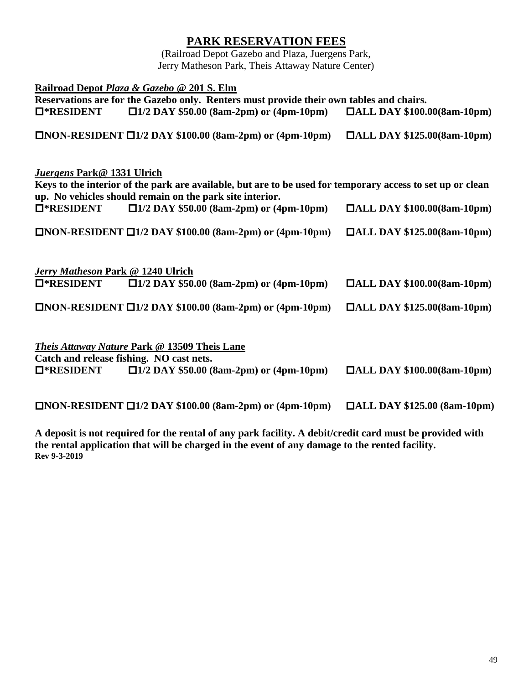## **PARK RESERVATION FEES**

(Railroad Depot Gazebo and Plaza, Juergens Park, Jerry Matheson Park, Theis Attaway Nature Center)

| Railroad Depot Plaza & Gazebo @ 201 S. Elm<br>Reservations are for the Gazebo only. Renters must provide their own tables and chairs.                                                                |                                           |  |  |
|------------------------------------------------------------------------------------------------------------------------------------------------------------------------------------------------------|-------------------------------------------|--|--|
| $\square$ 1/2 DAY \$50.00 (8am-2pm) or (4pm-10pm)<br>□*RESIDENT                                                                                                                                      | $\blacksquare$ ALL DAY \$100.00(8am-10pm) |  |  |
| $\Box$ NON-RESIDENT $\Box$ 1/2 DAY \$100.00 (8am-2pm) or (4pm-10pm)                                                                                                                                  | $\Box$ ALL DAY \$125.00(8am-10pm)         |  |  |
| Juergens Park@ 1331 Ulrich<br>Keys to the interior of the park are available, but are to be used for temporary access to set up or clean<br>up. No vehicles should remain on the park site interior. |                                           |  |  |
| $\Box$ 1/2 DAY \$50.00 (8am-2pm) or (4pm-10pm)<br>$\square$ *RESIDENT                                                                                                                                | $\Box$ ALL DAY \$100.00(8am-10pm)         |  |  |
| $\Box$ NON-RESIDENT $\Box$ 1/2 DAY \$100.00 (8am-2pm) or (4pm-10pm)                                                                                                                                  | $\Box$ ALL DAY \$125.00(8am-10pm)         |  |  |
|                                                                                                                                                                                                      |                                           |  |  |
| Jerry Matheson Park @ 1240 Ulrich<br>$\square$ *RESIDENT $\square$ 1/2 DAY \$50.00 (8am-2pm) or (4pm-10pm)                                                                                           | $\Box$ ALL DAY \$100.00(8am-10pm)         |  |  |
| $\Box$ NON-RESIDENT $\Box$ 1/2 DAY \$100.00 (8am-2pm) or (4pm-10pm)                                                                                                                                  | $\Box$ ALL DAY \$125.00(8am-10pm)         |  |  |
|                                                                                                                                                                                                      |                                           |  |  |
| <b>Theis Attaway Nature Park @ 13509 Theis Lane</b><br>Catch and release fishing. NO cast nets.                                                                                                      |                                           |  |  |
| $\square$ *RESIDENT $\square$ 1/2 DAY \$50.00 (8am-2pm) or (4pm-10pm)                                                                                                                                | $\Box$ ALL DAY \$100.00(8am-10pm)         |  |  |
|                                                                                                                                                                                                      |                                           |  |  |
| $\Box$ NON-RESIDENT $\Box$ 1/2 DAY \$100.00 (8am-2pm) or (4pm-10pm)                                                                                                                                  | $\Box$ ALL DAY \$125.00 (8am-10pm)        |  |  |
| A deposit is not required for the rental of any park facility. A debit/credit card must be provided with                                                                                             |                                           |  |  |

**the rental application that will be charged in the event of any damage to the rented facility. Rev 9-3-2019**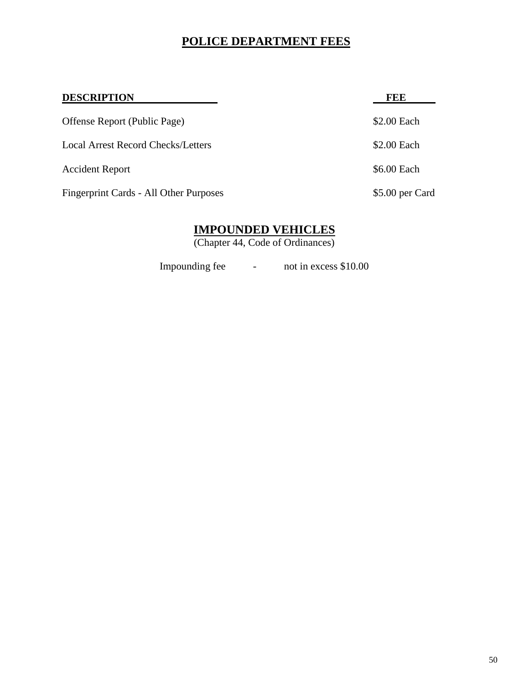## **POLICE DEPARTMENT FEES**

| <b>DESCRIPTION</b>                     | <b>FEE</b>      |
|----------------------------------------|-----------------|
| Offense Report (Public Page)           | \$2.00 Each     |
| Local Arrest Record Checks/Letters     | \$2.00 Each     |
| <b>Accident Report</b>                 | \$6.00 Each     |
| Fingerprint Cards - All Other Purposes | \$5.00 per Card |

## **IMPOUNDED VEHICLES**

(Chapter 44, Code of Ordinances)

Impounding fee - not in excess \$10.00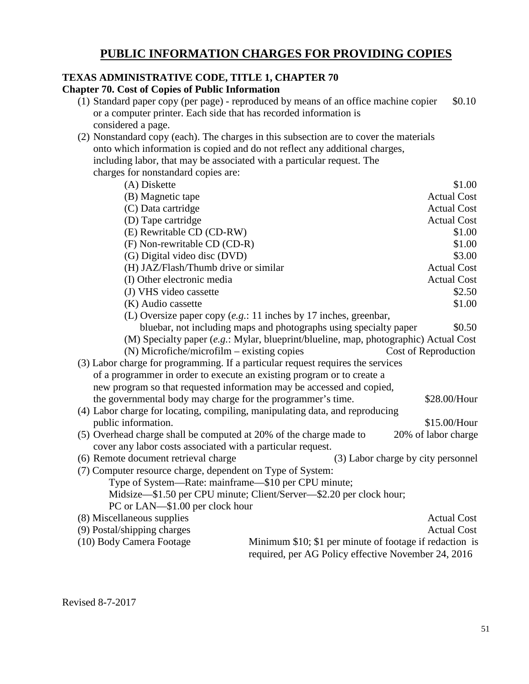## **PUBLIC INFORMATION CHARGES FOR PROVIDING COPIES**

## **TEXAS ADMINISTRATIVE CODE, TITLE 1, CHAPTER 70**

**Chapter 70. Cost of Copies of Public Information** 

- (1) Standard paper copy (per page) reproduced by means of an office machine copier  $$0.10$ or a computer printer. Each side that has recorded information is considered a page.
- (2) Nonstandard copy (each). The charges in this subsection are to cover the materials onto which information is copied and do not reflect any additional charges, including labor, that may be associated with a particular request. The charges for nonstandard copies are:

| (A) Diskette                                                                    |                                                                                      | \$1.00                             |
|---------------------------------------------------------------------------------|--------------------------------------------------------------------------------------|------------------------------------|
| (B) Magnetic tape                                                               |                                                                                      | <b>Actual Cost</b>                 |
| (C) Data cartridge                                                              |                                                                                      | <b>Actual Cost</b>                 |
| (D) Tape cartridge                                                              |                                                                                      | <b>Actual Cost</b>                 |
| (E) Rewritable CD (CD-RW)                                                       |                                                                                      | \$1.00                             |
| (F) Non-rewritable CD (CD-R)                                                    |                                                                                      | \$1.00                             |
| (G) Digital video disc (DVD)                                                    |                                                                                      | \$3.00                             |
| (H) JAZ/Flash/Thumb drive or similar                                            |                                                                                      | <b>Actual Cost</b>                 |
| (I) Other electronic media                                                      |                                                                                      | <b>Actual Cost</b>                 |
| (J) VHS video cassette                                                          |                                                                                      | \$2.50                             |
| (K) Audio cassette                                                              |                                                                                      | \$1.00                             |
|                                                                                 | (L) Oversize paper copy $(e.g.: 11$ inches by 17 inches, greenbar,                   |                                    |
|                                                                                 | bluebar, not including maps and photographs using specialty paper                    | \$0.50                             |
|                                                                                 | (M) Specialty paper (e.g.: Mylar, blueprint/blueline, map, photographic) Actual Cost |                                    |
| $(N)$ Microfiche/microfilm – existing copies                                    |                                                                                      | Cost of Reproduction               |
| (3) Labor charge for programming. If a particular request requires the services |                                                                                      |                                    |
| of a programmer in order to execute an existing program or to create a          |                                                                                      |                                    |
| new program so that requested information may be accessed and copied,           |                                                                                      |                                    |
| the governmental body may charge for the programmer's time.                     |                                                                                      | \$28.00/Hour                       |
| (4) Labor charge for locating, compiling, manipulating data, and reproducing    |                                                                                      |                                    |
| public information.                                                             |                                                                                      | \$15.00/Hour                       |
| (5) Overhead charge shall be computed at 20% of the charge made to              |                                                                                      | 20% of labor charge                |
| cover any labor costs associated with a particular request.                     |                                                                                      |                                    |
| (6) Remote document retrieval charge                                            |                                                                                      | (3) Labor charge by city personnel |
| (7) Computer resource charge, dependent on Type of System:                      |                                                                                      |                                    |
| Type of System—Rate: mainframe—\$10 per CPU minute;                             |                                                                                      |                                    |
|                                                                                 | Midsize-\$1.50 per CPU minute; Client/Server-\$2.20 per clock hour;                  |                                    |
| PC or LAN—\$1.00 per clock hour                                                 |                                                                                      |                                    |
| (8) Miscellaneous supplies                                                      |                                                                                      | <b>Actual Cost</b>                 |
| (9) Postal/shipping charges                                                     |                                                                                      | <b>Actual Cost</b>                 |
| (10) Body Camera Footage                                                        | Minimum \$10; \$1 per minute of footage if redaction is                              |                                    |
|                                                                                 | required, per AG Policy effective November 24, 2016                                  |                                    |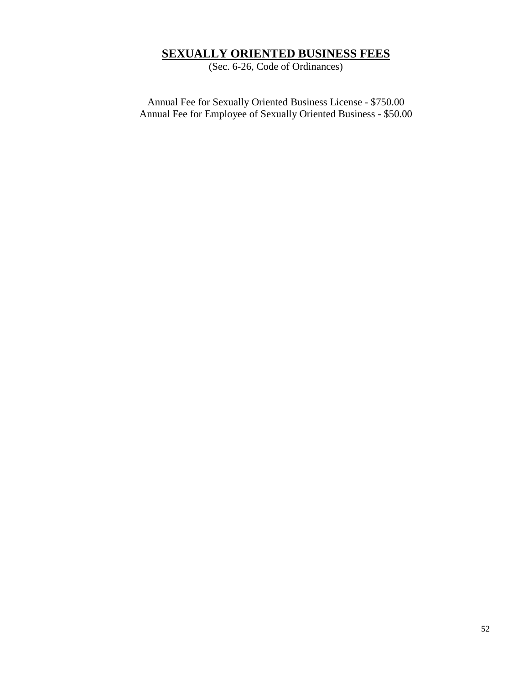## **SEXUALLY ORIENTED BUSINESS FEES**

(Sec. 6-26, Code of Ordinances)

Annual Fee for Sexually Oriented Business License - \$750.00 Annual Fee for Employee of Sexually Oriented Business - \$50.00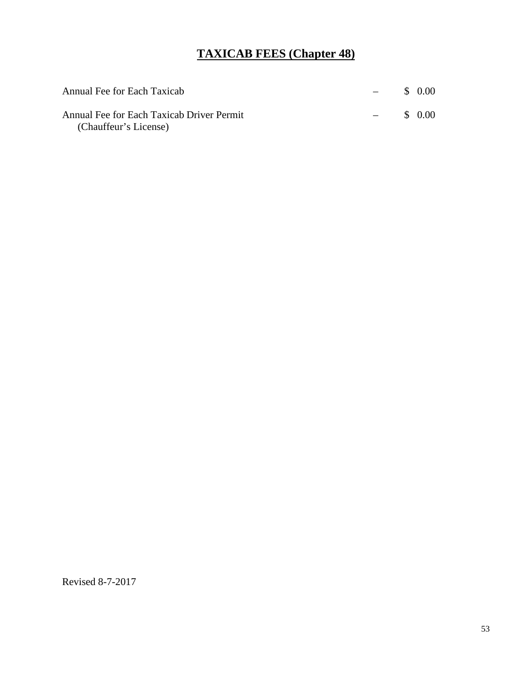## **TAXICAB FEES (Chapter 48)**

| Annual Fee for Each Taxicab                                        | $\overline{\phantom{a}}$ | \$ 0.00 |
|--------------------------------------------------------------------|--------------------------|---------|
| Annual Fee for Each Taxicab Driver Permit<br>(Chauffeur's License) | <b>Contract Contract</b> | \$ 0.00 |

Revised 8-7-2017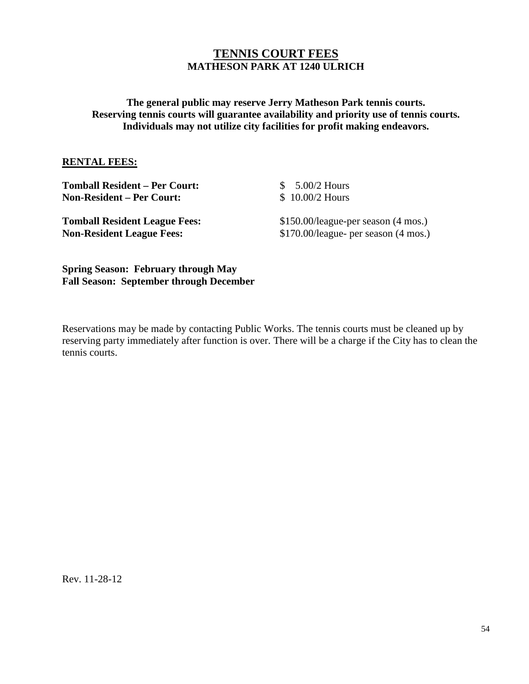### **TENNIS COURT FEES MATHESON PARK AT 1240 ULRICH**

### **The general public may reserve Jerry Matheson Park tennis courts. Reserving tennis courts will guarantee availability and priority use of tennis courts. Individuals may not utilize city facilities for profit making endeavors.**

#### **RENTAL FEES:**

| <b>Tomball Resident – Per Court:</b><br><b>Non-Resident – Per Court:</b> | $$5.00/2$ Hours<br>$$10.00/2$ Hours    |
|--------------------------------------------------------------------------|----------------------------------------|
| <b>Tomball Resident League Fees:</b>                                     | $$150.00/$ league-per season (4 mos.)  |
| <b>Non-Resident League Fees:</b>                                         | $$170.00/$ league- per season (4 mos.) |
|                                                                          |                                        |

**Spring Season: February through May Fall Season: September through December**

Reservations may be made by contacting Public Works. The tennis courts must be cleaned up by reserving party immediately after function is over. There will be a charge if the City has to clean the tennis courts.

Rev. 11-28-12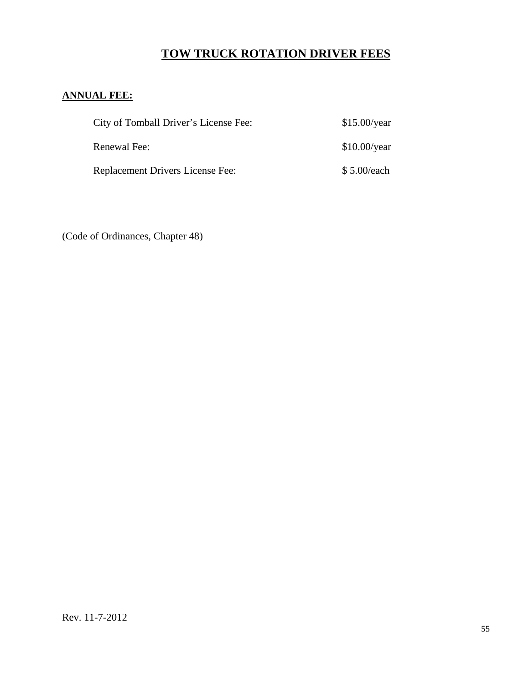## **TOW TRUCK ROTATION DRIVER FEES**

### **ANNUAL FEE:**

| City of Tomball Driver's License Fee:   | \$15.00/year         |
|-----------------------------------------|----------------------|
| Renewal Fee:                            | $$10.00/\text{year}$ |
| <b>Replacement Drivers License Fee:</b> | \$5.00/each          |

(Code of Ordinances, Chapter 48)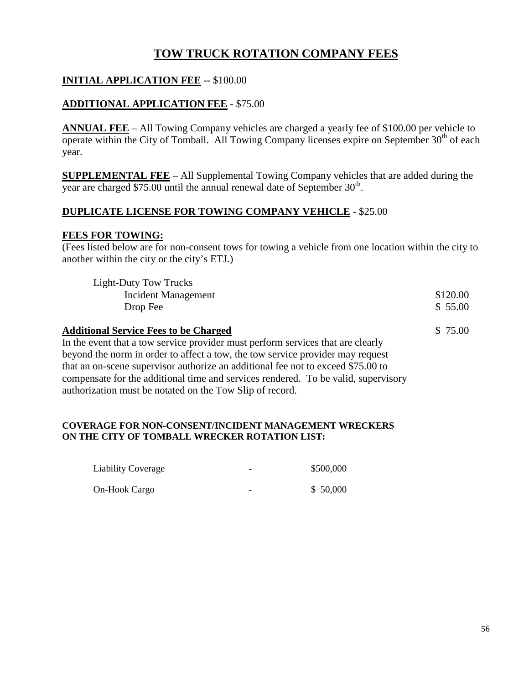## **TOW TRUCK ROTATION COMPANY FEES**

### **INITIAL APPLICATION FEE --** \$100.00

### **ADDITIONAL APPLICATION FEE** - \$75.00

**ANNUAL FEE** – All Towing Company vehicles are charged a yearly fee of \$100.00 per vehicle to operate within the City of Tomball. All Towing Company licenses expire on September  $30<sup>th</sup>$  of each year.

**SUPPLEMENTAL FEE** – All Supplemental Towing Company vehicles that are added during the year are charged \$75.00 until the annual renewal date of September  $30<sup>th</sup>$ .

#### **DUPLICATE LICENSE FOR TOWING COMPANY VEHICLE** - \$25.00

#### **FEES FOR TOWING:**

(Fees listed below are for non-consent tows for towing a vehicle from one location within the city to another within the city or the city's ETJ.)

| Light-Duty Tow Trucks                        |          |
|----------------------------------------------|----------|
| Incident Management                          | \$120.00 |
| Drop Fee                                     | \$ 55.00 |
| <b>Additional Service Fees to be Charged</b> | \$75.00  |

In the event that a tow service provider must perform services that are clearly beyond the norm in order to affect a tow, the tow service provider may request that an on-scene supervisor authorize an additional fee not to exceed \$75.00 to compensate for the additional time and services rendered. To be valid, supervisory authorization must be notated on the Tow Slip of record.

#### **COVERAGE FOR NON-CONSENT/INCIDENT MANAGEMENT WRECKERS ON THE CITY OF TOMBALL WRECKER ROTATION LIST:**

| <b>Liability Coverage</b> | $\overline{\phantom{0}}$ | \$500,000 |
|---------------------------|--------------------------|-----------|
| On-Hook Cargo             | $\overline{\phantom{0}}$ | \$50,000  |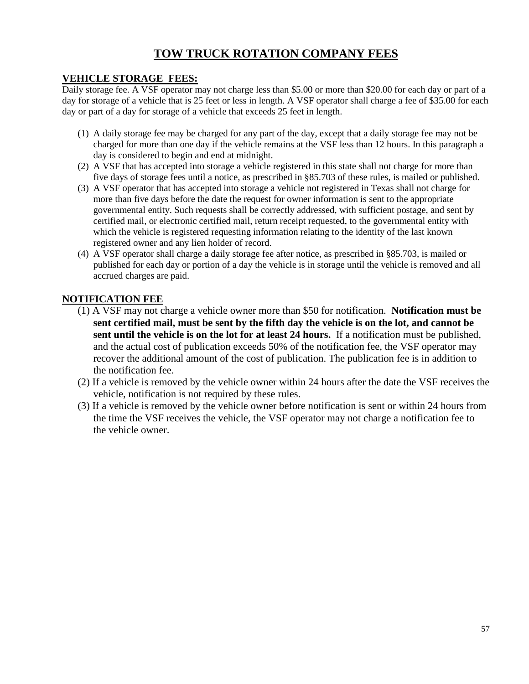## **TOW TRUCK ROTATION COMPANY FEES**

### **VEHICLE STORAGE FEES:**

Daily storage fee. A VSF operator may not charge less than \$5.00 or more than \$20.00 for each day or part of a day for storage of a vehicle that is 25 feet or less in length. A VSF operator shall charge a fee of \$35.00 for each day or part of a day for storage of a vehicle that exceeds 25 feet in length.

- (1) A daily storage fee may be charged for any part of the day, except that a daily storage fee may not be charged for more than one day if the vehicle remains at the VSF less than 12 hours. In this paragraph a day is considered to begin and end at midnight.
- (2) A VSF that has accepted into storage a vehicle registered in this state shall not charge for more than five days of storage fees until a notice, as prescribed in §85.703 of these rules, is mailed or published.
- (3) A VSF operator that has accepted into storage a vehicle not registered in Texas shall not charge for more than five days before the date the request for owner information is sent to the appropriate governmental entity. Such requests shall be correctly addressed, with sufficient postage, and sent by certified mail, or electronic certified mail, return receipt requested, to the governmental entity with which the vehicle is registered requesting information relating to the identity of the last known registered owner and any lien holder of record.
- (4) A VSF operator shall charge a daily storage fee after notice, as prescribed in §85.703, is mailed or published for each day or portion of a day the vehicle is in storage until the vehicle is removed and all accrued charges are paid.

### **NOTIFICATION FEE**

- (1) A VSF may not charge a vehicle owner more than \$50 for notification. **Notification must be sent certified mail, must be sent by the fifth day the vehicle is on the lot, and cannot be sent until the vehicle is on the lot for at least 24 hours.** If a notification must be published, and the actual cost of publication exceeds 50% of the notification fee, the VSF operator may recover the additional amount of the cost of publication. The publication fee is in addition to the notification fee.
- (2) If a vehicle is removed by the vehicle owner within 24 hours after the date the VSF receives the vehicle, notification is not required by these rules.
- (3) If a vehicle is removed by the vehicle owner before notification is sent or within 24 hours from the time the VSF receives the vehicle, the VSF operator may not charge a notification fee to the vehicle owner.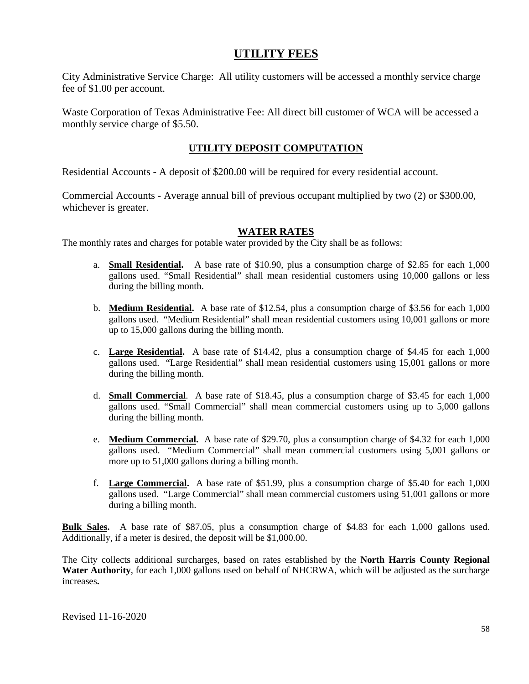### **UTILITY FEES**

City Administrative Service Charge: All utility customers will be accessed a monthly service charge fee of \$1.00 per account.

Waste Corporation of Texas Administrative Fee: All direct bill customer of WCA will be accessed a monthly service charge of \$5.50.

### **UTILITY DEPOSIT COMPUTATION**

Residential Accounts - A deposit of \$200.00 will be required for every residential account.

Commercial Accounts - Average annual bill of previous occupant multiplied by two (2) or \$300.00, whichever is greater.

### **WATER RATES**

The monthly rates and charges for potable water provided by the City shall be as follows:

- a. **Small Residential.** A base rate of \$10.90, plus a consumption charge of \$2.85 for each 1,000 gallons used. "Small Residential" shall mean residential customers using 10,000 gallons or less during the billing month.
- b. **Medium Residential.** A base rate of \$12.54, plus a consumption charge of \$3.56 for each 1,000 gallons used. "Medium Residential" shall mean residential customers using 10,001 gallons or more up to 15,000 gallons during the billing month.
- c. **Large Residential.** A base rate of \$14.42, plus a consumption charge of \$4.45 for each 1,000 gallons used. "Large Residential" shall mean residential customers using 15,001 gallons or more during the billing month.
- d. **Small Commercial**. A base rate of \$18.45, plus a consumption charge of \$3.45 for each 1,000 gallons used. "Small Commercial" shall mean commercial customers using up to 5,000 gallons during the billing month.
- e. **Medium Commercial.** A base rate of \$29.70, plus a consumption charge of \$4.32 for each 1,000 gallons used. "Medium Commercial" shall mean commercial customers using 5,001 gallons or more up to 51,000 gallons during a billing month.
- f. **Large Commercial.** A base rate of \$51.99, plus a consumption charge of \$5.40 for each 1,000 gallons used. "Large Commercial" shall mean commercial customers using 51,001 gallons or more during a billing month.

**Bulk Sales.** A base rate of \$87.05, plus a consumption charge of \$4.83 for each 1,000 gallons used. Additionally, if a meter is desired, the deposit will be \$1,000.00.

The City collects additional surcharges, based on rates established by the **North Harris County Regional Water Authority**, for each 1,000 gallons used on behalf of NHCRWA, which will be adjusted as the surcharge increases**.**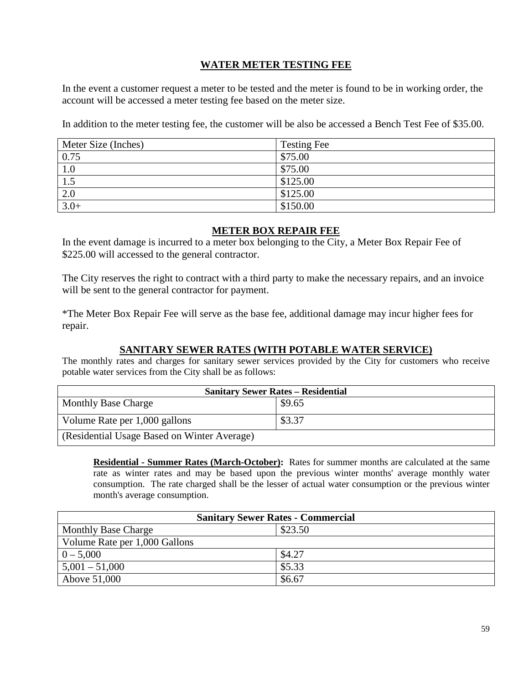### **WATER METER TESTING FEE**

In the event a customer request a meter to be tested and the meter is found to be in working order, the account will be accessed a meter testing fee based on the meter size.

In addition to the meter testing fee, the customer will be also be accessed a Bench Test Fee of \$35.00.

| Meter Size (Inches) | <b>Testing Fee</b> |
|---------------------|--------------------|
| $\vert 0.75$        | \$75.00            |
| 1.0                 | \$75.00            |
| 1.5                 | \$125.00           |
| 2.0                 | \$125.00           |
| $3.0+$              | \$150.00           |

#### **METER BOX REPAIR FEE**

In the event damage is incurred to a meter box belonging to the City, a Meter Box Repair Fee of \$225.00 will accessed to the general contractor.

The City reserves the right to contract with a third party to make the necessary repairs, and an invoice will be sent to the general contractor for payment.

\*The Meter Box Repair Fee will serve as the base fee, additional damage may incur higher fees for repair.

### **SANITARY SEWER RATES (WITH POTABLE WATER SERVICE)**

The monthly rates and charges for sanitary sewer services provided by the City for customers who receive potable water services from the City shall be as follows:

| <b>Sanitary Sewer Rates - Residential</b>   |        |  |
|---------------------------------------------|--------|--|
| <b>Monthly Base Charge</b>                  | \$9.65 |  |
| Volume Rate per 1,000 gallons               | \$3.37 |  |
| (Residential Usage Based on Winter Average) |        |  |

**Residential - Summer Rates (March-October):** Rates for summer months are calculated at the same rate as winter rates and may be based upon the previous winter months' average monthly water consumption. The rate charged shall be the lesser of actual water consumption or the previous winter month's average consumption.

| <b>Sanitary Sewer Rates - Commercial</b> |         |  |
|------------------------------------------|---------|--|
| <b>Monthly Base Charge</b>               | \$23.50 |  |
| Volume Rate per 1,000 Gallons            |         |  |
| $0 - 5,000$                              | \$4.27  |  |
| $5,001 - 51,000$                         | \$5.33  |  |
| Above 51,000                             | \$6.67  |  |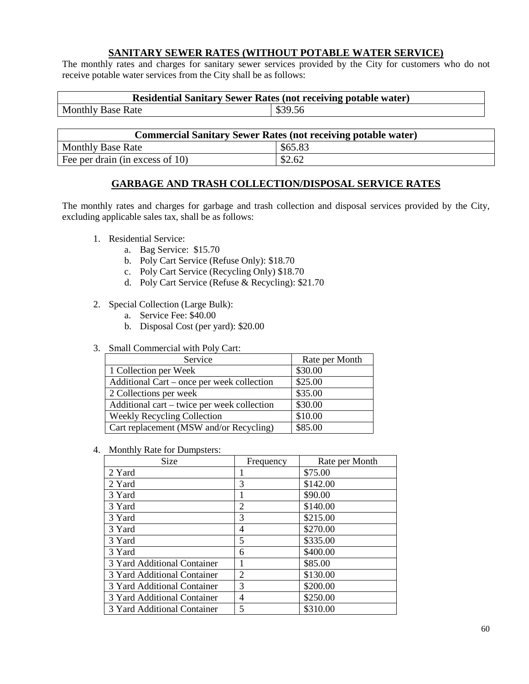#### **SANITARY SEWER RATES (WITHOUT POTABLE WATER SERVICE)**

The monthly rates and charges for sanitary sewer services provided by the City for customers who do not receive potable water services from the City shall be as follows:

| <b>Residential Sanitary Sewer Rates (not receiving potable water)</b> |         |  |
|-----------------------------------------------------------------------|---------|--|
| <b>Monthly Base Rate</b>                                              | \$39.56 |  |

| <b>Commercial Sanitary Sewer Rates (not receiving potable water)</b> |         |  |
|----------------------------------------------------------------------|---------|--|
| <b>Monthly Base Rate</b>                                             | \$65.83 |  |
| Fee per drain (in excess of 10)                                      | \$2.62  |  |

#### **GARBAGE AND TRASH COLLECTION/DISPOSAL SERVICE RATES**

The monthly rates and charges for garbage and trash collection and disposal services provided by the City, excluding applicable sales tax, shall be as follows:

- 1. Residential Service:
	- a. Bag Service: \$15.70
	- b. Poly Cart Service (Refuse Only): \$18.70
	- c. Poly Cart Service (Recycling Only) \$18.70
	- d. Poly Cart Service (Refuse & Recycling): \$21.70
- 2. Special Collection (Large Bulk):
	- a. Service Fee: \$40.00
	- b. Disposal Cost (per yard): \$20.00
- 3. Small Commercial with Poly Cart:

| Service                                     | Rate per Month |
|---------------------------------------------|----------------|
| 1 Collection per Week                       | \$30.00        |
| Additional Cart – once per week collection  | \$25.00        |
| 2 Collections per week                      | \$35.00        |
| Additional cart – twice per week collection | \$30.00        |
| <b>Weekly Recycling Collection</b>          | \$10.00        |
| Cart replacement (MSW and/or Recycling)     | \$85.00        |

4. Monthly Rate for Dumpsters:

| Size                        | Frequency      | Rate per Month |
|-----------------------------|----------------|----------------|
| 2 Yard                      |                | \$75.00        |
| 2 Yard                      | 3              | \$142.00       |
| 3 Yard                      |                | \$90.00        |
| 3 Yard                      | $\overline{2}$ | \$140.00       |
| 3 Yard                      | 3              | \$215.00       |
| 3 Yard                      | 4              | \$270.00       |
| 3 Yard                      | 5              | \$335.00       |
| 3 Yard                      | 6              | \$400.00       |
| 3 Yard Additional Container |                | \$85.00        |
| 3 Yard Additional Container | $\overline{2}$ | \$130.00       |
| 3 Yard Additional Container | 3              | \$200.00       |
| 3 Yard Additional Container | 4              | \$250.00       |
| 3 Yard Additional Container | 5              | \$310.00       |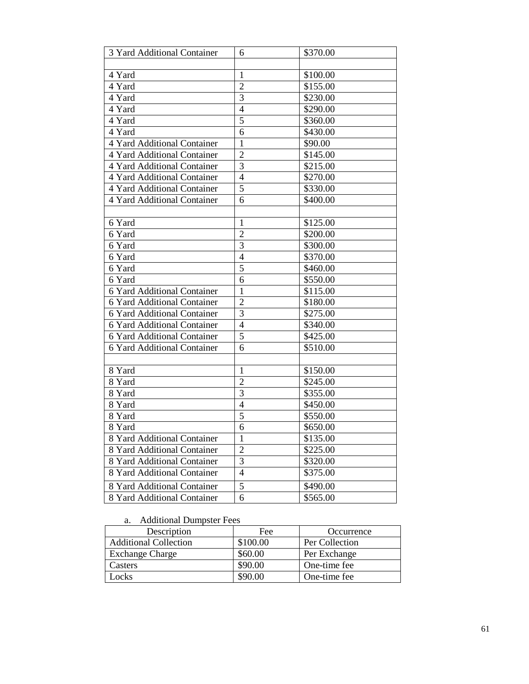| 6              | \$370.00                         |
|----------------|----------------------------------|
|                |                                  |
| 1              | \$100.00                         |
| $\overline{2}$ | \$155.00                         |
| 3              | \$230.00                         |
| $\overline{4}$ | \$290.00                         |
| 5              | \$360.00                         |
| 6              | \$430.00                         |
| $\mathbf{1}$   | \$90.00                          |
| $\overline{2}$ | \$145.00                         |
| 3              | \$215.00                         |
| $\overline{4}$ | \$270.00                         |
| 5              | \$330.00                         |
| 6              | \$400.00                         |
|                |                                  |
| 1              | \$125.00                         |
| $\overline{2}$ | \$200.00                         |
| 3              | \$300.00                         |
| $\overline{4}$ | \$370.00                         |
| 5              | \$460.00                         |
| 6              | \$550.00                         |
| 1              | \$115.00                         |
| $\overline{2}$ | \$180.00                         |
| 3              | \$275.00                         |
| $\overline{4}$ | \$340.00                         |
| 5              | \$425.00                         |
| 6              | \$510.00                         |
|                |                                  |
| $\mathbf{1}$   | \$150.00                         |
|                | \$245.00                         |
|                | \$355.00                         |
| $\overline{4}$ | \$450.00                         |
| 5              | \$550.00                         |
| 6              | \$650.00                         |
| $\mathbf{1}$   | \$135.00                         |
| $\overline{2}$ | \$225.00                         |
| 3              | \$320.00                         |
| $\overline{4}$ | \$375.00                         |
| 5              | \$490.00                         |
| 6              | \$565.00                         |
|                | $\overline{2}$<br>$\overline{3}$ |

#### a. Additional Dumpster Fees

| Description                  | Fee      | Occurrence     |
|------------------------------|----------|----------------|
| <b>Additional Collection</b> | \$100.00 | Per Collection |
| <b>Exchange Charge</b>       | \$60.00  | Per Exchange   |
| Casters                      | \$90.00  | One-time fee   |
| ocks                         | \$90.00  | One-time fee   |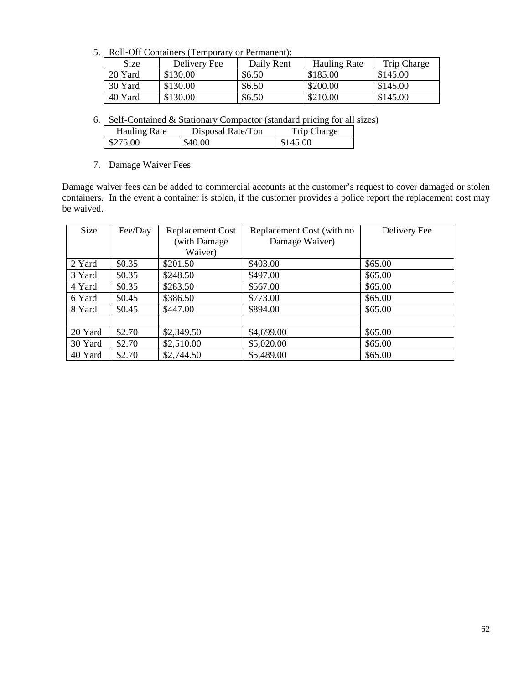5. Roll-Off Containers (Temporary or Permanent):

| Size    | Delivery Fee | Daily Rent | <b>Hauling Rate</b> | Trip Charge |
|---------|--------------|------------|---------------------|-------------|
| 20 Yard | \$130.00     | \$6.50     | \$185.00            | \$145.00    |
| 30 Yard | \$130.00     | \$6.50     | \$200.00            | \$145.00    |
| 40 Yard | \$130.00     | \$6.50     | \$210.00            | \$145.00    |

6. Self-Contained & Stationary Compactor (standard pricing for all sizes)

| Hauling Rate | Disposal Rate/Ton | Trip Charge |
|--------------|-------------------|-------------|
| \$275.00     | \$40.00           | \$145.00    |

7. Damage Waiver Fees

Damage waiver fees can be added to commercial accounts at the customer's request to cover damaged or stolen containers. In the event a container is stolen, if the customer provides a police report the replacement cost may be waived.

| Size    | Fee/Day | <b>Replacement Cost</b> | Replacement Cost (with no | Delivery Fee |
|---------|---------|-------------------------|---------------------------|--------------|
|         |         | (with Damage            | Damage Waiver)            |              |
|         |         | Waiver)                 |                           |              |
| 2 Yard  | \$0.35  | \$201.50                | \$403.00                  | \$65.00      |
| 3 Yard  | \$0.35  | \$248.50                | \$497.00                  | \$65.00      |
| 4 Yard  | \$0.35  | \$283.50                | \$567.00                  | \$65.00      |
| 6 Yard  | \$0.45  | \$386.50                | \$773.00                  | \$65.00      |
| 8 Yard  | \$0.45  | \$447.00                | \$894.00                  | \$65.00      |
|         |         |                         |                           |              |
| 20 Yard | \$2.70  | \$2,349.50              | \$4,699.00                | \$65.00      |
| 30 Yard | \$2.70  | \$2,510.00              | \$5,020.00                | \$65.00      |
| 40 Yard | \$2.70  | \$2,744.50              | \$5,489.00                | \$65.00      |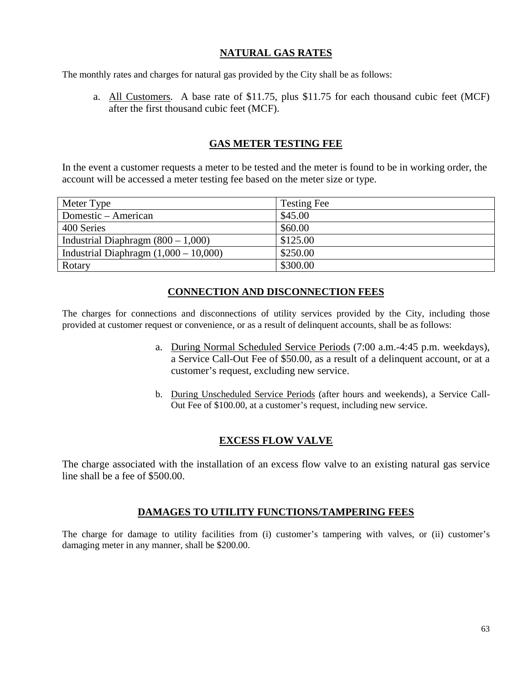#### **NATURAL GAS RATES**

The monthly rates and charges for natural gas provided by the City shall be as follows:

a. All Customers. A base rate of \$11.75, plus \$11.75 for each thousand cubic feet (MCF) after the first thousand cubic feet (MCF).

#### **GAS METER TESTING FEE**

In the event a customer requests a meter to be tested and the meter is found to be in working order, the account will be accessed a meter testing fee based on the meter size or type.

| Meter Type                              | <b>Testing Fee</b> |
|-----------------------------------------|--------------------|
| Domestic – American                     | \$45.00            |
| 400 Series                              | \$60.00            |
| Industrial Diaphragm $(800 - 1,000)$    | \$125.00           |
| Industrial Diaphragm $(1,000 - 10,000)$ | \$250.00           |
| Rotary                                  | \$300.00           |

#### **CONNECTION AND DISCONNECTION FEES**

The charges for connections and disconnections of utility services provided by the City, including those provided at customer request or convenience, or as a result of delinquent accounts, shall be as follows:

- a. During Normal Scheduled Service Periods (7:00 a.m.-4:45 p.m. weekdays), a Service Call-Out Fee of \$50.00, as a result of a delinquent account, or at a customer's request, excluding new service.
- b. During Unscheduled Service Periods (after hours and weekends), a Service Call-Out Fee of \$100.00, at a customer's request, including new service.

### **EXCESS FLOW VALVE**

The charge associated with the installation of an excess flow valve to an existing natural gas service line shall be a fee of \$500.00.

#### **DAMAGES TO UTILITY FUNCTIONS/TAMPERING FEES**

The charge for damage to utility facilities from (i) customer's tampering with valves, or (ii) customer's damaging meter in any manner, shall be \$200.00.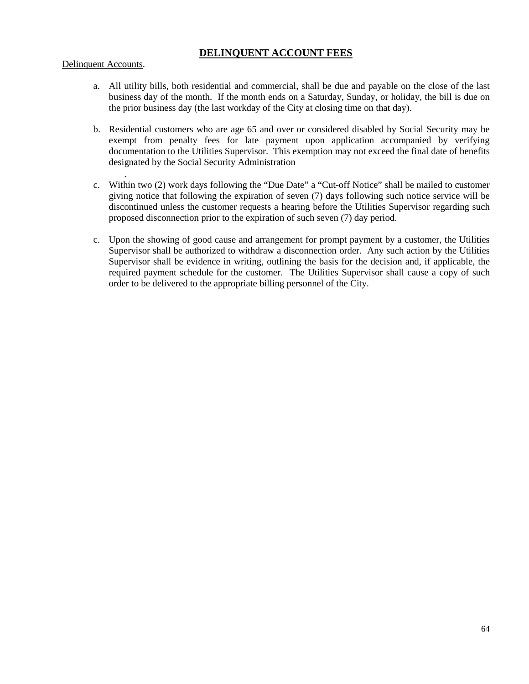### **DELINQUENT ACCOUNT FEES**

#### Delinquent Accounts.

- a. All utility bills, both residential and commercial, shall be due and payable on the close of the last business day of the month. If the month ends on a Saturday, Sunday, or holiday, the bill is due on the prior business day (the last workday of the City at closing time on that day).
- b. Residential customers who are age 65 and over or considered disabled by Social Security may be exempt from penalty fees for late payment upon application accompanied by verifying documentation to the Utilities Supervisor. This exemption may not exceed the final date of benefits designated by the Social Security Administration
- . c. Within two (2) work days following the "Due Date" a "Cut-off Notice" shall be mailed to customer giving notice that following the expiration of seven (7) days following such notice service will be discontinued unless the customer requests a hearing before the Utilities Supervisor regarding such proposed disconnection prior to the expiration of such seven (7) day period.
- c. Upon the showing of good cause and arrangement for prompt payment by a customer, the Utilities Supervisor shall be authorized to withdraw a disconnection order. Any such action by the Utilities Supervisor shall be evidence in writing, outlining the basis for the decision and, if applicable, the required payment schedule for the customer. The Utilities Supervisor shall cause a copy of such order to be delivered to the appropriate billing personnel of the City.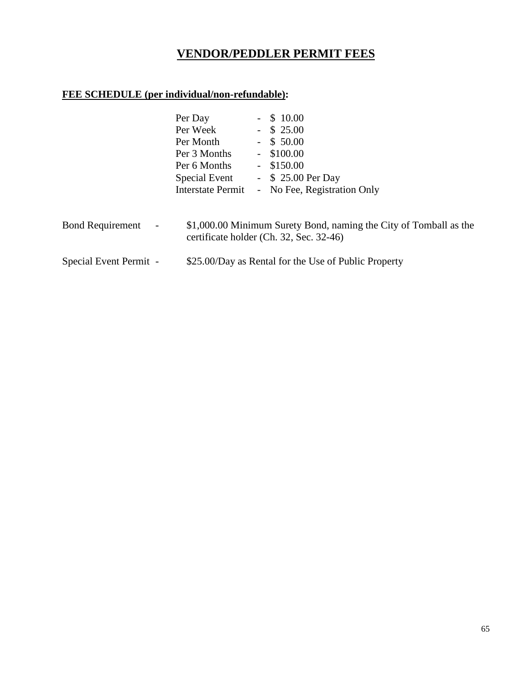## **VENDOR/PEDDLER PERMIT FEES**

### **FEE SCHEDULE (per individual/non-refundable):**

|                                                     | Per Day<br>Per Week<br>Per Month<br>Per 3 Months<br>Per 6 Months<br>Special Event<br>Interstate Permit | $-$ \$ 10.00<br>$-$ \$ 25.00<br>$-$ \$ 50.00<br>$-$ \$100.00<br>$-$ \$150.00<br>- $$25.00$ Per Day<br>- No Fee, Registration Only |
|-----------------------------------------------------|--------------------------------------------------------------------------------------------------------|-----------------------------------------------------------------------------------------------------------------------------------|
| <b>Bond Requirement</b><br>$\overline{\phantom{a}}$ |                                                                                                        | \$1,000.00 Minimum Surety Bond, naming the City of Tomball as the<br>certificate holder (Ch. 32, Sec. 32-46)                      |
| Special Event Permit -                              |                                                                                                        | \$25.00/Day as Rental for the Use of Public Property                                                                              |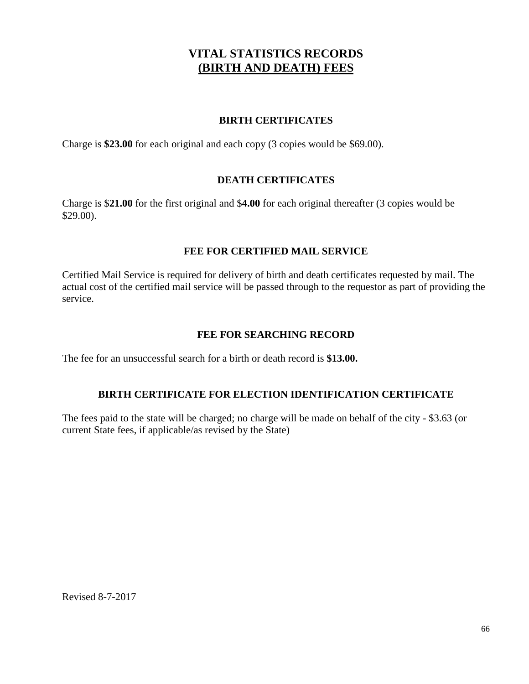## **VITAL STATISTICS RECORDS (BIRTH AND DEATH) FEES**

#### **BIRTH CERTIFICATES**

Charge is **\$23.00** for each original and each copy (3 copies would be \$69.00).

### **DEATH CERTIFICATES**

Charge is \$**21.00** for the first original and \$**4.00** for each original thereafter (3 copies would be \$29.00).

### **FEE FOR CERTIFIED MAIL SERVICE**

Certified Mail Service is required for delivery of birth and death certificates requested by mail. The actual cost of the certified mail service will be passed through to the requestor as part of providing the service.

### **FEE FOR SEARCHING RECORD**

The fee for an unsuccessful search for a birth or death record is **\$13.00.**

### **BIRTH CERTIFICATE FOR ELECTION IDENTIFICATION CERTIFICATE**

The fees paid to the state will be charged; no charge will be made on behalf of the city - \$3.63 (or current State fees, if applicable/as revised by the State)

Revised 8-7-2017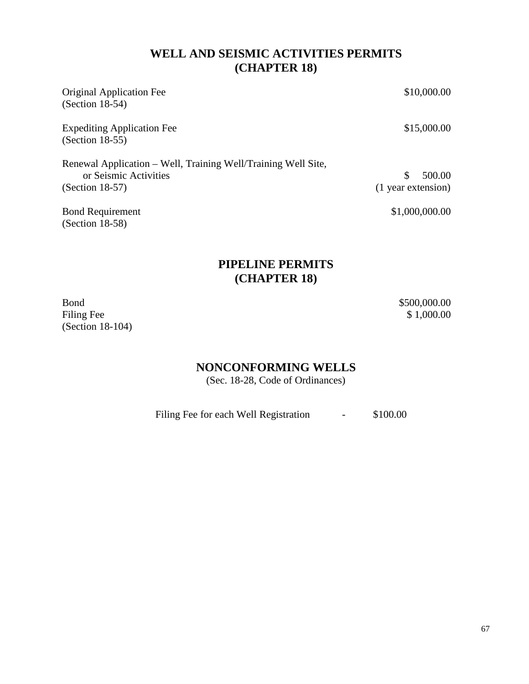## **WELL AND SEISMIC ACTIVITIES PERMITS (CHAPTER 18)**

| <b>Original Application Fee</b><br>$(Section 18-54)$                                                        | \$10,000.00                         |
|-------------------------------------------------------------------------------------------------------------|-------------------------------------|
| <b>Expediting Application Fee</b><br>$(Section 18-55)$                                                      | \$15,000.00                         |
| Renewal Application – Well, Training Well/Training Well Site,<br>or Seismic Activities<br>$(Section 18-57)$ | 500.00<br>\$.<br>(1 year extension) |
| <b>Bond Requirement</b><br>$(Section 18-58)$                                                                | \$1,000,000.00                      |

## **PIPELINE PERMITS (CHAPTER 18)**

Bond<br>
Filing Fee \$1,000.00 \$1,000.00 Filing Fee (Section 18-104)

## **NONCONFORMING WELLS**

(Sec. 18-28, Code of Ordinances)

Filing Fee for each Well Registration - \$100.00